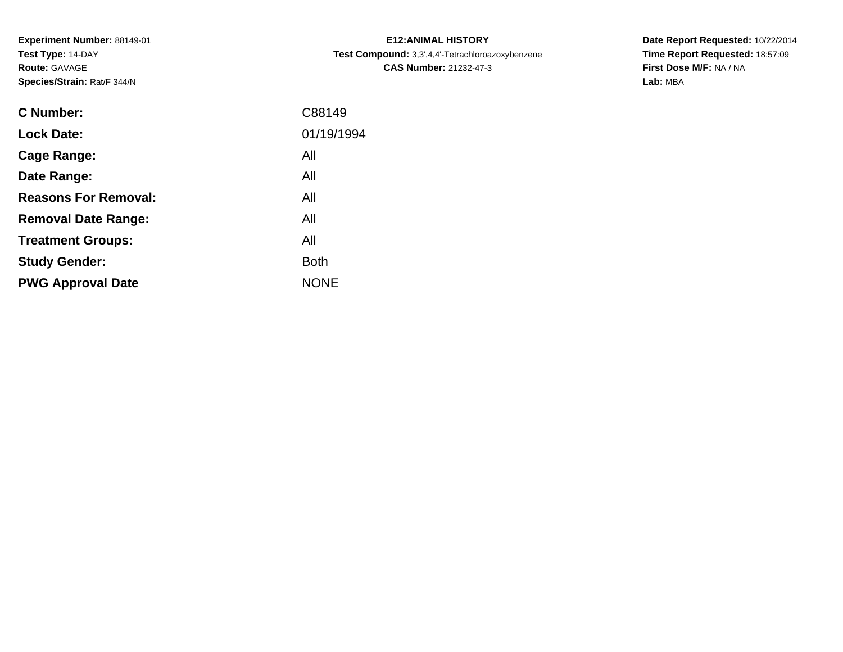**Experiment Number:** 88149-01**Test Type:** 14-DAY**Route:** GAVAGE**Species/Strain:** Rat/F 344/N

| <b>C Number:</b>            | C88149      |
|-----------------------------|-------------|
| <b>Lock Date:</b>           | 01/19/1994  |
| <b>Cage Range:</b>          | All         |
| Date Range:                 | All         |
| <b>Reasons For Removal:</b> | All         |
| <b>Removal Date Range:</b>  | All         |
| <b>Treatment Groups:</b>    | All         |
| <b>Study Gender:</b>        | <b>Both</b> |
| <b>PWG Approval Date</b>    | <b>NONE</b> |
|                             |             |

**E12:ANIMAL HISTORY Test Compound:** 3,3',4,4'-Tetrachloroazoxybenzene**CAS Number:** 21232-47-3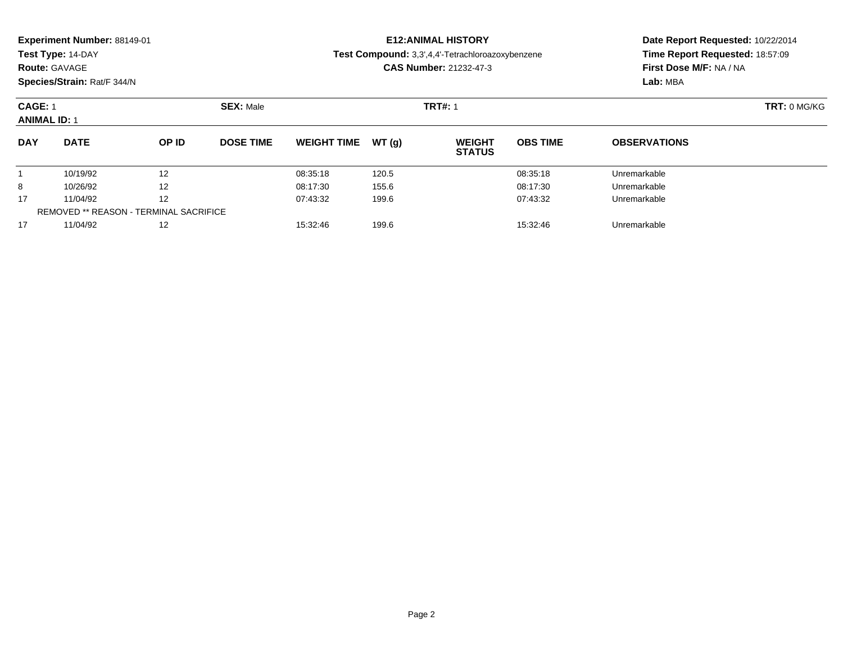| Experiment Number: 88149-01 |  |
|-----------------------------|--|
|-----------------------------|--|

### **Route:** GAVAGE

**Species/Strain:** Rat/F 344/N

### **E12:ANIMAL HISTORY**

**Test Compound:** 3,3',4,4'-Tetrachloroazoxybenzene

**CAS Number:** 21232-47-3

| <b>CAGE: 1</b><br><b>ANIMAL ID: 1</b> |                                               |       | <b>SEX: Male</b> |                    |        | <b>TRT#: 1</b>                 |                 |                     | TRT: 0 MG/KG |
|---------------------------------------|-----------------------------------------------|-------|------------------|--------------------|--------|--------------------------------|-----------------|---------------------|--------------|
| <b>DAY</b>                            | <b>DATE</b>                                   | OP ID | <b>DOSE TIME</b> | <b>WEIGHT TIME</b> | WT (a) | <b>WEIGHT</b><br><b>STATUS</b> | <b>OBS TIME</b> | <b>OBSERVATIONS</b> |              |
|                                       | 10/19/92                                      | 12    |                  | 08:35:18           | 120.5  |                                | 08:35:18        | Unremarkable        |              |
| 8                                     | 10/26/92                                      | 12    |                  | 08:17:30           | 155.6  |                                | 08:17:30        | Unremarkable        |              |
| 17                                    | 11/04/92                                      | 12    |                  | 07:43:32           | 199.6  |                                | 07:43:32        | Unremarkable        |              |
|                                       | <b>REMOVED ** REASON - TERMINAL SACRIFICE</b> |       |                  |                    |        |                                |                 |                     |              |
| 17                                    | 11/04/92                                      | 12    |                  | 15:32:46           | 199.6  |                                | 15:32:46        | Unremarkable        |              |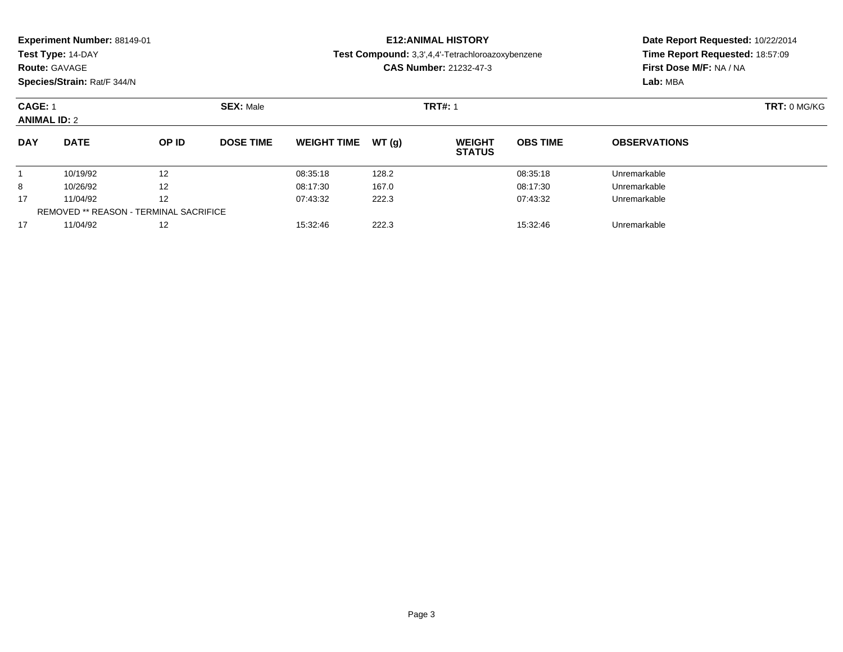| Experiment Number: 88149-01 |  |  |
|-----------------------------|--|--|
|-----------------------------|--|--|

### **Route:** GAVAGE

**Species/Strain:** Rat/F 344/N

### **E12:ANIMAL HISTORY**

**Test Compound:** 3,3',4,4'-Tetrachloroazoxybenzene

**CAS Number:** 21232-47-3

| <b>CAGE: 1</b><br><b>ANIMAL ID: 2</b> |                                               |       | <b>SEX: Male</b> |                    |        | <b>TRT#: 1</b>                 |                 |                     | TRT: 0 MG/KG |
|---------------------------------------|-----------------------------------------------|-------|------------------|--------------------|--------|--------------------------------|-----------------|---------------------|--------------|
| <b>DAY</b>                            | <b>DATE</b>                                   | OP ID | <b>DOSE TIME</b> | <b>WEIGHT TIME</b> | WT (a) | <b>WEIGHT</b><br><b>STATUS</b> | <b>OBS TIME</b> | <b>OBSERVATIONS</b> |              |
|                                       | 10/19/92                                      | 12    |                  | 08:35:18           | 128.2  |                                | 08:35:18        | Unremarkable        |              |
| 8                                     | 10/26/92                                      | 12    |                  | 08:17:30           | 167.0  |                                | 08:17:30        | Unremarkable        |              |
| 17                                    | 11/04/92                                      | 12    |                  | 07:43:32           | 222.3  |                                | 07:43:32        | Unremarkable        |              |
|                                       | <b>REMOVED ** REASON - TERMINAL SACRIFICE</b> |       |                  |                    |        |                                |                 |                     |              |
| 17                                    | 11/04/92                                      | 12    |                  | 15:32:46           | 222.3  |                                | 15:32:46        | Unremarkable        |              |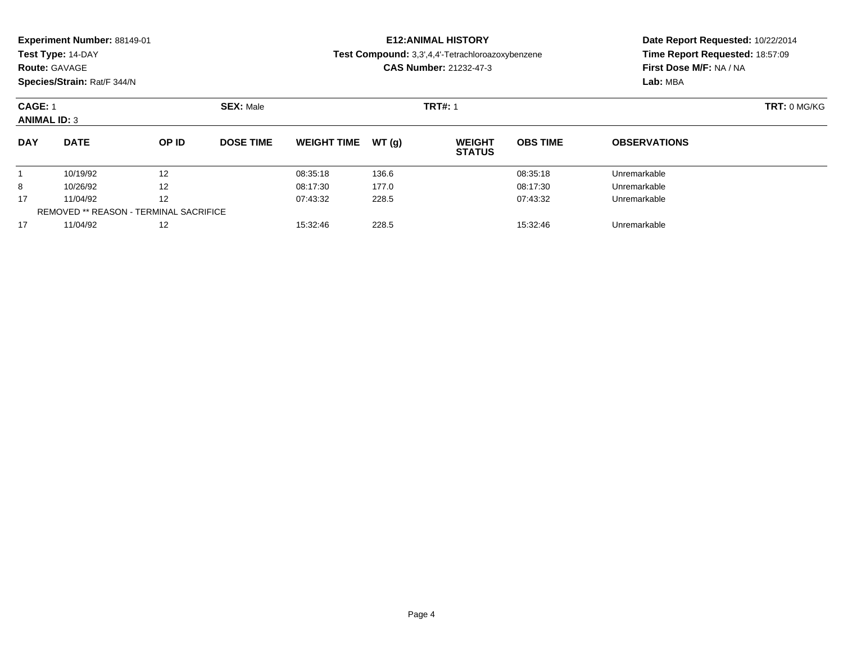### **Route:** GAVAGE

**Species/Strain:** Rat/F 344/N

### **E12:ANIMAL HISTORY**

**Test Compound:** 3,3',4,4'-Tetrachloroazoxybenzene

**CAS Number:** 21232-47-3

| <b>CAGE: 1</b><br><b>ANIMAL ID: 3</b> |                                               |       | <b>SEX: Male</b> |                    |        | <b>TRT#: 1</b>                 |                 |                     | TRT: 0 MG/KG |
|---------------------------------------|-----------------------------------------------|-------|------------------|--------------------|--------|--------------------------------|-----------------|---------------------|--------------|
| <b>DAY</b>                            | <b>DATE</b>                                   | OP ID | <b>DOSE TIME</b> | <b>WEIGHT TIME</b> | WT (a) | <b>WEIGHT</b><br><b>STATUS</b> | <b>OBS TIME</b> | <b>OBSERVATIONS</b> |              |
|                                       | 10/19/92                                      | 12    |                  | 08:35:18           | 136.6  |                                | 08:35:18        | Unremarkable        |              |
| 8                                     | 10/26/92                                      | 12    |                  | 08:17:30           | 177.0  |                                | 08:17:30        | Unremarkable        |              |
| 17                                    | 11/04/92                                      | 12    |                  | 07:43:32           | 228.5  |                                | 07:43:32        | Unremarkable        |              |
|                                       | <b>REMOVED ** REASON - TERMINAL SACRIFICE</b> |       |                  |                    |        |                                |                 |                     |              |
| 17                                    | 11/04/92                                      | 12    |                  | 15:32:46           | 228.5  |                                | 15:32:46        | Unremarkable        |              |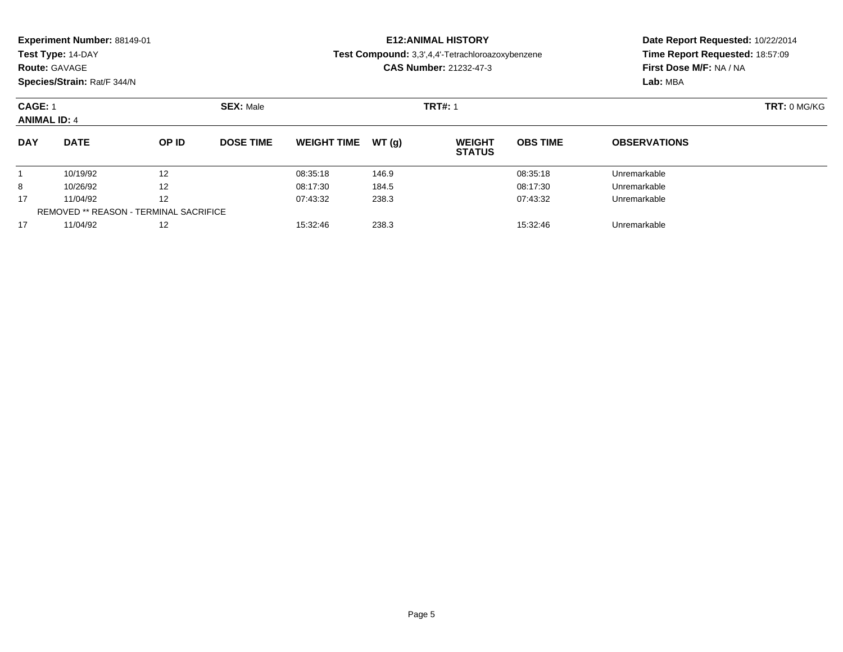| Experiment Number: 88149-01 |  |  |
|-----------------------------|--|--|
|-----------------------------|--|--|

### **Route:** GAVAGE

**Species/Strain:** Rat/F 344/N

### **E12:ANIMAL HISTORY**

**Test Compound:** 3,3',4,4'-Tetrachloroazoxybenzene

**CAS Number:** 21232-47-3

| <b>CAGE: 1</b><br><b>ANIMAL ID: 4</b> |                                               |       | <b>SEX: Male</b> |                    |        | <b>TRT#: 1</b>                 |                 |                     | TRT: 0 MG/KG |
|---------------------------------------|-----------------------------------------------|-------|------------------|--------------------|--------|--------------------------------|-----------------|---------------------|--------------|
| <b>DAY</b>                            | <b>DATE</b>                                   | OP ID | <b>DOSE TIME</b> | <b>WEIGHT TIME</b> | WT (a) | <b>WEIGHT</b><br><b>STATUS</b> | <b>OBS TIME</b> | <b>OBSERVATIONS</b> |              |
|                                       | 10/19/92                                      | 12    |                  | 08:35:18           | 146.9  |                                | 08:35:18        | Unremarkable        |              |
| 8                                     | 10/26/92                                      | 12    |                  | 08:17:30           | 184.5  |                                | 08:17:30        | Unremarkable        |              |
| 17                                    | 11/04/92                                      | 12    |                  | 07:43:32           | 238.3  |                                | 07:43:32        | Unremarkable        |              |
|                                       | <b>REMOVED ** REASON - TERMINAL SACRIFICE</b> |       |                  |                    |        |                                |                 |                     |              |
| 17                                    | 11/04/92                                      | 12    |                  | 15:32:46           | 238.3  |                                | 15:32:46        | Unremarkable        |              |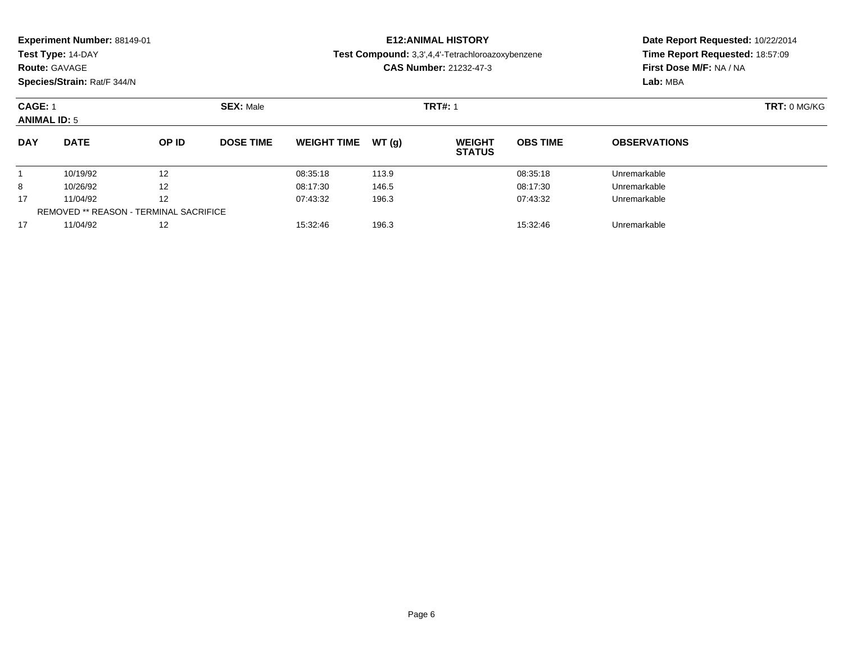| Experiment Number: 88149-01 |  |  |
|-----------------------------|--|--|
|-----------------------------|--|--|

### **Route:** GAVAGE

**Species/Strain:** Rat/F 344/N

### **E12:ANIMAL HISTORY**

**Test Compound:** 3,3',4,4'-Tetrachloroazoxybenzene

**CAS Number:** 21232-47-3

| <b>CAGE: 1</b><br><b>ANIMAL ID: 5</b> |                                        |                   | <b>SEX: Male</b> |                    |       | <b>TRT#: 1</b>                 | TRT: 0 MG/KG    |                     |  |
|---------------------------------------|----------------------------------------|-------------------|------------------|--------------------|-------|--------------------------------|-----------------|---------------------|--|
| <b>DAY</b>                            | <b>DATE</b>                            | OP ID             | <b>DOSE TIME</b> | <b>WEIGHT TIME</b> | WT(g) | <b>WEIGHT</b><br><b>STATUS</b> | <b>OBS TIME</b> | <b>OBSERVATIONS</b> |  |
|                                       | 10/19/92                               | 12                |                  | 08:35:18           | 113.9 |                                | 08:35:18        | Unremarkable        |  |
| 8                                     | 10/26/92                               | $12 \overline{ }$ |                  | 08:17:30           | 146.5 |                                | 08:17:30        | Unremarkable        |  |
| 17                                    | 11/04/92                               | 12                |                  | 07:43:32           | 196.3 |                                | 07:43:32        | Unremarkable        |  |
|                                       | REMOVED ** REASON - TERMINAL SACRIFICE |                   |                  |                    |       |                                |                 |                     |  |
| 17                                    | 11/04/92                               | 12                |                  | 15:32:46           | 196.3 |                                | 15:32:46        | Unremarkable        |  |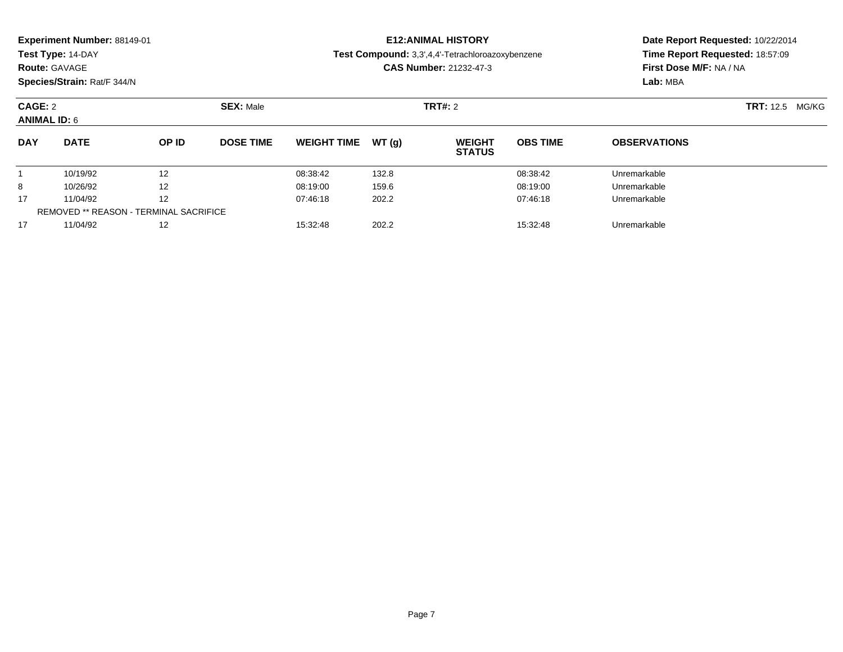| Experiment Number: 88149-01<br>Test Type: 14-DAY<br><b>Route: GAVAGE</b><br>Species/Strain: Rat/F 344/N |                                               |       |                  |                    | <b>E12: ANIMAL HISTORY</b><br>Test Compound: 3,3',4,4'-Tetrachloroazoxybenzene<br><b>CAS Number: 21232-47-3</b> | Date Report Requested: 10/22/2014<br>Time Report Requested: 18:57:09<br>First Dose M/F: NA / NA |                        |                     |  |
|---------------------------------------------------------------------------------------------------------|-----------------------------------------------|-------|------------------|--------------------|-----------------------------------------------------------------------------------------------------------------|-------------------------------------------------------------------------------------------------|------------------------|---------------------|--|
|                                                                                                         |                                               |       |                  |                    |                                                                                                                 |                                                                                                 | Lab: MBA               |                     |  |
| CAGE: 2<br><b>SEX: Male</b>                                                                             |                                               |       |                  |                    | <b>TRT#: 2</b>                                                                                                  |                                                                                                 | <b>TRT:</b> 12.5 MG/KG |                     |  |
| <b>ANIMAL ID: 6</b>                                                                                     |                                               |       |                  |                    |                                                                                                                 |                                                                                                 |                        |                     |  |
| <b>DAY</b>                                                                                              | <b>DATE</b>                                   | OP ID | <b>DOSE TIME</b> | <b>WEIGHT TIME</b> | WT(q)                                                                                                           | <b>WEIGHT</b><br><b>STATUS</b>                                                                  | <b>OBS TIME</b>        | <b>OBSERVATIONS</b> |  |
|                                                                                                         | 10/19/92                                      | 12    |                  | 08:38:42           | 132.8                                                                                                           |                                                                                                 | 08:38:42               | Unremarkable        |  |
| 8                                                                                                       | 10/26/92                                      | 12    |                  | 08:19:00           | 159.6                                                                                                           |                                                                                                 | 08:19:00               | Unremarkable        |  |
| 17                                                                                                      | 11/04/92                                      | 12    |                  | 07:46:18           | 202.2                                                                                                           |                                                                                                 | 07:46:18               | Unremarkable        |  |
|                                                                                                         | <b>REMOVED ** REASON - TERMINAL SACRIFICE</b> |       |                  |                    |                                                                                                                 |                                                                                                 |                        |                     |  |

11/04/92 <sup>12</sup> 15:32:48 202.2 15:32:48 Unremarkable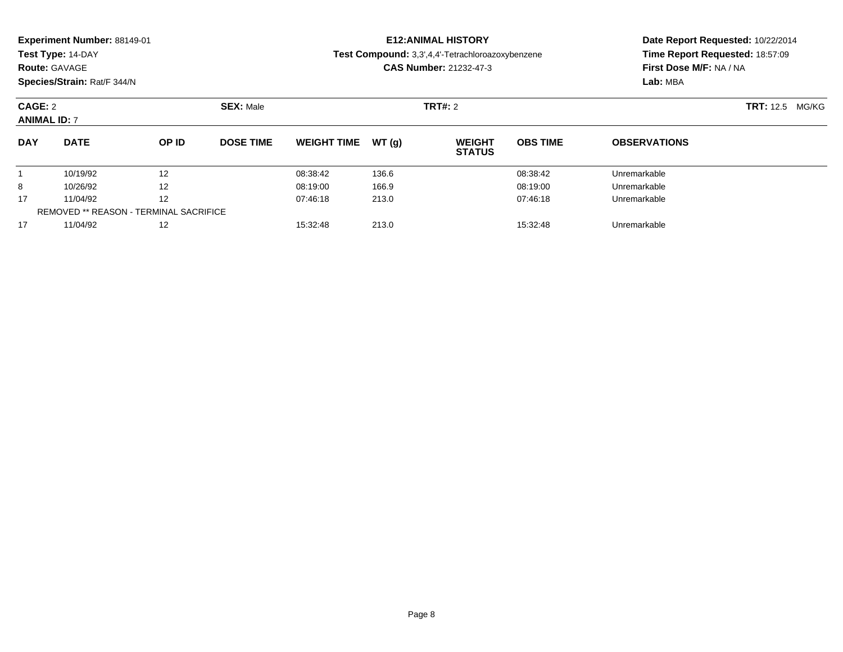|                                | Experiment Number: 88149-01<br>Test Type: 14-DAY<br><b>Route: GAVAGE</b><br>Species/Strain: Rat/F 344/N |       |                               |                    |       | <b>E12: ANIMAL HISTORY</b><br>Test Compound: 3,3',4,4'-Tetrachloroazoxybenzene<br><b>CAS Number: 21232-47-3</b> | Date Report Requested: 10/22/2014<br>Time Report Requested: 18:57:09<br>First Dose M/F: NA / NA<br>Lab: MBA |                        |  |
|--------------------------------|---------------------------------------------------------------------------------------------------------|-------|-------------------------------|--------------------|-------|-----------------------------------------------------------------------------------------------------------------|-------------------------------------------------------------------------------------------------------------|------------------------|--|
| CAGE: 2<br><b>ANIMAL ID: 7</b> |                                                                                                         |       | <b>SEX: Male</b>              |                    |       | <b>TRT#: 2</b>                                                                                                  |                                                                                                             | <b>TRT:</b> 12.5 MG/KG |  |
| <b>DAY</b>                     | <b>DATE</b>                                                                                             | OP ID | <b>DOSE TIME</b>              | <b>WEIGHT TIME</b> | WT(q) | <b>WEIGHT</b><br><b>STATUS</b>                                                                                  | <b>OBS TIME</b>                                                                                             | <b>OBSERVATIONS</b>    |  |
|                                | 10/19/92                                                                                                | 12    |                               | 08:38:42           | 136.6 |                                                                                                                 | 08:38:42                                                                                                    | Unremarkable           |  |
| 8                              | 10/26/92                                                                                                | 12    |                               | 08:19:00           | 166.9 |                                                                                                                 | 08:19:00                                                                                                    | Unremarkable           |  |
| 17<br>11/04/92<br>12           |                                                                                                         |       | 07:46:18<br>213.0<br>07:46:18 |                    |       |                                                                                                                 | Unremarkable                                                                                                |                        |  |

11/04/92 <sup>12</sup> 15:32:48 213.0 15:32:48 Unremarkable

REMOVED \*\* REASON - TERMINAL SACRIFICE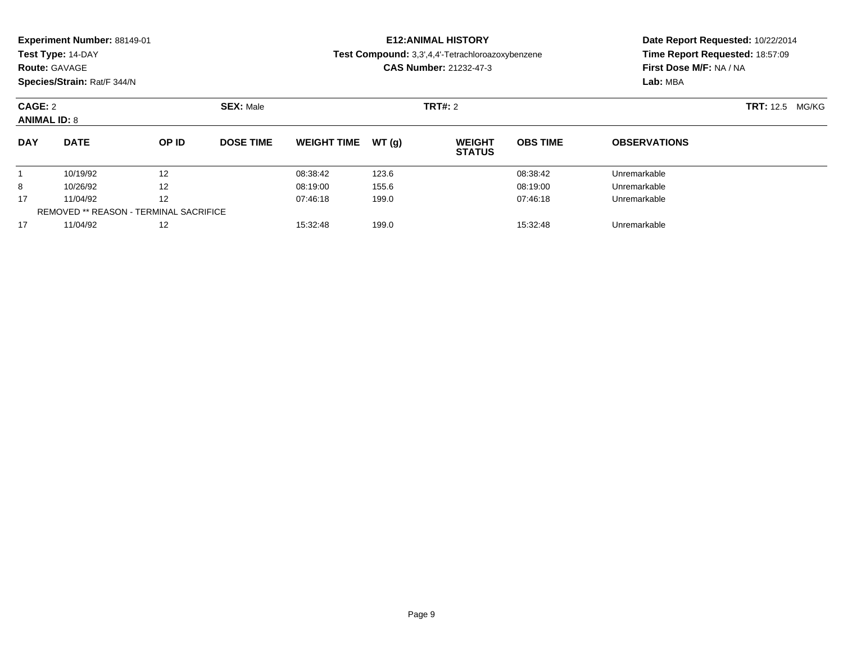| Experiment Number: 88149-01<br>Test Type: 14-DAY<br><b>Route: GAVAGE</b><br>Species/Strain: Rat/F 344/N |             |       |                               |                    |       | <b>E12: ANIMAL HISTORY</b><br>Test Compound: 3,3',4,4'-Tetrachloroazoxybenzene<br><b>CAS Number: 21232-47-3</b> | Date Report Requested: 10/22/2014<br>Time Report Requested: 18:57:09<br>First Dose M/F: NA / NA<br>Lab: MBA |                     |  |
|---------------------------------------------------------------------------------------------------------|-------------|-------|-------------------------------|--------------------|-------|-----------------------------------------------------------------------------------------------------------------|-------------------------------------------------------------------------------------------------------------|---------------------|--|
| CAGE: 2<br><b>ANIMAL ID: 8</b>                                                                          |             |       | <b>SEX: Male</b>              |                    |       | <b>TRT#: 2</b>                                                                                                  | <b>TRT:</b> 12.5 MG/KG                                                                                      |                     |  |
| <b>DAY</b>                                                                                              | <b>DATE</b> | OP ID | <b>DOSE TIME</b>              | <b>WEIGHT TIME</b> | WT(q) | <b>WEIGHT</b><br><b>STATUS</b>                                                                                  | <b>OBS TIME</b>                                                                                             | <b>OBSERVATIONS</b> |  |
|                                                                                                         | 10/19/92    | 12    |                               | 08:38:42           | 123.6 |                                                                                                                 | 08:38:42                                                                                                    | Unremarkable        |  |
| 8                                                                                                       | 10/26/92    | 12    |                               | 08:19:00           | 155.6 |                                                                                                                 | 08:19:00                                                                                                    | Unremarkable        |  |
| 17<br>11/04/92<br>12                                                                                    |             |       | 199.0<br>07:46:18<br>07:46:18 |                    |       | Unremarkable                                                                                                    |                                                                                                             |                     |  |

11/04/92 <sup>12</sup> 15:32:48 199.0 15:32:48 Unremarkable

REMOVED \*\* REASON - TERMINAL SACRIFICE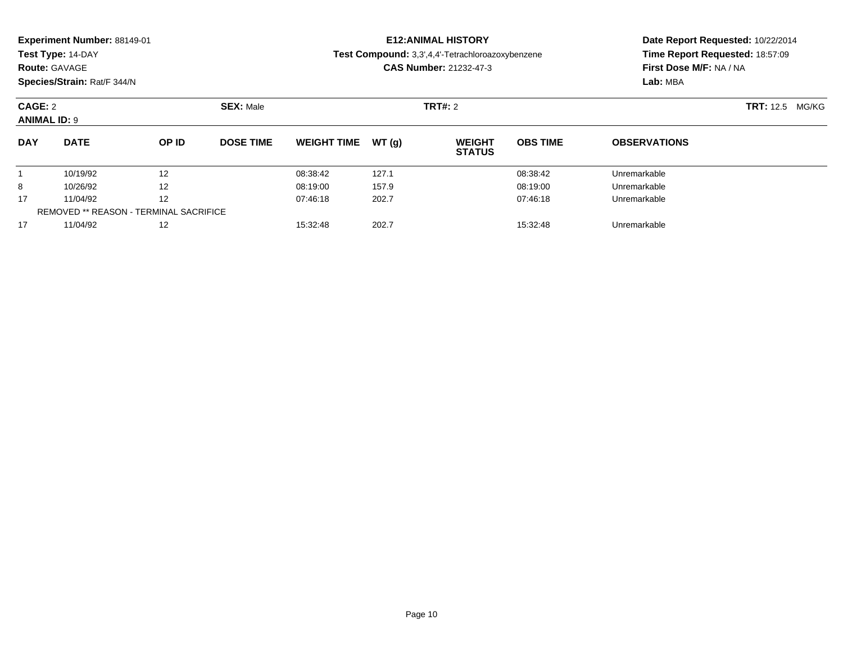|                      | Experiment Number: 88149-01<br>Test Type: 14-DAY<br><b>Route: GAVAGE</b> |       |                  | <b>E12: ANIMAL HISTORY</b><br>Test Compound: 3,3',4,4'-Tetrachloroazoxybenzene<br><b>CAS Number: 21232-47-3</b> | Date Report Requested: 10/22/2014<br>Time Report Requested: 18:57:09<br>First Dose M/F: NA / NA |                                |                 |                        |  |  |
|----------------------|--------------------------------------------------------------------------|-------|------------------|-----------------------------------------------------------------------------------------------------------------|-------------------------------------------------------------------------------------------------|--------------------------------|-----------------|------------------------|--|--|
|                      | Species/Strain: Rat/F 344/N                                              |       |                  |                                                                                                                 |                                                                                                 |                                |                 | Lab: MBA               |  |  |
|                      | CAGE: 2<br><b>SEX: Male</b>                                              |       |                  |                                                                                                                 |                                                                                                 | <b>TRT#: 2</b>                 |                 | <b>TRT:</b> 12.5 MG/KG |  |  |
| <b>ANIMAL ID: 9</b>  |                                                                          |       |                  |                                                                                                                 |                                                                                                 |                                |                 |                        |  |  |
| <b>DAY</b>           | <b>DATE</b>                                                              | OP ID | <b>DOSE TIME</b> | <b>WEIGHT TIME</b>                                                                                              | WT(q)                                                                                           | <b>WEIGHT</b><br><b>STATUS</b> | <b>OBS TIME</b> | <b>OBSERVATIONS</b>    |  |  |
|                      | 10/19/92                                                                 | 12    |                  | 08:38:42                                                                                                        | 127.1                                                                                           |                                | 08:38:42        | Unremarkable           |  |  |
| 8                    | 12<br>10/26/92                                                           |       | 08:19:00         | 157.9                                                                                                           |                                                                                                 | 08:19:00                       | Unremarkable    |                        |  |  |
| 17<br>12<br>11/04/92 |                                                                          |       | 07:46:18         | 202.7                                                                                                           |                                                                                                 | 07:46:18                       | Unremarkable    |                        |  |  |
|                      | <b>REMOVED ** REASON - TERMINAL SACRIFICE</b>                            |       |                  |                                                                                                                 |                                                                                                 |                                |                 |                        |  |  |

11/04/92 <sup>12</sup> 15:32:48 202.7 15:32:48 Unremarkable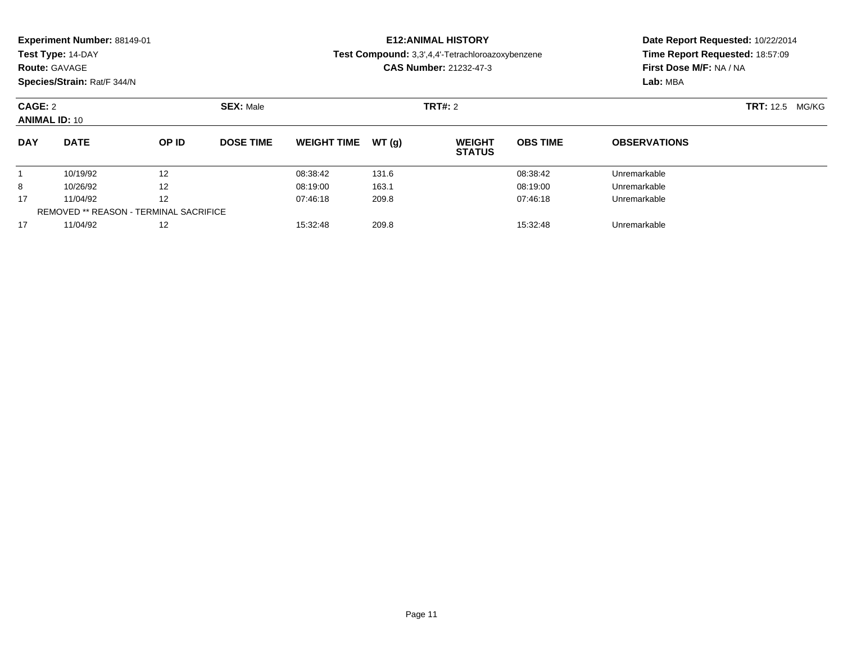| Experiment Number: 88149-01<br>Test Type: 14-DAY<br><b>Route: GAVAGE</b><br>Species/Strain: Rat/F 344/N |                                               |                  |                               |                    |              | <b>E12: ANIMAL HISTORY</b><br>Test Compound: 3,3',4,4'-Tetrachloroazoxybenzene<br><b>CAS Number: 21232-47-3</b> | Date Report Requested: 10/22/2014<br>Time Report Requested: 18:57:09<br>First Dose M/F: NA / NA<br>Lab: MBA |                     |  |
|---------------------------------------------------------------------------------------------------------|-----------------------------------------------|------------------|-------------------------------|--------------------|--------------|-----------------------------------------------------------------------------------------------------------------|-------------------------------------------------------------------------------------------------------------|---------------------|--|
| CAGE: 2<br><b>ANIMAL ID: 10</b>                                                                         |                                               | <b>SEX: Male</b> |                               |                    | TRT#: 2      | <b>TRT:</b> 12.5 MG/KG                                                                                          |                                                                                                             |                     |  |
| <b>DAY</b>                                                                                              | <b>DATE</b>                                   | OP ID            | <b>DOSE TIME</b>              | <b>WEIGHT TIME</b> | WT(g)        | <b>WEIGHT</b><br><b>STATUS</b>                                                                                  | <b>OBS TIME</b>                                                                                             | <b>OBSERVATIONS</b> |  |
|                                                                                                         | 10/19/92<br>$12 \overline{ }$                 |                  |                               | 08:38:42           | 131.6        |                                                                                                                 | 08:38:42                                                                                                    | Unremarkable        |  |
| 8                                                                                                       | 12<br>10/26/92                                |                  | 08:19:00                      | 163.1              |              | 08:19:00                                                                                                        | Unremarkable                                                                                                |                     |  |
| 17                                                                                                      | 12<br>11/04/92                                |                  | 209.8<br>07:46:18<br>07:46:18 |                    | Unremarkable |                                                                                                                 |                                                                                                             |                     |  |
|                                                                                                         | <b>REMOVED ** REASON - TERMINAL SACRIFICE</b> |                  |                               |                    |              |                                                                                                                 |                                                                                                             |                     |  |

11/04/92 <sup>12</sup> 15:32:48 209.8 15:32:48 Unremarkable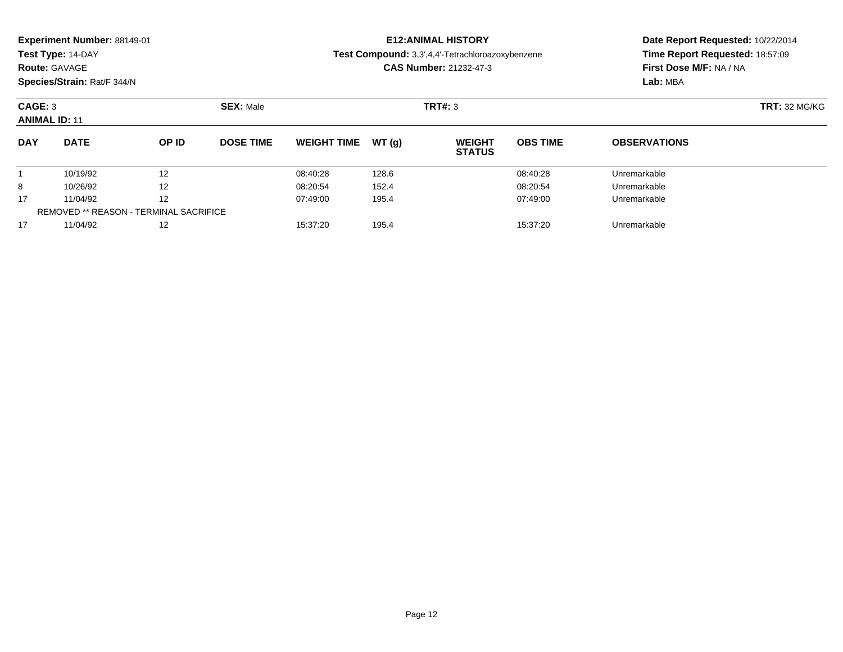| Experiment Number: 88149-01<br>Test Type: 14-DAY<br><b>Route: GAVAGE</b><br>Species/Strain: Rat/F 344/N |                                               |       |                               |                    |       | <b>E12: ANIMAL HISTORY</b><br>Test Compound: 3,3',4,4'-Tetrachloroazoxybenzene<br><b>CAS Number: 21232-47-3</b> | Date Report Requested: 10/22/2014<br>Time Report Requested: 18:57:09<br>First Dose M/F: NA / NA<br>Lab: MBA |                      |  |
|---------------------------------------------------------------------------------------------------------|-----------------------------------------------|-------|-------------------------------|--------------------|-------|-----------------------------------------------------------------------------------------------------------------|-------------------------------------------------------------------------------------------------------------|----------------------|--|
| CAGE: 3<br><b>ANIMAL ID: 11</b>                                                                         |                                               |       | <b>SEX: Male</b>              |                    |       | TRT#: 3                                                                                                         |                                                                                                             | <b>TRT: 32 MG/KG</b> |  |
| <b>DAY</b>                                                                                              | <b>DATE</b>                                   | OP ID | <b>DOSE TIME</b>              | <b>WEIGHT TIME</b> | WT(g) | <b>WEIGHT</b><br><b>STATUS</b>                                                                                  | <b>OBS TIME</b>                                                                                             | <b>OBSERVATIONS</b>  |  |
|                                                                                                         | 10/19/92                                      | 12    |                               | 08:40:28           | 128.6 |                                                                                                                 | 08:40:28                                                                                                    | Unremarkable         |  |
| 8                                                                                                       | 12<br>10/26/92                                |       | 08:20:54                      | 152.4              |       | 08:20:54                                                                                                        | Unremarkable                                                                                                |                      |  |
| 17<br>12<br>11/04/92                                                                                    |                                               |       | 07:49:00<br>195.4<br>07:49:00 |                    |       | Unremarkable                                                                                                    |                                                                                                             |                      |  |
|                                                                                                         | <b>REMOVED ** REASON - TERMINAL SACRIFICE</b> |       |                               |                    |       |                                                                                                                 |                                                                                                             |                      |  |

11/04/92 <sup>12</sup> 15:37:20 195.4 15:37:20 Unremarkable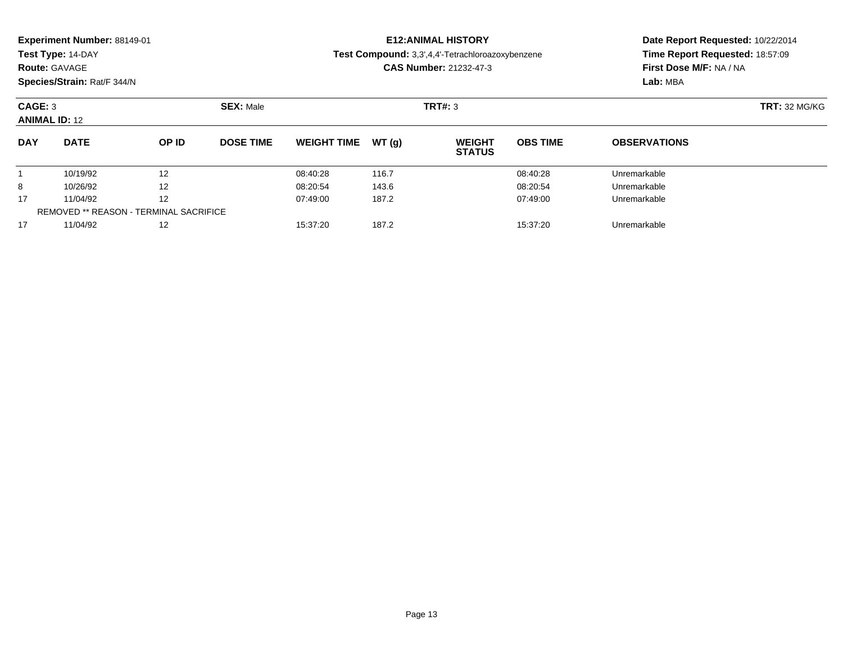| Experiment Number: 88149-01<br>Test Type: 14-DAY<br><b>Route: GAVAGE</b><br>Species/Strain: Rat/F 344/N |                |       |                  |                               |       | <b>E12:ANIMAL HISTORY</b><br><b>Test Compound:</b> 3,3',4,4'-Tetrachloroazoxybenzene<br><b>CAS Number: 21232-47-3</b> | Date Report Requested: 10/22/2014<br>Time Report Requested: 18:57:09<br>First Dose M/F: NA / NA<br>Lab: MBA |                     |
|---------------------------------------------------------------------------------------------------------|----------------|-------|------------------|-------------------------------|-------|-----------------------------------------------------------------------------------------------------------------------|-------------------------------------------------------------------------------------------------------------|---------------------|
| CAGE: 3<br><b>ANIMAL ID: 12</b>                                                                         |                |       | <b>SEX: Male</b> |                               |       | TRT#: 3                                                                                                               | <b>TRT: 32 MG/KG</b>                                                                                        |                     |
| <b>DAY</b>                                                                                              | <b>DATE</b>    | OP ID | <b>DOSE TIME</b> | <b>WEIGHT TIME</b>            | WT(q) | <b>WEIGHT</b><br><b>STATUS</b>                                                                                        | <b>OBS TIME</b>                                                                                             | <b>OBSERVATIONS</b> |
|                                                                                                         | 10/19/92       | 12    |                  | 08:40:28                      | 116.7 |                                                                                                                       | 08:40:28                                                                                                    | Unremarkable        |
| 8                                                                                                       | 10/26/92       | 12    |                  | 08:20:54                      | 143.6 |                                                                                                                       | 08:20:54                                                                                                    | Unremarkable        |
| 17                                                                                                      | 11/04/92<br>12 |       |                  | 187.2<br>07:49:00<br>07:49:00 |       |                                                                                                                       | Unremarkable                                                                                                |                     |

11/04/92 <sup>12</sup> 15:37:20 187.2 15:37:20 Unremarkable

REMOVED \*\* REASON - TERMINAL SACRIFICE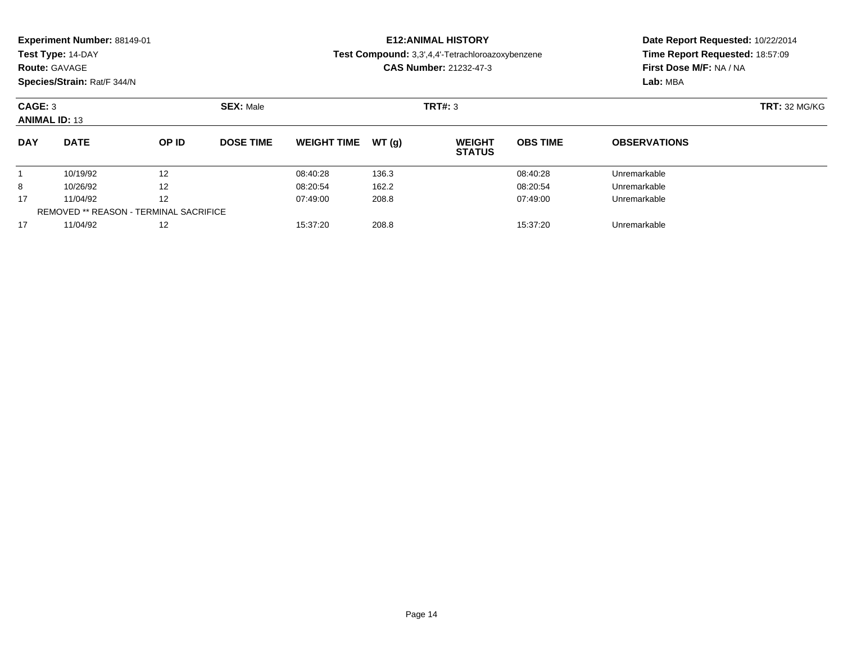| Experiment Number: 88149-01<br>Test Type: 14-DAY<br><b>Route: GAVAGE</b><br>Species/Strain: Rat/F 344/N |                                               |       |                               |                    |       | <b>E12: ANIMAL HISTORY</b><br>Test Compound: 3,3',4,4'-Tetrachloroazoxybenzene<br><b>CAS Number: 21232-47-3</b> | Date Report Requested: 10/22/2014<br>Time Report Requested: 18:57:09<br>First Dose M/F: NA / NA<br>Lab: MBA |                      |  |
|---------------------------------------------------------------------------------------------------------|-----------------------------------------------|-------|-------------------------------|--------------------|-------|-----------------------------------------------------------------------------------------------------------------|-------------------------------------------------------------------------------------------------------------|----------------------|--|
| CAGE: 3<br><b>ANIMAL ID: 13</b>                                                                         |                                               |       | <b>SEX: Male</b>              |                    |       | TRT#: 3                                                                                                         |                                                                                                             | <b>TRT: 32 MG/KG</b> |  |
| <b>DAY</b>                                                                                              | <b>DATE</b>                                   | OP ID | <b>DOSE TIME</b>              | <b>WEIGHT TIME</b> | WT(q) | <b>WEIGHT</b><br><b>STATUS</b>                                                                                  | <b>OBS TIME</b>                                                                                             | <b>OBSERVATIONS</b>  |  |
|                                                                                                         | 10/19/92                                      | 12    |                               | 08:40:28           | 136.3 |                                                                                                                 | 08:40:28                                                                                                    | Unremarkable         |  |
| 8                                                                                                       | 12<br>10/26/92                                |       | 08:20:54                      | 162.2              |       | 08:20:54                                                                                                        | Unremarkable                                                                                                |                      |  |
| 17<br>12<br>11/04/92                                                                                    |                                               |       | 208.8<br>07:49:00<br>07:49:00 |                    |       | Unremarkable                                                                                                    |                                                                                                             |                      |  |
|                                                                                                         | <b>REMOVED ** REASON - TERMINAL SACRIFICE</b> |       |                               |                    |       |                                                                                                                 |                                                                                                             |                      |  |

11/04/92 <sup>12</sup> 15:37:20 208.8 15:37:20 Unremarkable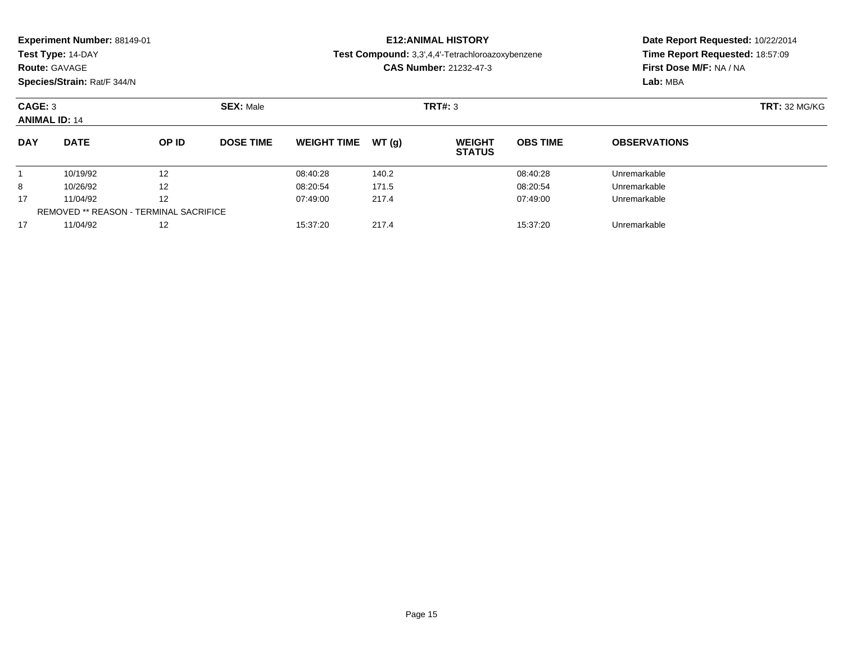| Experiment Number: 88149-01<br>Test Type: 14-DAY<br><b>Route: GAVAGE</b><br>Species/Strain: Rat/F 344/N |             |              |                  |                               |       | <b>E12: ANIMAL HISTORY</b><br><b>Test Compound:</b> 3,3',4,4'-Tetrachloroazoxybenzene<br><b>CAS Number: 21232-47-3</b> | Date Report Requested: 10/22/2014<br>Time Report Requested: 18:57:09<br>First Dose M/F: NA / NA<br>Lab: MBA |                     |  |
|---------------------------------------------------------------------------------------------------------|-------------|--------------|------------------|-------------------------------|-------|------------------------------------------------------------------------------------------------------------------------|-------------------------------------------------------------------------------------------------------------|---------------------|--|
| CAGE: 3<br><b>ANIMAL ID: 14</b>                                                                         |             |              | <b>SEX: Male</b> |                               |       | TRT#: 3                                                                                                                | <b>TRT: 32 MG/KG</b>                                                                                        |                     |  |
| <b>DAY</b>                                                                                              | <b>DATE</b> | <b>OP ID</b> | <b>DOSE TIME</b> | <b>WEIGHT TIME</b>            | WT(q) | <b>WEIGHT</b><br><b>STATUS</b>                                                                                         | <b>OBS TIME</b>                                                                                             | <b>OBSERVATIONS</b> |  |
|                                                                                                         | 10/19/92    | 12           |                  | 08:40:28                      | 140.2 |                                                                                                                        | 08:40:28                                                                                                    | Unremarkable        |  |
| 8                                                                                                       | 10/26/92    | 12           |                  | 08:20:54                      | 171.5 |                                                                                                                        | 08:20:54                                                                                                    | Unremarkable        |  |
| 12<br>17<br>11/04/92                                                                                    |             |              |                  | 217.4<br>07:49:00<br>07:49:00 |       |                                                                                                                        |                                                                                                             | Unremarkable        |  |

11/04/92 <sup>12</sup> 15:37:20 217.4 15:37:20 Unremarkable

REMOVED \*\* REASON - TERMINAL SACRIFICE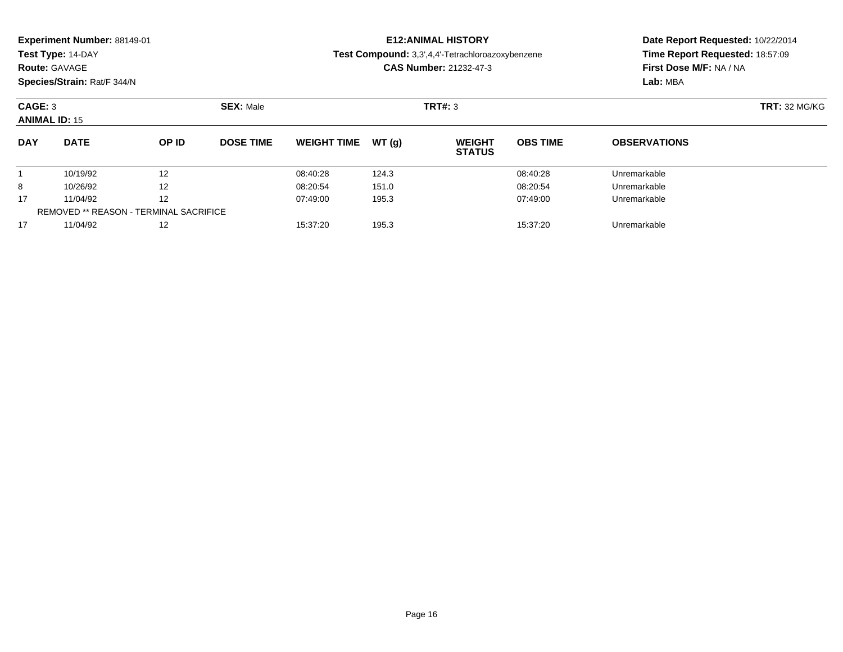| Experiment Number: 88149-01<br>Test Type: 14-DAY<br><b>Route: GAVAGE</b><br>Species/Strain: Rat/F 344/N |             |       |                  |                    |              | <b>E12: ANIMAL HISTORY</b><br>Test Compound: 3,3',4,4'-Tetrachloroazoxybenzene<br><b>CAS Number: 21232-47-3</b> | Date Report Requested: 10/22/2014<br>Time Report Requested: 18:57:09<br>First Dose M/F: NA / NA<br>Lab: MBA |                     |  |
|---------------------------------------------------------------------------------------------------------|-------------|-------|------------------|--------------------|--------------|-----------------------------------------------------------------------------------------------------------------|-------------------------------------------------------------------------------------------------------------|---------------------|--|
| CAGE: 3<br><b>ANIMAL ID: 15</b>                                                                         |             |       | <b>SEX: Male</b> |                    |              | TRT#: 3                                                                                                         | <b>TRT: 32 MG/KG</b>                                                                                        |                     |  |
| <b>DAY</b>                                                                                              | <b>DATE</b> | OP ID | <b>DOSE TIME</b> | <b>WEIGHT TIME</b> | WT(a)        | <b>WEIGHT</b><br><b>STATUS</b>                                                                                  | <b>OBS TIME</b>                                                                                             | <b>OBSERVATIONS</b> |  |
|                                                                                                         | 10/19/92    | 12    |                  | 08:40:28           | 124.3        |                                                                                                                 | 08:40:28                                                                                                    | Unremarkable        |  |
| 8                                                                                                       | 10/26/92    | 12    |                  | 08:20:54           | 151.0        |                                                                                                                 | 08:20:54                                                                                                    | Unremarkable        |  |
| 17<br>11/04/92<br>195.3<br>12<br>07:49:00                                                               |             |       |                  | 07:49:00           | Unremarkable |                                                                                                                 |                                                                                                             |                     |  |

11/04/92 <sup>12</sup> 07:49:00 195.3 07:49:00 Unremarkable

11/04/92 <sup>12</sup> 15:37:20 195.3 15:37:20 Unremarkable

REMOVED \*\* REASON - TERMINAL SACRIFICE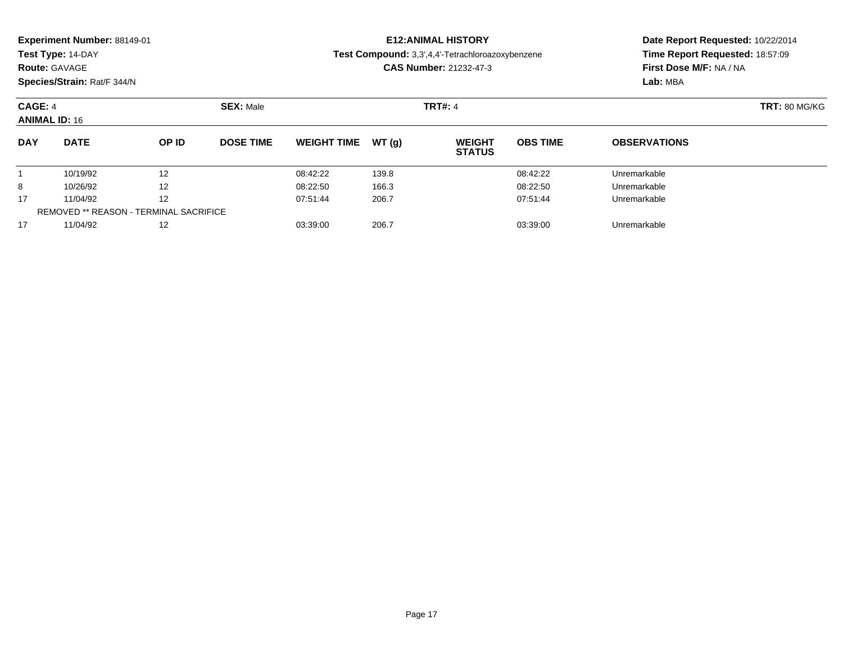| Experiment Number: 88149-01<br>Test Type: 14-DAY<br><b>Route: GAVAGE</b><br>Species/Strain: Rat/F 344/N |             |                   |                  |                    |              | <b>E12: ANIMAL HISTORY</b><br>Test Compound: 3,3',4,4'-Tetrachloroazoxybenzene<br><b>CAS Number: 21232-47-3</b> | Date Report Requested: 10/22/2014<br>Time Report Requested: 18:57:09<br>First Dose M/F: NA / NA<br>Lab: MBA |                     |  |
|---------------------------------------------------------------------------------------------------------|-------------|-------------------|------------------|--------------------|--------------|-----------------------------------------------------------------------------------------------------------------|-------------------------------------------------------------------------------------------------------------|---------------------|--|
| CAGE: 4<br><b>ANIMAL ID: 16</b>                                                                         |             |                   | <b>SEX: Male</b> |                    |              | <b>TRT#: 4</b>                                                                                                  | <b>TRT: 80 MG/KG</b>                                                                                        |                     |  |
| <b>DAY</b>                                                                                              | <b>DATE</b> | OP ID             | <b>DOSE TIME</b> | <b>WEIGHT TIME</b> | WT(a)        | <b>WEIGHT</b><br><b>STATUS</b>                                                                                  | <b>OBS TIME</b>                                                                                             | <b>OBSERVATIONS</b> |  |
|                                                                                                         | 10/19/92    | 12                |                  | 08:42:22           | 139.8        |                                                                                                                 | 08:42:22                                                                                                    | Unremarkable        |  |
| 8                                                                                                       | 10/26/92    | $12 \overline{ }$ |                  | 08:22:50           | 166.3        |                                                                                                                 | 08:22:50                                                                                                    | Unremarkable        |  |
| 206.7<br>17<br>11/04/92<br>12<br>07:51:44                                                               |             |                   |                  | 07:51:44           | Unremarkable |                                                                                                                 |                                                                                                             |                     |  |

11/04/92 <sup>12</sup> 07:51:44 206.7 07:51:44 Unremarkable

11/04/92 <sup>12</sup> 03:39:00 206.7 03:39:00 Unremarkable

REMOVED \*\* REASON - TERMINAL SACRIFICE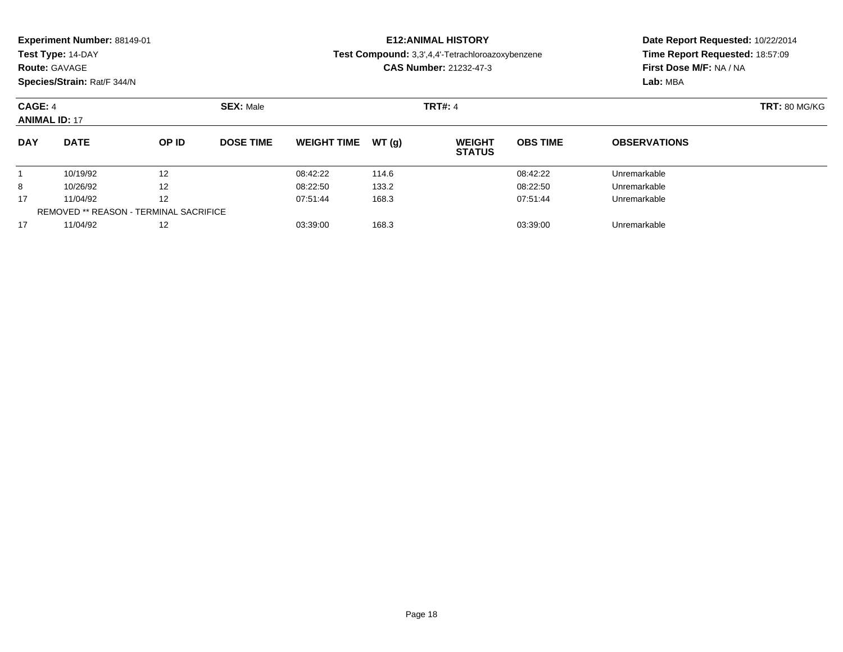| Experiment Number: 88149-01<br>Test Type: 14-DAY<br><b>Route: GAVAGE</b><br>Species/Strain: Rat/F 344/N |                      |          |                  | <b>E12: ANIMAL HISTORY</b><br>Test Compound: 3,3',4,4'-Tetrachloroazoxybenzene<br><b>CAS Number: 21232-47-3</b> |                |                                |                      | Date Report Requested: 10/22/2014<br>Time Report Requested: 18:57:09<br>First Dose M/F: NA / NA<br>Lab: MBA |  |
|---------------------------------------------------------------------------------------------------------|----------------------|----------|------------------|-----------------------------------------------------------------------------------------------------------------|----------------|--------------------------------|----------------------|-------------------------------------------------------------------------------------------------------------|--|
| CAGE: 4                                                                                                 | <b>ANIMAL ID: 17</b> |          | <b>SEX: Male</b> |                                                                                                                 |                | <b>TRT#: 4</b>                 | <b>TRT: 80 MG/KG</b> |                                                                                                             |  |
| <b>DAY</b>                                                                                              | <b>DATE</b>          | OP ID    | <b>DOSE TIME</b> | <b>WEIGHT TIME</b>                                                                                              | WT (a)         | <b>WEIGHT</b><br><b>STATUS</b> | <b>OBS TIME</b>      | <b>OBSERVATIONS</b>                                                                                         |  |
| 8                                                                                                       | 10/19/92<br>10/26/92 | 12<br>12 |                  | 08:42:22<br>08:22:50                                                                                            | 114.6<br>133.2 |                                | 08:42:22<br>08:22:50 | Unremarkable<br>Unremarkable                                                                                |  |

11/04/92 <sup>12</sup> 07:51:44 168.3 07:51:44 Unremarkable

11/04/92 <sup>12</sup> 03:39:00 168.3 03:39:00 Unremarkable

17

17

REMOVED \*\* REASON - TERMINAL SACRIFICE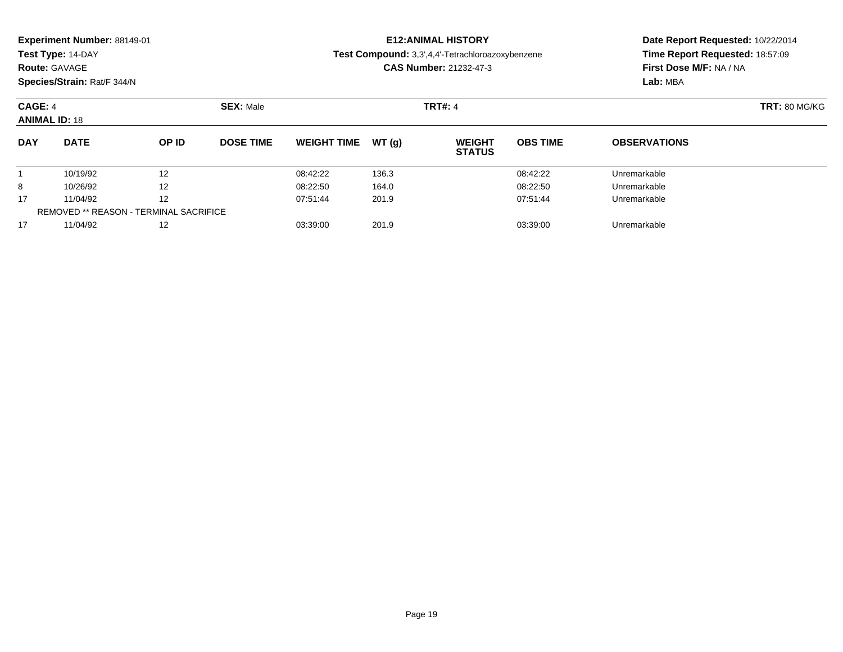|                                    | <b>Experiment Number: 88149-01</b><br>Test Type: 14-DAY<br><b>Route: GAVAGE</b><br>Species/Strain: Rat/F 344/N |  |                  |                               |        | <b>E12:ANIMAL HISTORY</b><br>Test Compound: 3,3',4,4'-Tetrachloroazoxybenzene<br><b>CAS Number: 21232-47-3</b> | Date Report Requested: 10/22/2014<br>Time Report Requested: 18:57:09<br>First Dose M/F: NA / NA<br>Lab: MBA |                     |
|------------------------------------|----------------------------------------------------------------------------------------------------------------|--|------------------|-------------------------------|--------|----------------------------------------------------------------------------------------------------------------|-------------------------------------------------------------------------------------------------------------|---------------------|
| CAGE: 4<br><b>ANIMAL ID: 18</b>    |                                                                                                                |  | <b>SEX: Male</b> |                               |        | <b>TRT#: 4</b>                                                                                                 | <b>TRT: 80 MG/KG</b>                                                                                        |                     |
| <b>DAY</b><br><b>DATE</b><br>OP ID |                                                                                                                |  | <b>DOSE TIME</b> | <b>WEIGHT TIME</b>            | WT (a) | <b>WEIGHT</b><br><b>STATUS</b>                                                                                 | <b>OBS TIME</b>                                                                                             | <b>OBSERVATIONS</b> |
| 10/19/92<br>12                     |                                                                                                                |  |                  | 136.3<br>08:42:22<br>08:42:22 |        |                                                                                                                | Unremarkable                                                                                                |                     |

10/26/92 <sup>12</sup> 08:22:50 164.0 08:22:50 Unremarkable

11/04/92 <sup>12</sup> 07:51:44 201.9 07:51:44 Unremarkable

11/04/92 <sup>12</sup> 03:39:00 201.9 03:39:00 Unremarkable

8

17

17

REMOVED \*\* REASON - TERMINAL SACRIFICE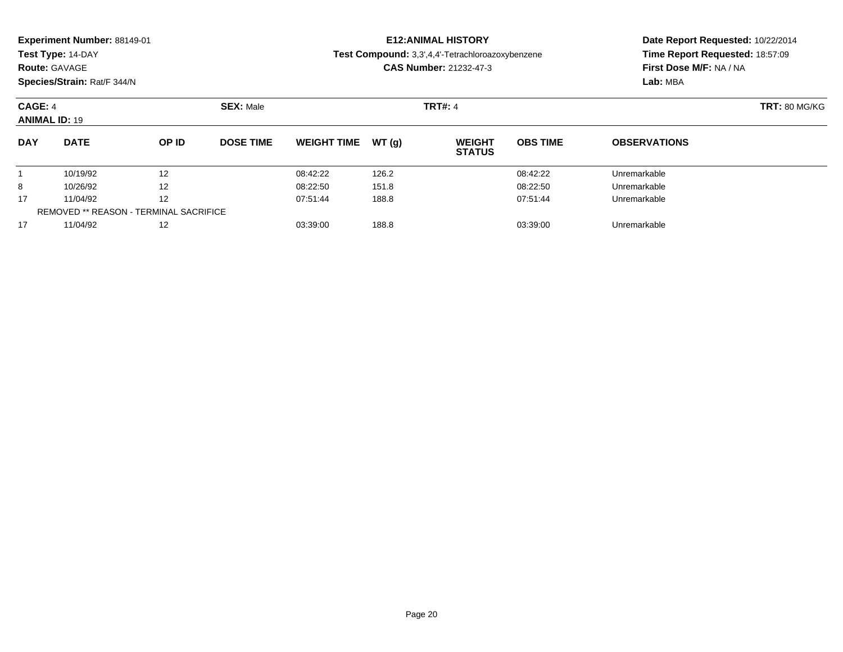|                                           | <b>Experiment Number: 88149-01</b> |                  |                                    | <b>E12:ANIMAL HISTORY</b> | Date Report Requested: 10/22/2014                |                                                            |                      |  |
|-------------------------------------------|------------------------------------|------------------|------------------------------------|---------------------------|--------------------------------------------------|------------------------------------------------------------|----------------------|--|
| Test Type: 14-DAY<br><b>Route: GAVAGE</b> |                                    |                  |                                    |                           | Test Compound: 3,3',4,4'-Tetrachloroazoxybenzene | Time Report Requested: 18:57:09<br>First Dose M/F: NA / NA |                      |  |
|                                           |                                    |                  |                                    |                           | <b>CAS Number: 21232-47-3</b>                    |                                                            |                      |  |
|                                           | Species/Strain: Rat/F 344/N        |                  |                                    |                           |                                                  | Lab: MBA                                                   |                      |  |
| CAGE: 4                                   |                                    |                  | <b>SEX: Male</b><br><b>TRT#: 4</b> |                           |                                                  |                                                            | <b>TRT: 80 MG/KG</b> |  |
| <b>ANIMAL ID: 19</b>                      |                                    |                  |                                    |                           |                                                  |                                                            |                      |  |
| <b>DAY</b>                                | <b>DATE</b><br>OP ID               | <b>DOSE TIME</b> | <b>WEIGHT TIME</b>                 | WT (a)                    | <b>WEIGHT</b><br><b>STATIIS</b>                  | <b>OBS TIME</b>                                            | <b>OBSERVATIONS</b>  |  |

|                                        |          |    |          |       | <b>SIAIUS</b> |              |  |
|----------------------------------------|----------|----|----------|-------|---------------|--------------|--|
|                                        | 10/19/92 | 12 | 08:42:22 | 126.2 | 08:42:22      | Unremarkable |  |
| 8                                      | 10/26/92 | 12 | 08:22:50 | 151.8 | 08:22:50      | Unremarkable |  |
| 17                                     | 11/04/92 | 12 | 07:51:44 | 188.8 | 07:51:44      | Unremarkable |  |
| REMOVED ** REASON - TERMINAL SACRIFICE |          |    |          |       |               |              |  |
|                                        | 11/04/92 | 12 | 03:39:00 | 188.8 | 03:39:00      | Unremarkable |  |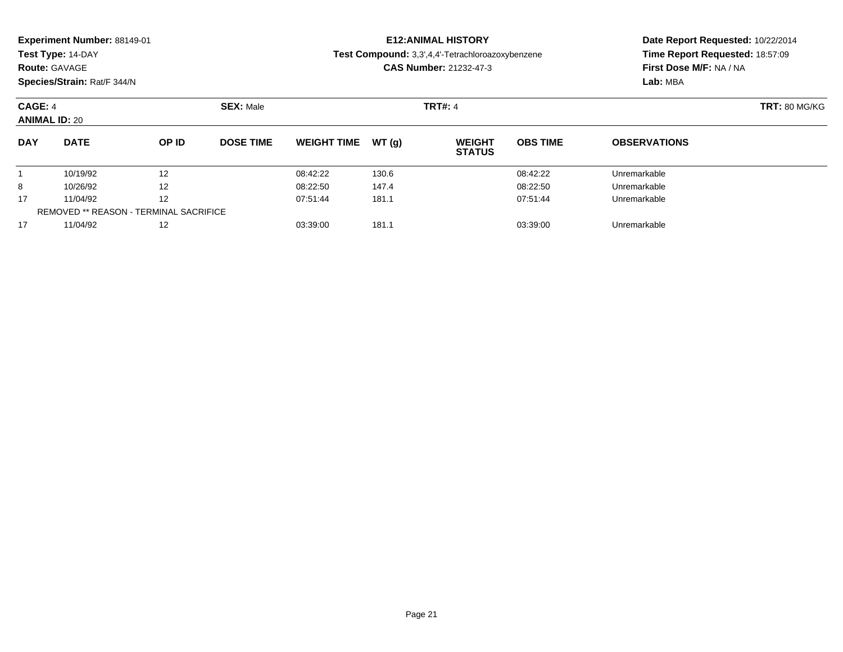| Experiment Number: 88149-01 |  |
|-----------------------------|--|
|-----------------------------|--|

### **Route:** GAVAGE

**Species/Strain:** Rat/F 344/N

### **E12:ANIMAL HISTORY**

**Test Compound:** 3,3',4,4'-Tetrachloroazoxybenzene

**CAS Number:** 21232-47-3

| CAGE: 4<br><b>ANIMAL ID: 20</b> |                                               | <b>SEX: Male</b> |                  |                    |       | <b>TRT#: 4</b>                 |                 |                     |  |
|---------------------------------|-----------------------------------------------|------------------|------------------|--------------------|-------|--------------------------------|-----------------|---------------------|--|
| <b>DAY</b>                      | <b>DATE</b>                                   | <b>OP ID</b>     | <b>DOSE TIME</b> | <b>WEIGHT TIME</b> | WT(q) | <b>WEIGHT</b><br><b>STATUS</b> | <b>OBS TIME</b> | <b>OBSERVATIONS</b> |  |
|                                 | 10/19/92                                      | 12               |                  | 08:42:22           | 130.6 |                                | 08:42:22        | Unremarkable        |  |
| 8                               | 10/26/92                                      | 12               |                  | 08:22:50           | 147.4 |                                | 08:22:50        | Unremarkable        |  |
| 17                              | 11/04/92                                      | 12               |                  | 07:51:44           | 181.1 |                                | 07:51:44        | Unremarkable        |  |
|                                 | <b>REMOVED ** REASON - TERMINAL SACRIFICE</b> |                  |                  |                    |       |                                |                 |                     |  |
| 17                              | 11/04/92                                      | 12               |                  | 03:39:00           | 181.1 |                                | 03:39:00        | Unremarkable        |  |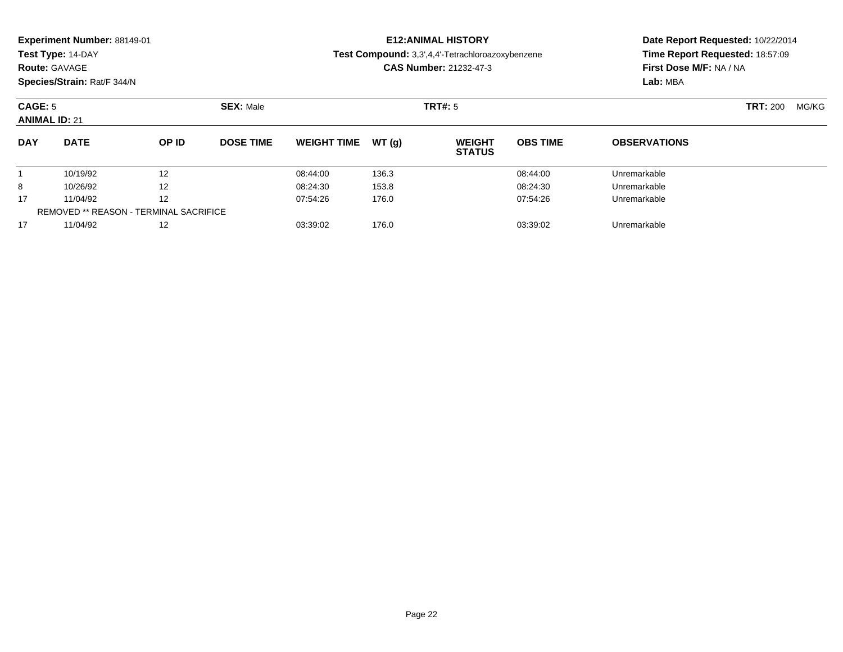| Experiment Number: 88149-01 |  |
|-----------------------------|--|
|-----------------------------|--|

### **Route:** GAVAGE

**Species/Strain:** Rat/F 344/N

### **E12:ANIMAL HISTORY**

**Test Compound:** 3,3',4,4'-Tetrachloroazoxybenzene

**CAS Number:** 21232-47-3

| CAGE: 5<br><b>ANIMAL ID: 21</b> |                                               | <b>SEX: Male</b> |                  | <b>TRT#:</b> 5     |       |                                | <b>TRT: 200</b> | MG/KG               |  |  |
|---------------------------------|-----------------------------------------------|------------------|------------------|--------------------|-------|--------------------------------|-----------------|---------------------|--|--|
| <b>DAY</b>                      | <b>DATE</b>                                   | <b>OP ID</b>     | <b>DOSE TIME</b> | <b>WEIGHT TIME</b> | WT(a) | <b>WEIGHT</b><br><b>STATUS</b> | <b>OBS TIME</b> | <b>OBSERVATIONS</b> |  |  |
|                                 | 10/19/92                                      | 12               |                  | 08:44:00           | 136.3 |                                | 08:44:00        | Unremarkable        |  |  |
| 8                               | 10/26/92                                      | 12               |                  | 08:24:30           | 153.8 |                                | 08:24:30        | Unremarkable        |  |  |
| 17                              | 11/04/92                                      | 12               |                  | 07:54:26           | 176.0 |                                | 07:54:26        | Unremarkable        |  |  |
|                                 | <b>REMOVED ** REASON - TERMINAL SACRIFICE</b> |                  |                  |                    |       |                                |                 |                     |  |  |
| 17                              | 11/04/92                                      | 12               |                  | 03:39:02           | 176.0 |                                | 03:39:02        | Unremarkable        |  |  |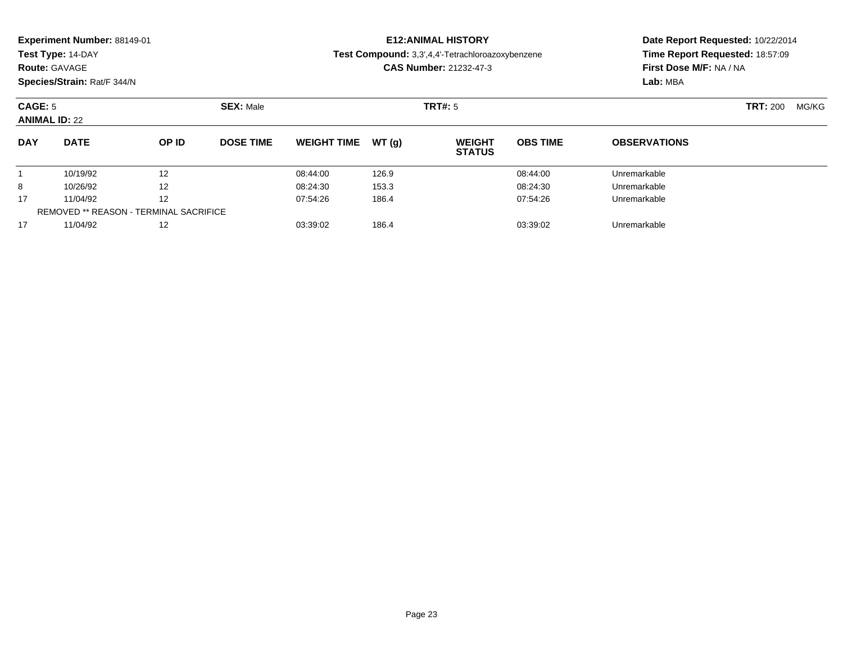### **Route:** GAVAGE

**Species/Strain:** Rat/F 344/N

### **E12:ANIMAL HISTORY**

**Test Compound:** 3,3',4,4'-Tetrachloroazoxybenzene

**CAS Number:** 21232-47-3

| CAGE: 5<br><b>ANIMAL ID: 22</b> |                                               | <b>SEX: Male</b> |                  | <b>TRT#: 5</b>     |        |                                | <b>TRT: 200</b> | MG/KG               |  |  |
|---------------------------------|-----------------------------------------------|------------------|------------------|--------------------|--------|--------------------------------|-----------------|---------------------|--|--|
| <b>DAY</b>                      | <b>DATE</b>                                   | OP ID            | <b>DOSE TIME</b> | <b>WEIGHT TIME</b> | WT (q) | <b>WEIGHT</b><br><b>STATUS</b> | <b>OBS TIME</b> | <b>OBSERVATIONS</b> |  |  |
|                                 | 10/19/92                                      | 12               |                  | 08:44:00           | 126.9  |                                | 08:44:00        | Unremarkable        |  |  |
| 8                               | 10/26/92                                      | 12               |                  | 08:24:30           | 153.3  |                                | 08:24:30        | Unremarkable        |  |  |
| 17                              | 11/04/92                                      | 12               |                  | 07:54:26           | 186.4  |                                | 07:54:26        | Unremarkable        |  |  |
|                                 | <b>REMOVED ** REASON - TERMINAL SACRIFICE</b> |                  |                  |                    |        |                                |                 |                     |  |  |
| 17                              | 11/04/92                                      | 12               |                  | 03:39:02           | 186.4  |                                | 03:39:02        | Unremarkable        |  |  |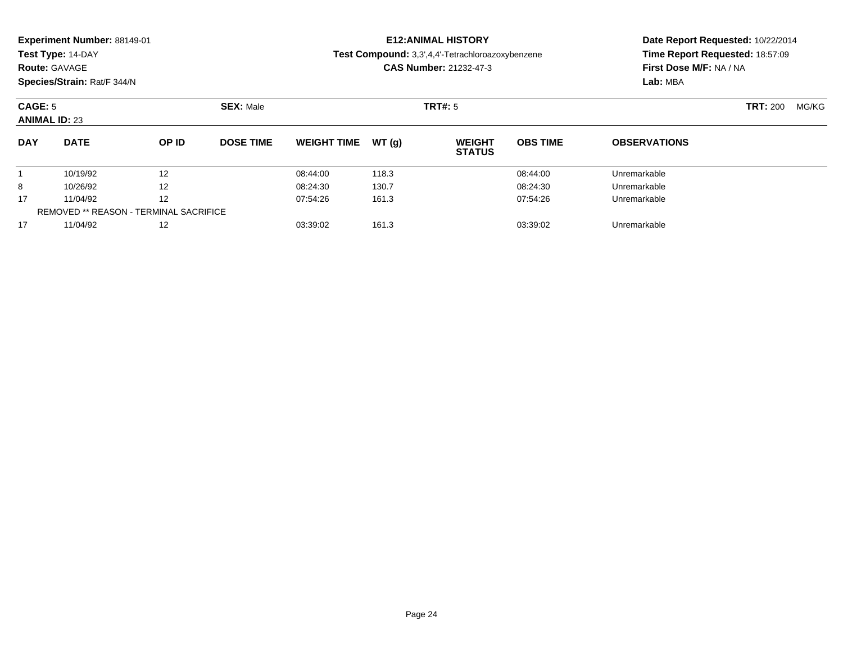| Experiment Number: 88149-01 |  |
|-----------------------------|--|
|-----------------------------|--|

### **Route:** GAVAGE

**Species/Strain:** Rat/F 344/N

### **E12:ANIMAL HISTORY**

**Test Compound:** 3,3',4,4'-Tetrachloroazoxybenzene

**CAS Number:** 21232-47-3

| <b>CAGE: 5</b><br><b>ANIMAL ID: 23</b> |                                               | <b>SEX: Male</b> |                  | <b>TRT#:</b> 5     |        |                                | <b>TRT: 200</b> | MG/KG               |  |  |
|----------------------------------------|-----------------------------------------------|------------------|------------------|--------------------|--------|--------------------------------|-----------------|---------------------|--|--|
| <b>DAY</b>                             | <b>DATE</b>                                   | OP ID            | <b>DOSE TIME</b> | <b>WEIGHT TIME</b> | WT (a) | <b>WEIGHT</b><br><b>STATUS</b> | <b>OBS TIME</b> | <b>OBSERVATIONS</b> |  |  |
|                                        | 10/19/92                                      | 12               |                  | 08:44:00           | 118.3  |                                | 08:44:00        | Unremarkable        |  |  |
| 8                                      | 10/26/92                                      | 12               |                  | 08:24:30           | 130.7  |                                | 08:24:30        | Unremarkable        |  |  |
| 17                                     | 11/04/92                                      | 12               |                  | 07:54:26           | 161.3  |                                | 07:54:26        | Unremarkable        |  |  |
|                                        | <b>REMOVED ** REASON - TERMINAL SACRIFICE</b> |                  |                  |                    |        |                                |                 |                     |  |  |
| 17                                     | 11/04/92                                      | 12               |                  | 03:39:02           | 161.3  |                                | 03:39:02        | Unremarkable        |  |  |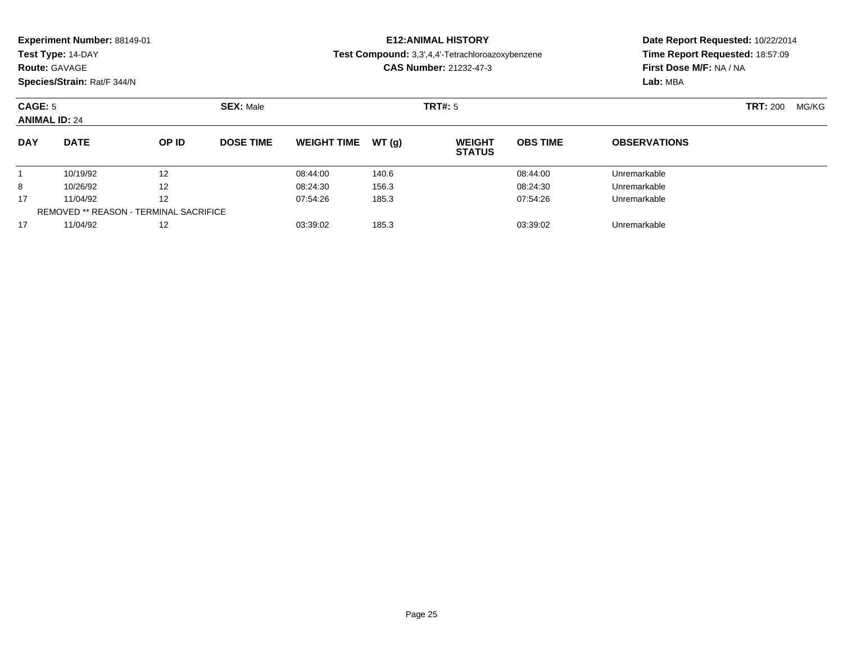| Experiment Number: 88149-01 |  |
|-----------------------------|--|
|-----------------------------|--|

### **Route:** GAVAGE

**Species/Strain:** Rat/F 344/N

### **E12:ANIMAL HISTORY**

**Test Compound:** 3,3',4,4'-Tetrachloroazoxybenzene

**CAS Number:** 21232-47-3

| CAGE: 5<br><b>ANIMAL ID: 24</b> |                                               | <b>SEX: Male</b> |                  | TRT#: 5            |       |                                | <b>TRT: 200</b> | MG/KG               |  |  |
|---------------------------------|-----------------------------------------------|------------------|------------------|--------------------|-------|--------------------------------|-----------------|---------------------|--|--|
| <b>DAY</b>                      | <b>DATE</b>                                   | OP ID            | <b>DOSE TIME</b> | <b>WEIGHT TIME</b> | WT(q) | <b>WEIGHT</b><br><b>STATUS</b> | <b>OBS TIME</b> | <b>OBSERVATIONS</b> |  |  |
|                                 | 10/19/92                                      | 12               |                  | 08:44:00           | 140.6 |                                | 08:44:00        | Unremarkable        |  |  |
| 8                               | 10/26/92                                      | 12               |                  | 08:24:30           | 156.3 |                                | 08:24:30        | Unremarkable        |  |  |
| 17                              | 11/04/92                                      | 12               |                  | 07:54:26           | 185.3 |                                | 07:54:26        | Unremarkable        |  |  |
|                                 | <b>REMOVED ** REASON - TERMINAL SACRIFICE</b> |                  |                  |                    |       |                                |                 |                     |  |  |
| 17                              | 11/04/92                                      | 12               |                  | 03:39:02           | 185.3 |                                | 03:39:02        | Unremarkable        |  |  |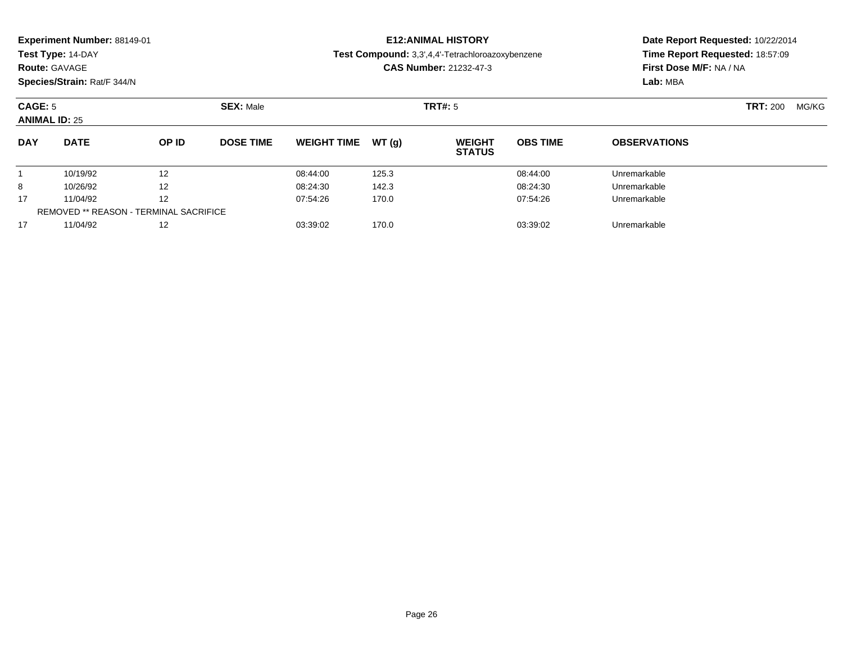| Experiment Number: 88149-01 |
|-----------------------------|
|-----------------------------|

### **Route:** GAVAGE

**Species/Strain:** Rat/F 344/N

### **E12:ANIMAL HISTORY**

**Test Compound:** 3,3',4,4'-Tetrachloroazoxybenzene

**CAS Number:** 21232-47-3

| <b>CAGE: 5</b><br><b>ANIMAL ID: 25</b> |                                               |       | <b>SEX: Male</b> |                    |        | <b>TRT#:</b> 5                 |                 |                     |  | MG/KG |
|----------------------------------------|-----------------------------------------------|-------|------------------|--------------------|--------|--------------------------------|-----------------|---------------------|--|-------|
| <b>DAY</b>                             | <b>DATE</b>                                   | OP ID | <b>DOSE TIME</b> | <b>WEIGHT TIME</b> | WT (a) | <b>WEIGHT</b><br><b>STATUS</b> | <b>OBS TIME</b> | <b>OBSERVATIONS</b> |  |       |
|                                        | 10/19/92                                      | 12    |                  | 08:44:00           | 125.3  |                                | 08:44:00        | Unremarkable        |  |       |
| 8                                      | 10/26/92                                      | 12    |                  | 08:24:30           | 142.3  |                                | 08:24:30        | Unremarkable        |  |       |
| 17                                     | 11/04/92                                      | 12    |                  | 07:54:26           | 170.0  |                                | 07:54:26        | Unremarkable        |  |       |
|                                        | <b>REMOVED ** REASON - TERMINAL SACRIFICE</b> |       |                  |                    |        |                                |                 |                     |  |       |
| 17                                     | 11/04/92                                      | 12    |                  | 03:39:02           | 170.0  |                                | 03:39:02        | Unremarkable        |  |       |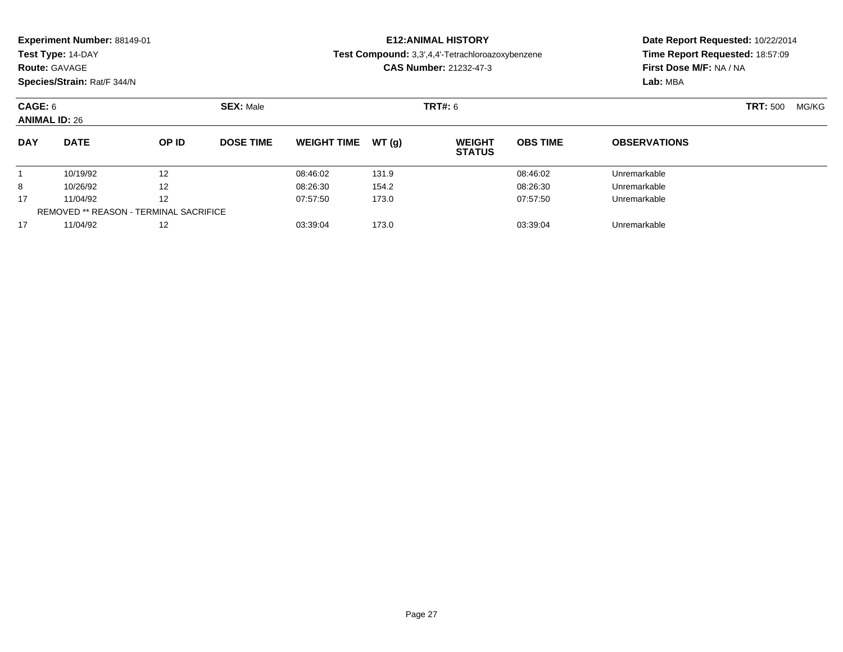### **Route:** GAVAGE

**Species/Strain:** Rat/F 344/N

### **E12:ANIMAL HISTORY**

**Test Compound:** 3,3',4,4'-Tetrachloroazoxybenzene

**CAS Number:** 21232-47-3

| CAGE: 6<br><b>ANIMAL ID: 26</b> |                                               |       | <b>SEX: Male</b> |                    |        | <b>TRT#:</b> 6                 |                 |                     |  | MG/KG |
|---------------------------------|-----------------------------------------------|-------|------------------|--------------------|--------|--------------------------------|-----------------|---------------------|--|-------|
| <b>DAY</b>                      | <b>DATE</b>                                   | OP ID | <b>DOSE TIME</b> | <b>WEIGHT TIME</b> | WT (a) | <b>WEIGHT</b><br><b>STATUS</b> | <b>OBS TIME</b> | <b>OBSERVATIONS</b> |  |       |
|                                 | 10/19/92                                      | 12    |                  | 08:46:02           | 131.9  |                                | 08:46:02        | Unremarkable        |  |       |
| 8                               | 10/26/92                                      | 12    |                  | 08:26:30           | 154.2  |                                | 08:26:30        | Unremarkable        |  |       |
| 17                              | 11/04/92                                      | 12    |                  | 07:57:50           | 173.0  |                                | 07:57:50        | Unremarkable        |  |       |
|                                 | <b>REMOVED ** REASON - TERMINAL SACRIFICE</b> |       |                  |                    |        |                                |                 |                     |  |       |
| 17                              | 11/04/92                                      | 12    |                  | 03:39:04           | 173.0  |                                | 03:39:04        | Unremarkable        |  |       |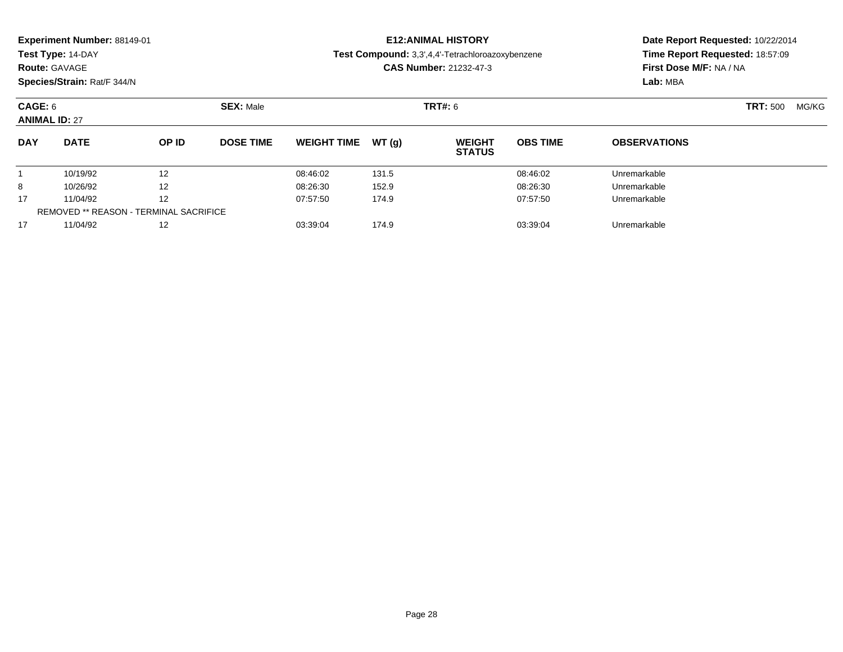| Experiment Number: 88149-01 |                |
|-----------------------------|----------------|
|                             | $T - 1$ $\sim$ |

## **Route:** GAVAGE

**Species/Strain:** Rat/F 344/N

### **E12:ANIMAL HISTORY**

**Test Compound:** 3,3',4,4'-Tetrachloroazoxybenzene

**CAS Number:** 21232-47-3

| CAGE: 6<br><b>ANIMAL ID: 27</b> |                                               |              | <b>SEX: Male</b> |                    |       | <b>TRT#:</b> 6                 |                 |                     |  | <b>TRT:</b> 500<br>MG/KG |
|---------------------------------|-----------------------------------------------|--------------|------------------|--------------------|-------|--------------------------------|-----------------|---------------------|--|--------------------------|
| <b>DAY</b>                      | <b>DATE</b>                                   | <b>OP ID</b> | <b>DOSE TIME</b> | <b>WEIGHT TIME</b> | WT(a) | <b>WEIGHT</b><br><b>STATUS</b> | <b>OBS TIME</b> | <b>OBSERVATIONS</b> |  |                          |
|                                 | 10/19/92                                      | 12           |                  | 08:46:02           | 131.5 |                                | 08:46:02        | Unremarkable        |  |                          |
| 8                               | 10/26/92                                      | 12           |                  | 08:26:30           | 152.9 |                                | 08:26:30        | Unremarkable        |  |                          |
| 17                              | 11/04/92                                      | 12           |                  | 07:57:50           | 174.9 |                                | 07:57:50        | Unremarkable        |  |                          |
|                                 | <b>REMOVED ** REASON - TERMINAL SACRIFICE</b> |              |                  |                    |       |                                |                 |                     |  |                          |
| 17                              | 11/04/92                                      | 12           |                  | 03:39:04           | 174.9 |                                | 03:39:04        | Unremarkable        |  |                          |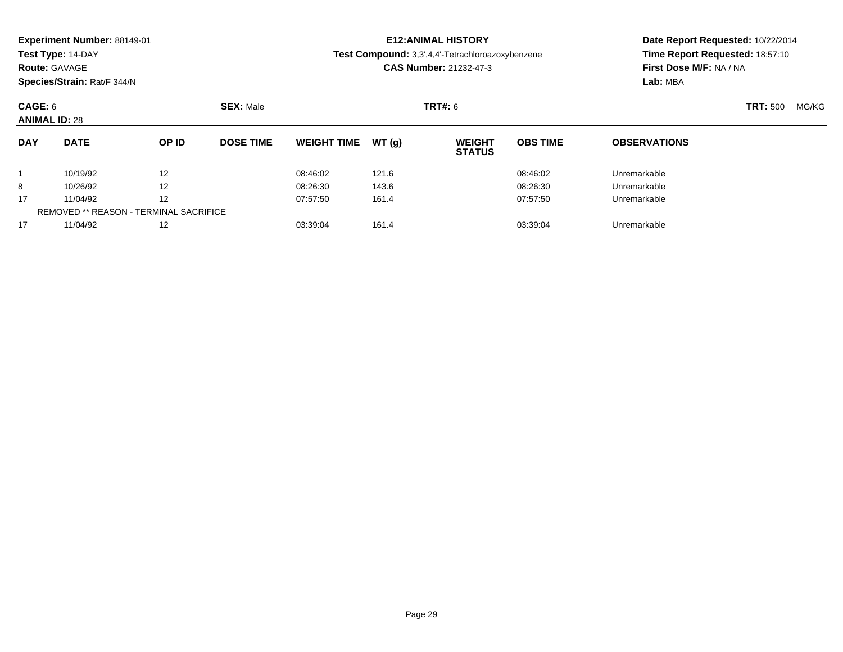### **Route:** GAVAGE

**Species/Strain:** Rat/F 344/N

### **E12:ANIMAL HISTORY**

**Test Compound:** 3,3',4,4'-Tetrachloroazoxybenzene

**CAS Number:** 21232-47-3

| CAGE: 6<br><b>ANIMAL ID: 28</b> |                                               |       | <b>SEX: Male</b> |                    |       | <b>TRT#: 6</b>                 |                 |                     |  | MG/KG |
|---------------------------------|-----------------------------------------------|-------|------------------|--------------------|-------|--------------------------------|-----------------|---------------------|--|-------|
| <b>DAY</b>                      | <b>DATE</b>                                   | OP ID | <b>DOSE TIME</b> | <b>WEIGHT TIME</b> | WT(q) | <b>WEIGHT</b><br><b>STATUS</b> | <b>OBS TIME</b> | <b>OBSERVATIONS</b> |  |       |
|                                 | 10/19/92                                      | 12    |                  | 08:46:02           | 121.6 |                                | 08:46:02        | Unremarkable        |  |       |
| 8                               | 10/26/92                                      | 12    |                  | 08:26:30           | 143.6 |                                | 08:26:30        | Unremarkable        |  |       |
| 17                              | 11/04/92                                      | 12    |                  | 07:57:50           | 161.4 |                                | 07:57:50        | Unremarkable        |  |       |
|                                 | <b>REMOVED ** REASON - TERMINAL SACRIFICE</b> |       |                  |                    |       |                                |                 |                     |  |       |
| 17                              | 11/04/92                                      | 12    |                  | 03:39:04           | 161.4 |                                | 03:39:04        | Unremarkable        |  |       |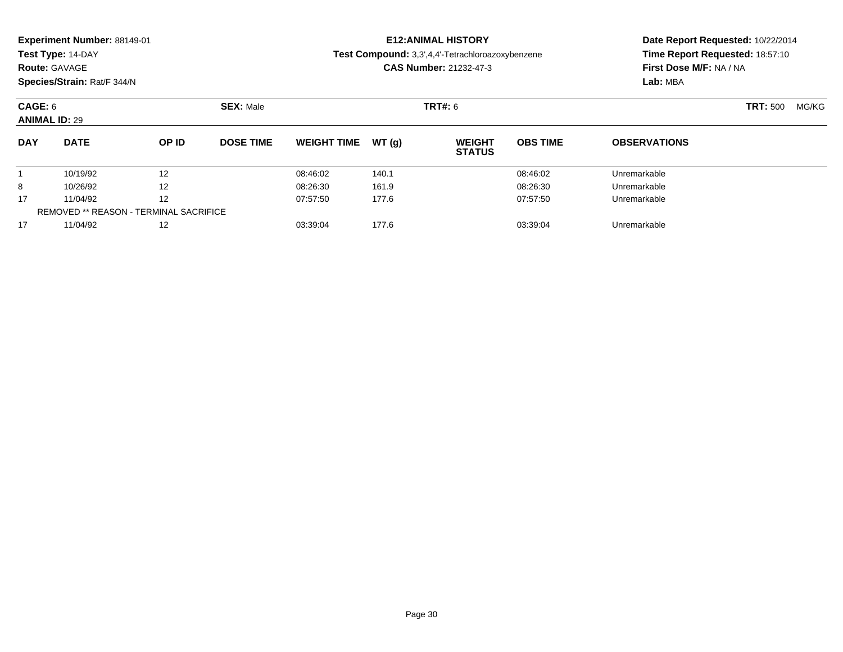| <b>Experiment Number: 88149-01</b> | <b>E12:ANIMAL HISTORY</b>                               |
|------------------------------------|---------------------------------------------------------|
| Test Type: 14-DAY                  | <b>Test Compound:</b> 3.3'.4.4'-Tetrachloroazoxybenzene |
| <b>Route: GAVAGE</b>               | <b>CAS Number: 21232-47-3</b>                           |

**Species/Strain:** Rat/F 344/N

### **CAS Number:** 21232-47-3

### **Date Report Requested:** 10/22/2014**Time Report Requested:** 18:57:10**First Dose M/F:** NA / NA**Lab:** MBA

#### **CAGE:** 6 **SEX:** Male **TRT#:** <sup>6</sup> **TRT:** 500 MG/KG**ANIMAL ID:** 29**DAY DATE OP IDDOSE TIME WEIGHT TIME WT** (g) **STATUSOBS TIME OBSERVATIONS** 1 10/19/92 <sup>12</sup> 08:46:02 140.1 08:46:02 Unremarkable 8 10/26/92 <sup>12</sup> 08:26:30 161.9 08:26:30 Unremarkable 17 11/04/92 <sup>12</sup> 07:57:50 177.6 07:57:50 Unremarkable REMOVED \*\* REASON - TERMINAL SACRIFICE17

11/04/92 <sup>12</sup> 03:39:04 177.6 03:39:04 Unremarkable

Page 30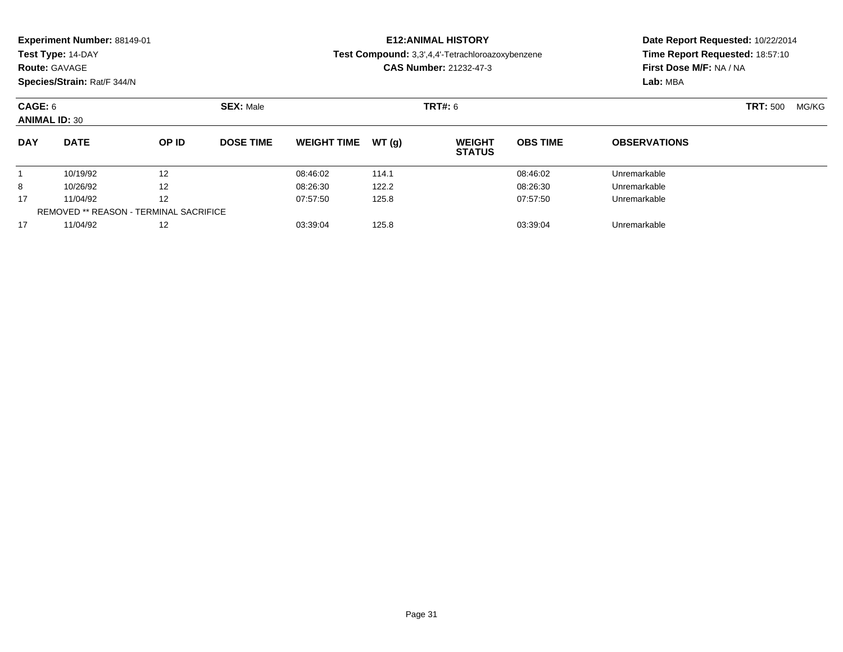| <b>Experiment Number: 88149-01</b><br>Test Type: 14-DAY<br><b>Route: GAVAGE</b><br>Species/Strain: Rat/F 344/N<br>CAGE: 6<br><b>ANIMAL ID: 30</b> |                      |  |                  |                     | <b>E12:ANIMAL HISTORY</b><br>Test Compound: 3,3',4,4'-Tetrachloroazoxybenzene<br><b>CAS Number: 21232-47-3</b> |                 | Date Report Requested: 10/22/2014<br>Time Report Requested: 18:57:10<br><b>First Dose M/F: NA / NA</b><br>Lab: MBA |       |  |
|---------------------------------------------------------------------------------------------------------------------------------------------------|----------------------|--|------------------|---------------------|----------------------------------------------------------------------------------------------------------------|-----------------|--------------------------------------------------------------------------------------------------------------------|-------|--|
|                                                                                                                                                   |                      |  | <b>SEX: Male</b> |                     | <b>TRT#:</b> 6                                                                                                 | <b>TRT: 500</b> |                                                                                                                    | MG/KG |  |
| <b>DAY</b>                                                                                                                                        | <b>DATE</b><br>OP ID |  | <b>DOSE TIME</b> | WEIGHT TIME $WT(a)$ | <b>WEIGHT</b><br><b>STATUS</b>                                                                                 | <b>OBS TIME</b> | <b>OBSERVATIONS</b>                                                                                                |       |  |

10/19/92 <sup>12</sup> 08:46:02 114.1 08:46:02 Unremarkable

10/26/92 <sup>12</sup> 08:26:30 122.2 08:26:30 Unremarkable

11/04/92 <sup>12</sup> 07:57:50 125.8 07:57:50 Unremarkable

11/04/92 <sup>12</sup> 03:39:04 125.8 03:39:04 Unremarkable

1

8

17

17

REMOVED \*\* REASON - TERMINAL SACRIFICE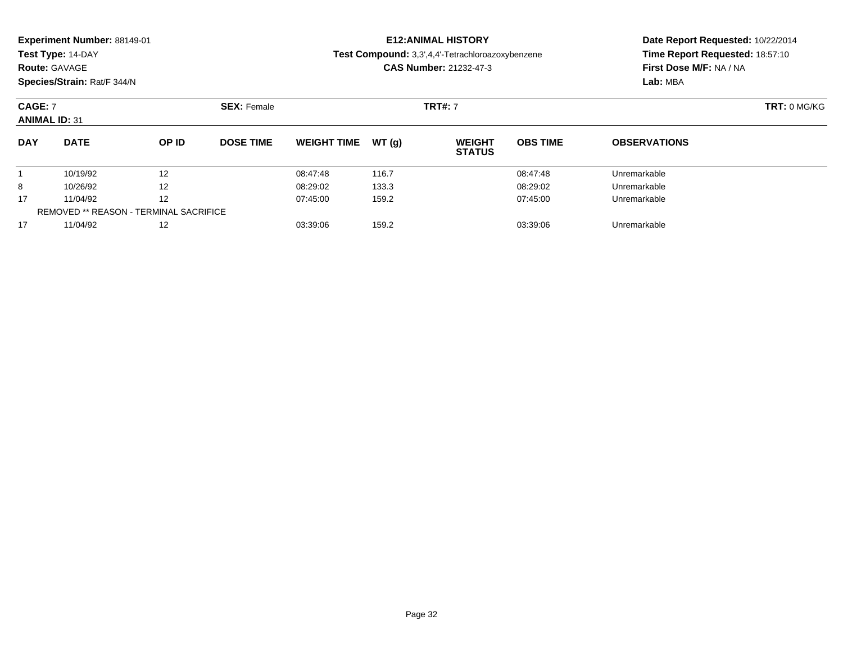| Experiment Number: 88149-01<br>Test Type: 14-DAY<br><b>Route: GAVAGE</b><br>Species/Strain: Rat/F 344/N |             |                    |                  |                    |                | <b>E12: ANIMAL HISTORY</b><br><b>Test Compound:</b> 3,3',4,4'-Tetrachloroazoxybenzene<br><b>CAS Number: 21232-47-3</b> | Date Report Requested: 10/22/2014<br>Time Report Requested: 18:57:10<br>First Dose M/F: NA / NA<br>Lab: MBA |                     |  |
|---------------------------------------------------------------------------------------------------------|-------------|--------------------|------------------|--------------------|----------------|------------------------------------------------------------------------------------------------------------------------|-------------------------------------------------------------------------------------------------------------|---------------------|--|
| <b>CAGE: 7</b><br><b>ANIMAL ID: 31</b>                                                                  |             | <b>SEX: Female</b> |                  |                    | <b>TRT#: 7</b> | TRT: 0 MG/KG                                                                                                           |                                                                                                             |                     |  |
| <b>DAY</b>                                                                                              | <b>DATE</b> | <b>OP ID</b>       | <b>DOSE TIME</b> | <b>WEIGHT TIME</b> | WT(q)          | <b>WEIGHT</b><br><b>STATUS</b>                                                                                         | <b>OBS TIME</b>                                                                                             | <b>OBSERVATIONS</b> |  |
|                                                                                                         | 10/19/92    | 12                 |                  | 08:47:48           | 116.7          |                                                                                                                        | 08:47:48                                                                                                    | Unremarkable        |  |
| 8                                                                                                       | 10/26/92    | 12                 |                  | 08:29:02           | 133.3          |                                                                                                                        | 08:29:02                                                                                                    | Unremarkable        |  |
| 17                                                                                                      | 11/04/92    | 12                 |                  | 07:45:00           | 159.2          |                                                                                                                        | 07:45:00                                                                                                    | Unremarkable        |  |

11/04/92 <sup>12</sup> 03:39:06 159.2 03:39:06 Unremarkable

REMOVED \*\* REASON - TERMINAL SACRIFICE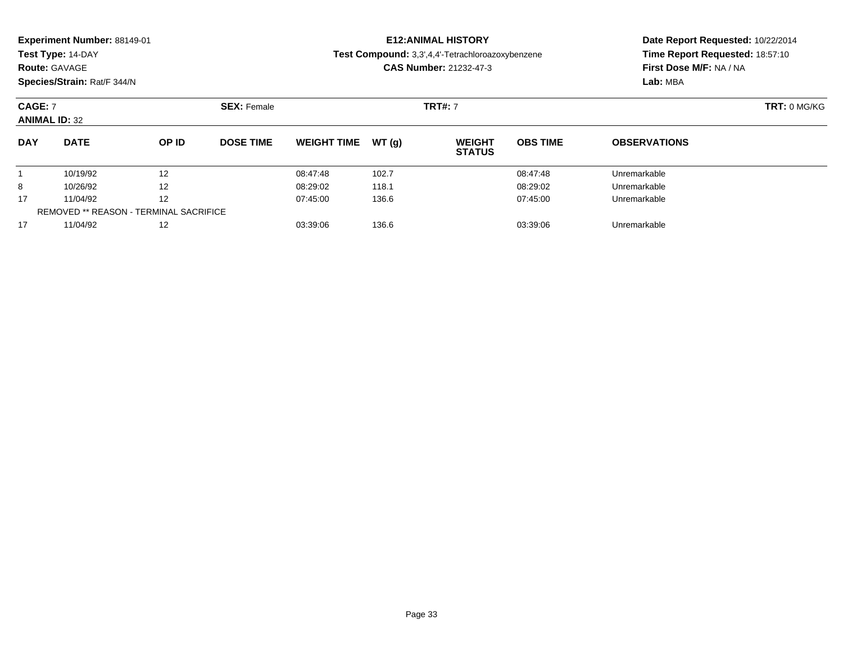| Experiment Number: 88149-01<br>Test Type: 14-DAY<br><b>Route: GAVAGE</b><br>Species/Strain: Rat/F 344/N |                      |                    |                  |                      |                | <b>E12: ANIMAL HISTORY</b><br>Test Compound: 3,3',4,4'-Tetrachloroazoxybenzene<br><b>CAS Number: 21232-47-3</b> | Date Report Requested: 10/22/2014<br>Time Report Requested: 18:57:10<br>First Dose M/F: NA / NA<br>Lab: MBA |                              |  |
|---------------------------------------------------------------------------------------------------------|----------------------|--------------------|------------------|----------------------|----------------|-----------------------------------------------------------------------------------------------------------------|-------------------------------------------------------------------------------------------------------------|------------------------------|--|
| <b>CAGE: 7</b><br><b>ANIMAL ID: 32</b>                                                                  |                      | <b>SEX: Female</b> | <b>TRT#: 7</b>   |                      |                |                                                                                                                 |                                                                                                             | <b>TRT: 0 MG/KG</b>          |  |
| <b>DAY</b>                                                                                              | <b>DATE</b>          | OP ID              | <b>DOSE TIME</b> | <b>WEIGHT TIME</b>   | WT(a)          | <b>WEIGHT</b><br><b>STATUS</b>                                                                                  | <b>OBS TIME</b>                                                                                             | <b>OBSERVATIONS</b>          |  |
| 8                                                                                                       | 10/19/92<br>10/26/92 | 12<br>12           |                  | 08:47:48<br>08:29:02 | 102.7<br>118.1 |                                                                                                                 | 08:47:48<br>08:29:02                                                                                        | Unremarkable<br>Unremarkable |  |

11/04/92 <sup>12</sup> 07:45:00 136.6 07:45:00 Unremarkable

11/04/92 <sup>12</sup> 03:39:06 136.6 03:39:06 Unremarkable

17

17

REMOVED \*\* REASON - TERMINAL SACRIFICE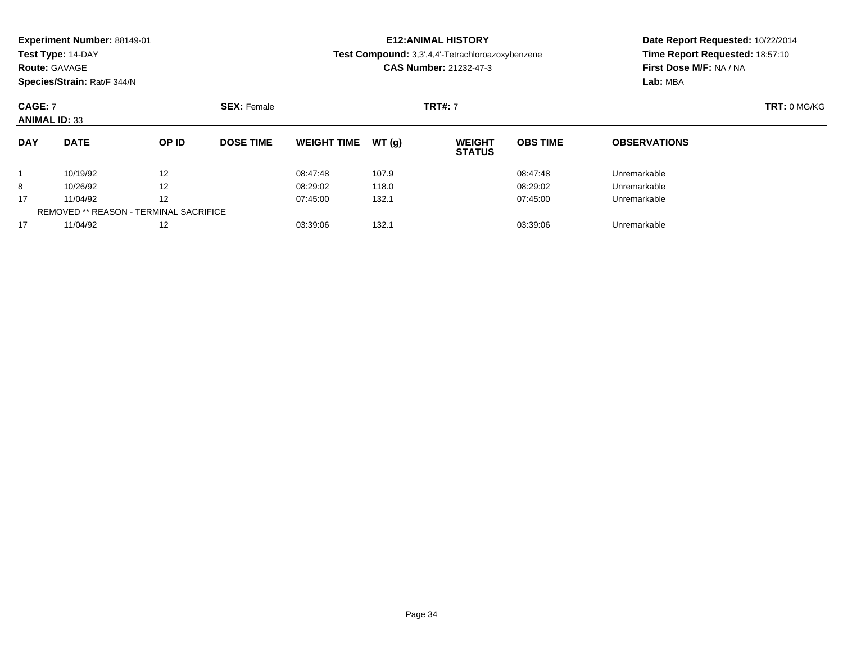| <b>Experiment Number: 88149-01</b> | <b>E12:ANIMAL HISTORY</b>             |
|------------------------------------|---------------------------------------|
| <b>Test Type: 14-DAY</b>           | Test Compound: 3,3',4,4'-Tetrachloroa |
| <b>Route: GAVAGE</b>               | <b>CAS Number: 21232-47-3</b>         |

### **Date Report Requested:** 10/22/2014**Time Report Requested:** 18:57:10**First Dose M/F:** NA / NA

**Lab:** MBA

**Species/Strain:** Rat/F 344/N

# **Test Compound:** 3,3',4,4'-Tetrachloroazoxybenzene

**CAS Number:** 21232-47-3

| <b>CAGE: 7</b><br><b>ANIMAL ID: 33</b> |             |                                               | <b>SEX: Female</b> |                    |       | <b>TRT#: 7</b>                 |                 |                     | <b>TRT: 0 MG/KG</b> |
|----------------------------------------|-------------|-----------------------------------------------|--------------------|--------------------|-------|--------------------------------|-----------------|---------------------|---------------------|
| <b>DAY</b>                             | <b>DATE</b> | OP ID                                         | <b>DOSE TIME</b>   | <b>WEIGHT TIME</b> | WT(g) | <b>WEIGHT</b><br><b>STATUS</b> | <b>OBS TIME</b> | <b>OBSERVATIONS</b> |                     |
|                                        | 10/19/92    | $12 \overline{ }$                             |                    | 08:47:48           | 107.9 |                                | 08:47:48        | Unremarkable        |                     |
| 8                                      | 10/26/92    | $12 \overline{ }$                             |                    | 08:29:02           | 118.0 |                                | 08:29:02        | Unremarkable        |                     |
| 17                                     | 11/04/92    | 12                                            |                    | 07:45:00           | 132.1 |                                | 07:45:00        | Unremarkable        |                     |
|                                        |             | <b>REMOVED ** REASON - TERMINAL SACRIFICE</b> |                    |                    |       |                                |                 |                     |                     |
| 17                                     | 11/04/92    | 12                                            |                    | 03:39:06           | 132.1 |                                | 03:39:06        | Unremarkable        |                     |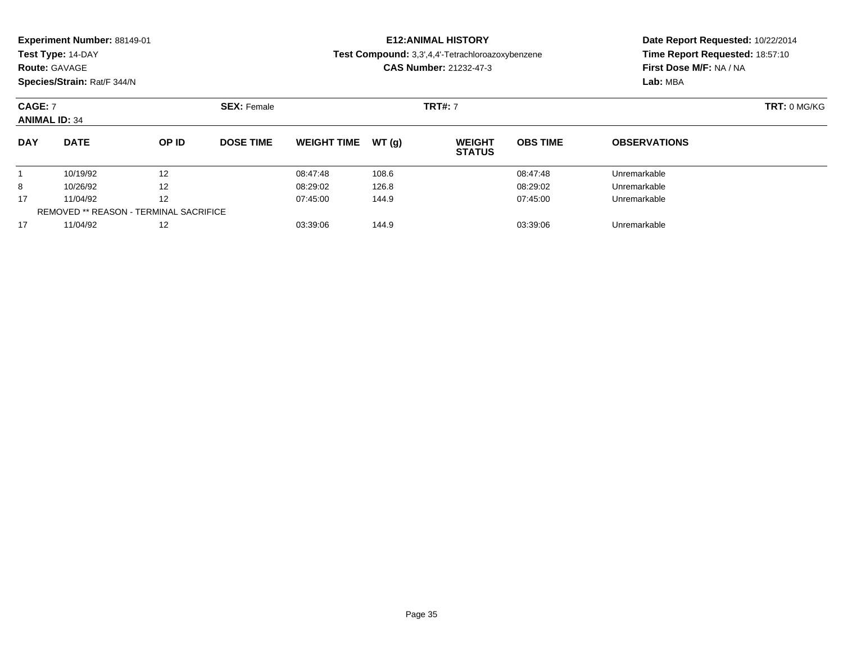| Experiment Number: 88149-01<br>Test Type: 14-DAY<br><b>Route: GAVAGE</b><br>Species/Strain: Rat/F 344/N |                      |          |                    |                      |                | <b>E12: ANIMAL HISTORY</b><br>Test Compound: 3,3',4,4'-Tetrachloroazoxybenzene<br><b>CAS Number: 21232-47-3</b> |                      | Date Report Requested: 10/22/2014<br>Time Report Requested: 18:57:10<br>First Dose M/F: NA / NA<br>Lab: MBA |  |
|---------------------------------------------------------------------------------------------------------|----------------------|----------|--------------------|----------------------|----------------|-----------------------------------------------------------------------------------------------------------------|----------------------|-------------------------------------------------------------------------------------------------------------|--|
| <b>CAGE: 7</b><br><b>ANIMAL ID: 34</b>                                                                  |                      |          | <b>SEX: Female</b> | <b>TRT#: 7</b>       |                |                                                                                                                 |                      | <b>TRT: 0 MG/KG</b>                                                                                         |  |
| <b>DAY</b>                                                                                              | <b>DATE</b>          | OP ID    | <b>DOSE TIME</b>   | <b>WEIGHT TIME</b>   | WT(a)          | <b>WEIGHT</b><br><b>STATUS</b>                                                                                  | <b>OBS TIME</b>      | <b>OBSERVATIONS</b>                                                                                         |  |
| 8                                                                                                       | 10/19/92<br>10/26/92 | 12<br>12 |                    | 08:47:48<br>08:29:02 | 108.6<br>126.8 |                                                                                                                 | 08:47:48<br>08:29:02 | Unremarkable<br>Unremarkable                                                                                |  |

11/04/92 <sup>12</sup> 07:45:00 144.9 07:45:00 Unremarkable

11/04/92 <sup>12</sup> 03:39:06 144.9 03:39:06 Unremarkable

17

17

REMOVED \*\* REASON - TERMINAL SACRIFICE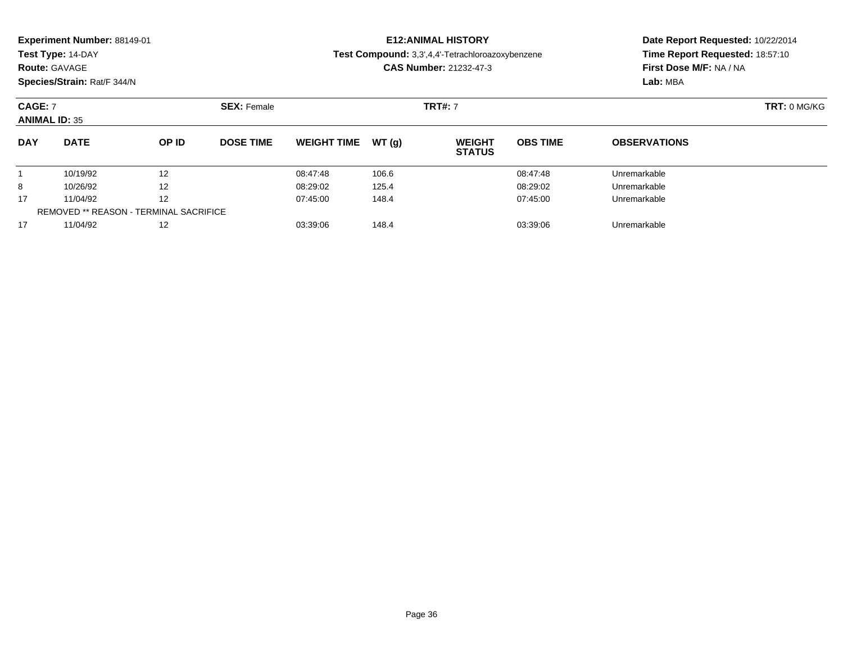|                                        | <b>Experiment Number: 88149-01</b><br>Test Type: 14-DAY<br><b>Route: GAVAGE</b><br>Species/Strain: Rat/F 344/N |              |                    |                     | <b>E12:ANIMAL HISTORY</b><br>Test Compound: 3,3',4,4'-Tetrachloroazoxybenzene<br><b>CAS Number: 21232-47-3</b> |                 | Date Report Requested: 10/22/2014<br>Time Report Requested: 18:57:10<br>First Dose M/F: NA / NA<br>Lab: MBA |  |  |
|----------------------------------------|----------------------------------------------------------------------------------------------------------------|--------------|--------------------|---------------------|----------------------------------------------------------------------------------------------------------------|-----------------|-------------------------------------------------------------------------------------------------------------|--|--|
| <b>CAGE: 7</b><br><b>ANIMAL ID: 35</b> |                                                                                                                |              | <b>SEX: Female</b> |                     | <b>TRT#: 7</b>                                                                                                 |                 | <b>TRT: 0 MG/KG</b>                                                                                         |  |  |
| <b>DAY</b>                             | <b>DATE</b>                                                                                                    | <b>OP ID</b> | <b>DOSE TIME</b>   | WEIGHT TIME $WT(q)$ | <b>WEIGHT</b><br><b>STATUS</b>                                                                                 | <b>OBS TIME</b> | <b>OBSERVATIONS</b>                                                                                         |  |  |

1 10/19/92 12 12 08:47:48 106.6 08:47:48 08:47:48 Unremarkable

8 10/26/92 12 12 08:29:02 125.4 08:29:02 125.4 08:29:02 125.4

11/04/92 <sup>12</sup> 07:45:00 148.4 07:45:00 Unremarkable

11/04/92 <sup>12</sup> 03:39:06 148.4 03:39:06 Unremarkable

1

8

17

17

REMOVED \*\* REASON - TERMINAL SACRIFICE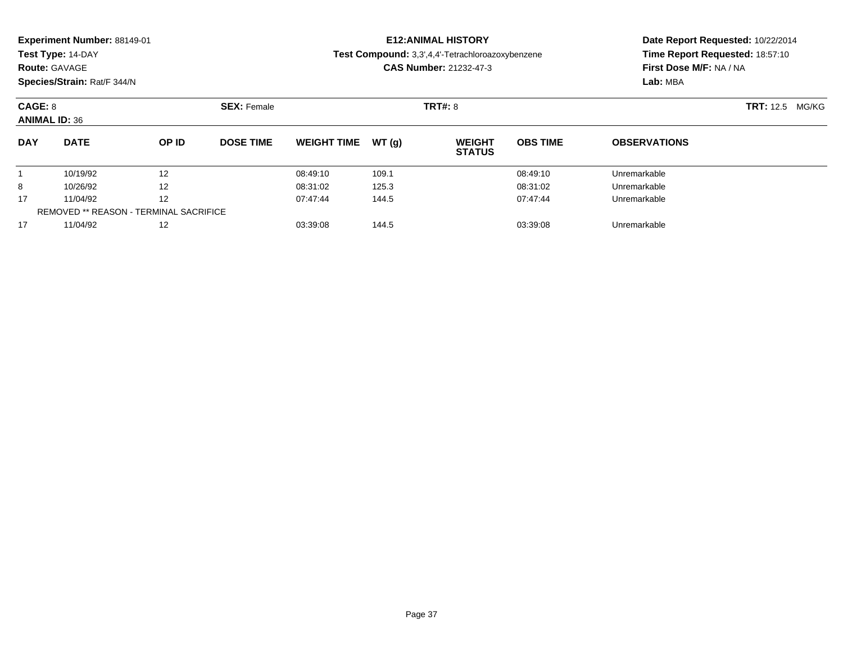| Experiment Number: 88149-01 |  |  |
|-----------------------------|--|--|
|-----------------------------|--|--|

### **Route:** GAVAGE

**Species/Strain:** Rat/F 344/N

### **E12:ANIMAL HISTORY**

**Test Compound:** 3,3',4,4'-Tetrachloroazoxybenzene

**CAS Number:** 21232-47-3

| CAGE: 8<br><b>ANIMAL ID: 36</b> |                                        |                   | <b>SEX: Female</b> |                    |        | <b>TRT#: 8</b>                 | <b>TRT:</b> 12.5<br>MG/KG |                     |  |
|---------------------------------|----------------------------------------|-------------------|--------------------|--------------------|--------|--------------------------------|---------------------------|---------------------|--|
| <b>DAY</b>                      | <b>DATE</b>                            | OP ID             | <b>DOSE TIME</b>   | <b>WEIGHT TIME</b> | WT (a) | <b>WEIGHT</b><br><b>STATUS</b> | <b>OBS TIME</b>           | <b>OBSERVATIONS</b> |  |
|                                 | 10/19/92                               | 12                |                    | 08:49:10           | 109.1  |                                | 08:49:10                  | Unremarkable        |  |
| 8                               | 10/26/92                               | 12                |                    | 08:31:02           | 125.3  |                                | 08:31:02                  | Unremarkable        |  |
| 17                              | 11/04/92                               | $12 \overline{ }$ |                    | 07:47:44           | 144.5  |                                | 07:47:44                  | Unremarkable        |  |
|                                 | REMOVED ** REASON - TERMINAL SACRIFICE |                   |                    |                    |        |                                |                           |                     |  |
| 17                              | 11/04/92                               | 12                |                    | 03:39:08           | 144.5  |                                | 03:39:08                  | Unremarkable        |  |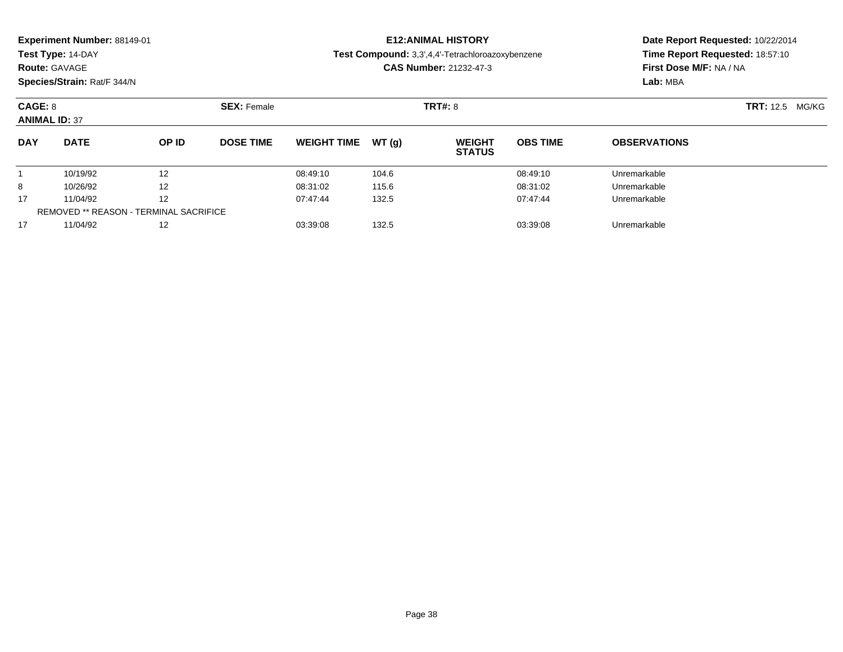| Experiment Number: 88149-01 |
|-----------------------------|
|-----------------------------|

### **Route:** GAVAGE

**Species/Strain:** Rat/F 344/N

### **E12:ANIMAL HISTORY**

**Test Compound:** 3,3',4,4'-Tetrachloroazoxybenzene

**CAS Number:** 21232-47-3

| CAGE: 8<br><b>ANIMAL ID: 37</b> |                                               |       | <b>SEX: Female</b> |                    |        | <b>TRT#: 8</b>                 |                 |                     | <b>TRT:</b> 12.5 MG/KG |
|---------------------------------|-----------------------------------------------|-------|--------------------|--------------------|--------|--------------------------------|-----------------|---------------------|------------------------|
| <b>DAY</b>                      | <b>DATE</b>                                   | OP ID | <b>DOSE TIME</b>   | <b>WEIGHT TIME</b> | WT (a) | <b>WEIGHT</b><br><b>STATUS</b> | <b>OBS TIME</b> | <b>OBSERVATIONS</b> |                        |
|                                 | 10/19/92                                      | 12    |                    | 08:49:10           | 104.6  |                                | 08:49:10        | Unremarkable        |                        |
| 8                               | 10/26/92                                      | 12    |                    | 08:31:02           | 115.6  |                                | 08:31:02        | Unremarkable        |                        |
| 17                              | 11/04/92                                      | 12    |                    | 07:47:44           | 132.5  |                                | 07:47:44        | Unremarkable        |                        |
|                                 | <b>REMOVED ** REASON - TERMINAL SACRIFICE</b> |       |                    |                    |        |                                |                 |                     |                        |
| 17                              | 11/04/92                                      | 12    |                    | 03:39:08           | 132.5  |                                | 03:39:08        | Unremarkable        |                        |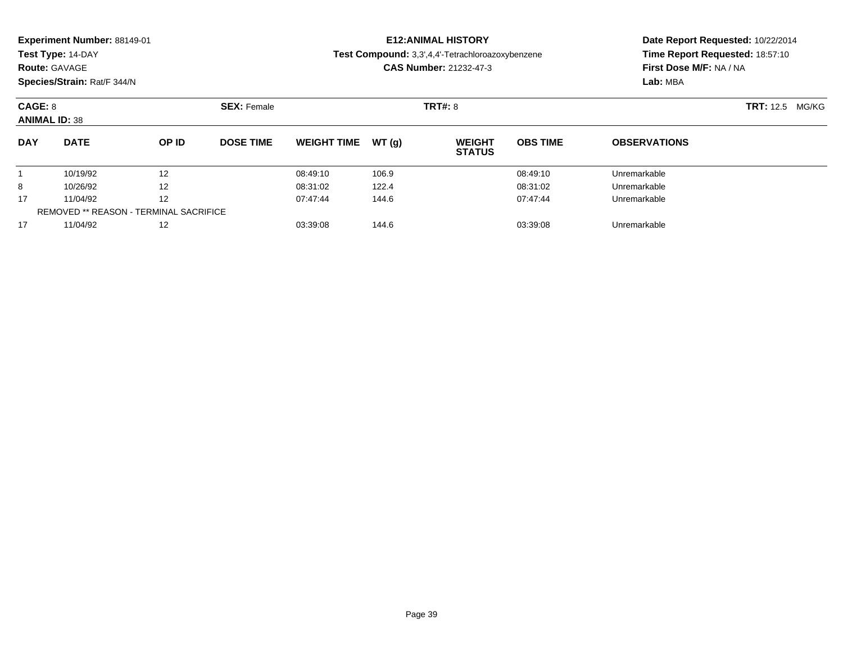**Route:** GAVAGE

**Species/Strain:** Rat/F 344/N

### **E12:ANIMAL HISTORY**

**Test Compound:** 3,3',4,4'-Tetrachloroazoxybenzene

**CAS Number:** 21232-47-3

| CAGE: 8<br><b>ANIMAL ID: 38</b> |                                               |       | <b>SEX: Female</b> |                    |       | <b>TRT#: 8</b>                 | <b>TRT:</b> 12.5 MG/KG |                     |  |
|---------------------------------|-----------------------------------------------|-------|--------------------|--------------------|-------|--------------------------------|------------------------|---------------------|--|
| <b>DAY</b>                      | <b>DATE</b>                                   | OP ID | <b>DOSE TIME</b>   | <b>WEIGHT TIME</b> | WT(g) | <b>WEIGHT</b><br><b>STATUS</b> | <b>OBS TIME</b>        | <b>OBSERVATIONS</b> |  |
|                                 | 10/19/92                                      | 12    |                    | 08:49:10           | 106.9 |                                | 08:49:10               | Unremarkable        |  |
| 8                               | 10/26/92                                      | 12    |                    | 08:31:02           | 122.4 |                                | 08:31:02               | Unremarkable        |  |
| 17                              | 11/04/92                                      | 12    |                    | 07:47:44           | 144.6 |                                | 07:47:44               | Unremarkable        |  |
|                                 | <b>REMOVED ** REASON - TERMINAL SACRIFICE</b> |       |                    |                    |       |                                |                        |                     |  |
| 17                              | 11/04/92                                      | 12    |                    | 03:39:08           | 144.6 |                                | 03:39:08               | Unremarkable        |  |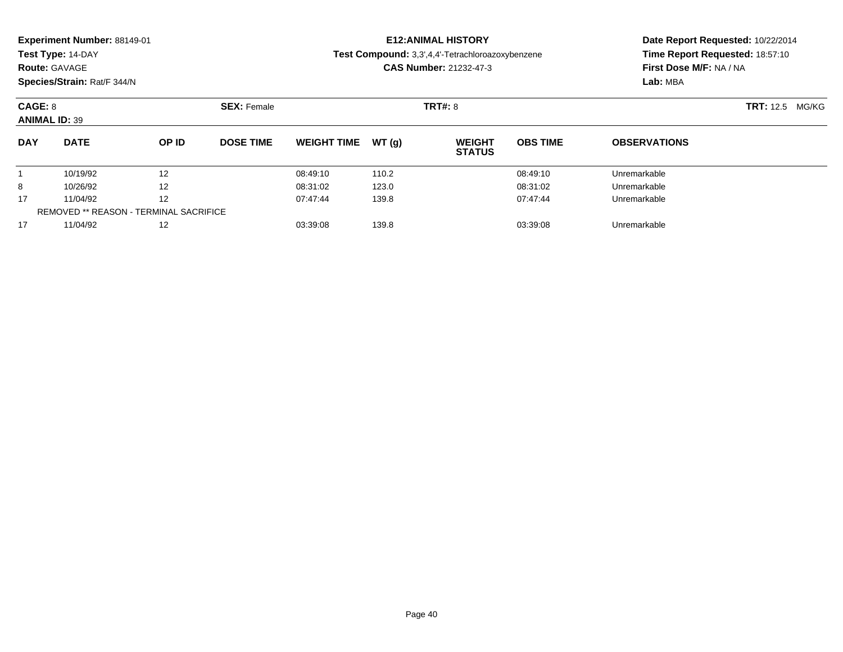| Experiment Number: 88149-01 |  |
|-----------------------------|--|
|-----------------------------|--|

### **Route:** GAVAGE

**Species/Strain:** Rat/F 344/N

### **E12:ANIMAL HISTORY**

#### **Test Compound:** 3,3',4,4'-Tetrachloroazoxybenzene

**CAS Number:** 21232-47-3

| CAGE: 8<br><b>ANIMAL ID: 39</b> |                                               |       | <b>SEX: Female</b> |                    |        | <b>TRT#: 8</b>                 |                 |                     | <b>TRT:</b> 12.5 MG/KG |
|---------------------------------|-----------------------------------------------|-------|--------------------|--------------------|--------|--------------------------------|-----------------|---------------------|------------------------|
| <b>DAY</b>                      | <b>DATE</b>                                   | OP ID | <b>DOSE TIME</b>   | <b>WEIGHT TIME</b> | WT (a) | <b>WEIGHT</b><br><b>STATUS</b> | <b>OBS TIME</b> | <b>OBSERVATIONS</b> |                        |
|                                 | 10/19/92                                      | 12    |                    | 08:49:10           | 110.2  |                                | 08:49:10        | Unremarkable        |                        |
| 8                               | 10/26/92                                      | 12    |                    | 08:31:02           | 123.0  |                                | 08:31:02        | Unremarkable        |                        |
| 17                              | 11/04/92                                      | 12    |                    | 07:47:44           | 139.8  |                                | 07:47:44        | Unremarkable        |                        |
|                                 | <b>REMOVED ** REASON - TERMINAL SACRIFICE</b> |       |                    |                    |        |                                |                 |                     |                        |
| 17                              | 11/04/92                                      | 12    |                    | 03:39:08           | 139.8  |                                | 03:39:08        | Unremarkable        |                        |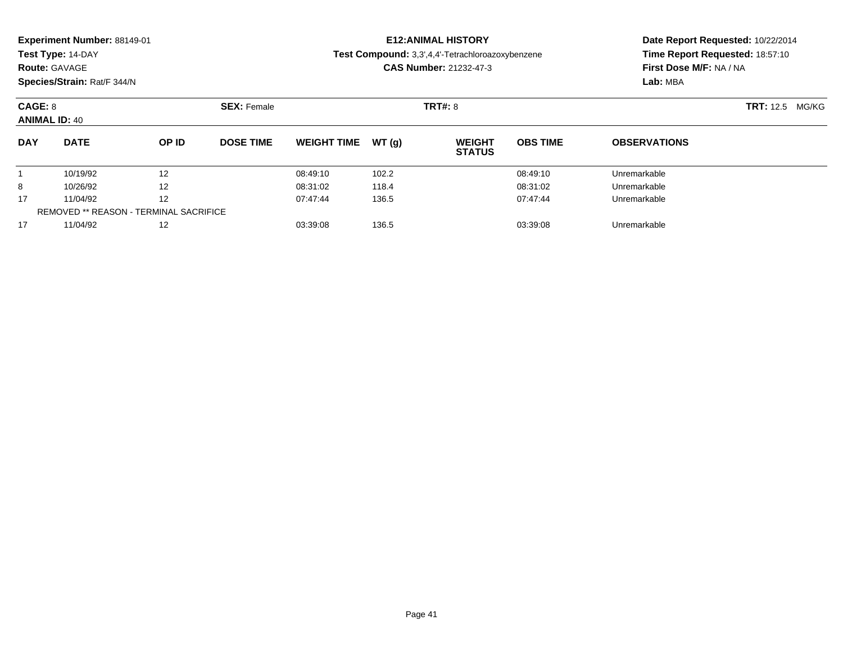### **Route:** GAVAGE

**Species/Strain:** Rat/F 344/N

### **E12:ANIMAL HISTORY**

#### **Test Compound:** 3,3',4,4'-Tetrachloroazoxybenzene

**CAS Number:** 21232-47-3

| CAGE: 8<br><b>ANIMAL ID: 40</b> |                                               |       | <b>SEX: Female</b> |                    |        | <b>TRT#: 8</b>                 | <b>TRT:</b> 12.5 MG/KG |                     |  |
|---------------------------------|-----------------------------------------------|-------|--------------------|--------------------|--------|--------------------------------|------------------------|---------------------|--|
| <b>DAY</b>                      | <b>DATE</b>                                   | OP ID | <b>DOSE TIME</b>   | <b>WEIGHT TIME</b> | WT (a) | <b>WEIGHT</b><br><b>STATUS</b> | <b>OBS TIME</b>        | <b>OBSERVATIONS</b> |  |
|                                 | 10/19/92                                      | 12    |                    | 08:49:10           | 102.2  |                                | 08:49:10               | Unremarkable        |  |
| 8                               | 10/26/92                                      | 12    |                    | 08:31:02           | 118.4  |                                | 08:31:02               | Unremarkable        |  |
| 17                              | 11/04/92                                      | 12    |                    | 07:47:44           | 136.5  |                                | 07:47:44               | Unremarkable        |  |
|                                 | <b>REMOVED ** REASON - TERMINAL SACRIFICE</b> |       |                    |                    |        |                                |                        |                     |  |
| 17                              | 11/04/92                                      | 12    |                    | 03:39:08           | 136.5  |                                | 03:39:08               | Unremarkable        |  |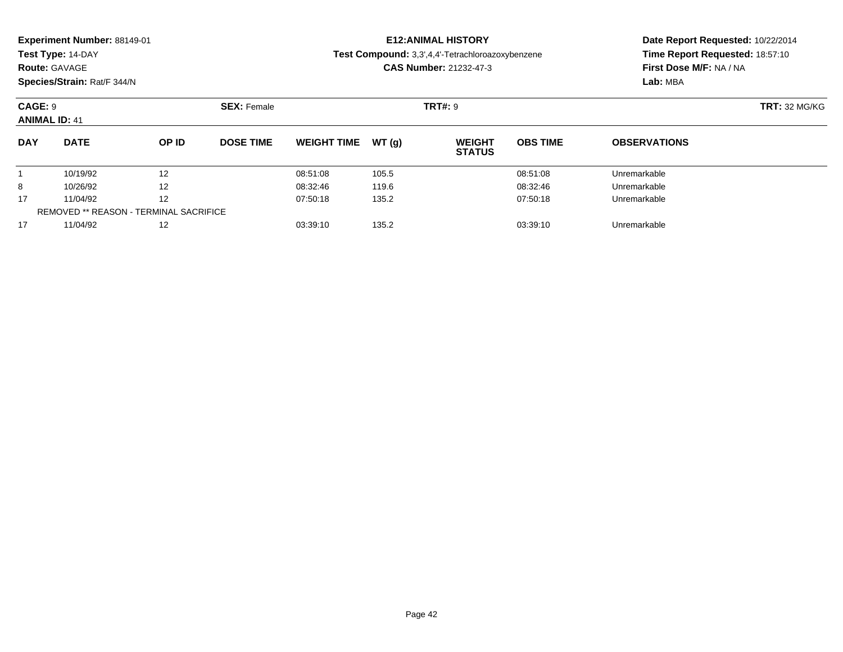| Experiment Number: 88149-01 |
|-----------------------------|
|-----------------------------|

### **Route:** GAVAGE

**Species/Strain:** Rat/F 344/N

### **E12:ANIMAL HISTORY**

#### **Test Compound:** 3,3',4,4'-Tetrachloroazoxybenzene

**CAS Number:** 21232-47-3

| CAGE: 9<br><b>ANIMAL ID: 41</b> |                                        |                   | <b>SEX: Female</b> |                    |       | <b>TRT#: 9</b>                 | <b>TRT:</b> 32 MG/KG |                     |  |
|---------------------------------|----------------------------------------|-------------------|--------------------|--------------------|-------|--------------------------------|----------------------|---------------------|--|
| <b>DAY</b>                      | <b>DATE</b>                            | OP ID             | <b>DOSE TIME</b>   | <b>WEIGHT TIME</b> | WT(g) | <b>WEIGHT</b><br><b>STATUS</b> | <b>OBS TIME</b>      | <b>OBSERVATIONS</b> |  |
|                                 | 10/19/92                               | 12                |                    | 08:51:08           | 105.5 |                                | 08:51:08             | Unremarkable        |  |
| 8                               | 10/26/92                               | $12 \overline{ }$ |                    | 08:32:46           | 119.6 |                                | 08:32:46             | Unremarkable        |  |
| 17                              | 11/04/92                               | 12                |                    | 07:50:18           | 135.2 |                                | 07:50:18             | Unremarkable        |  |
|                                 | REMOVED ** REASON - TERMINAL SACRIFICE |                   |                    |                    |       |                                |                      |                     |  |
| 17                              | 11/04/92                               | 12                |                    | 03:39:10           | 135.2 |                                | 03:39:10             | Unremarkable        |  |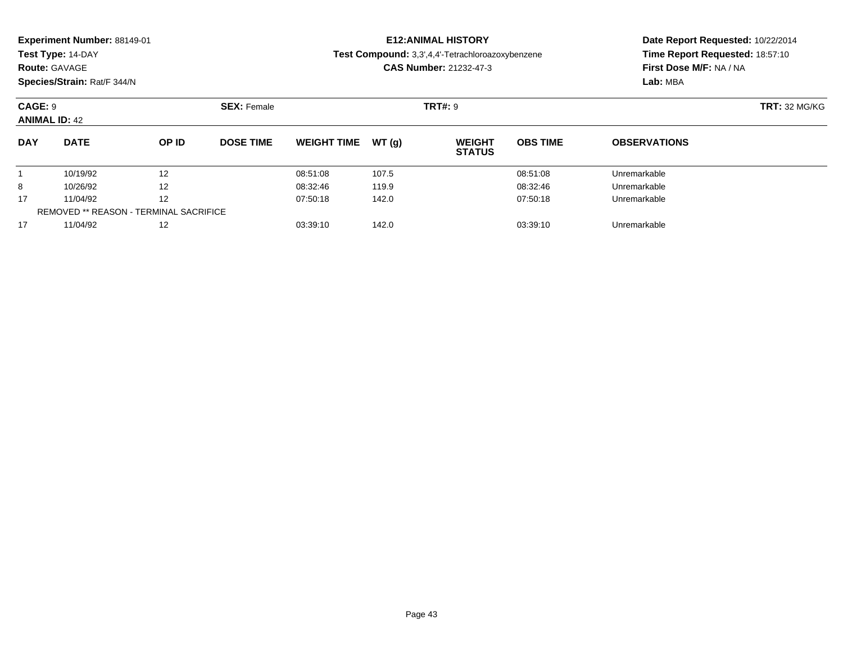| Experiment Number: 88149-01 |  |
|-----------------------------|--|
|-----------------------------|--|

### **Route:** GAVAGE

**Species/Strain:** Rat/F 344/N

### **E12:ANIMAL HISTORY**

**Test Compound:** 3,3',4,4'-Tetrachloroazoxybenzene

**CAS Number:** 21232-47-3

| CAGE: 9<br><b>ANIMAL ID: 42</b> |                                               |       | <b>SEX: Female</b> |                    |       | <b>TRT#: 9</b>                 | <b>TRT: 32 MG/KG</b> |                     |  |
|---------------------------------|-----------------------------------------------|-------|--------------------|--------------------|-------|--------------------------------|----------------------|---------------------|--|
| <b>DAY</b>                      | <b>DATE</b>                                   | OP ID | <b>DOSE TIME</b>   | <b>WEIGHT TIME</b> | WT(q) | <b>WEIGHT</b><br><b>STATUS</b> | <b>OBS TIME</b>      | <b>OBSERVATIONS</b> |  |
|                                 | 10/19/92                                      | 12    |                    | 08:51:08           | 107.5 |                                | 08:51:08             | Unremarkable        |  |
| 8                               | 10/26/92                                      | 12    |                    | 08:32:46           | 119.9 |                                | 08:32:46             | Unremarkable        |  |
| 17                              | 11/04/92                                      | 12    |                    | 07:50:18           | 142.0 |                                | 07:50:18             | Unremarkable        |  |
|                                 | <b>REMOVED ** REASON - TERMINAL SACRIFICE</b> |       |                    |                    |       |                                |                      |                     |  |
| 17                              | 11/04/92                                      | 12    |                    | 03:39:10           | 142.0 |                                | 03:39:10             | Unremarkable        |  |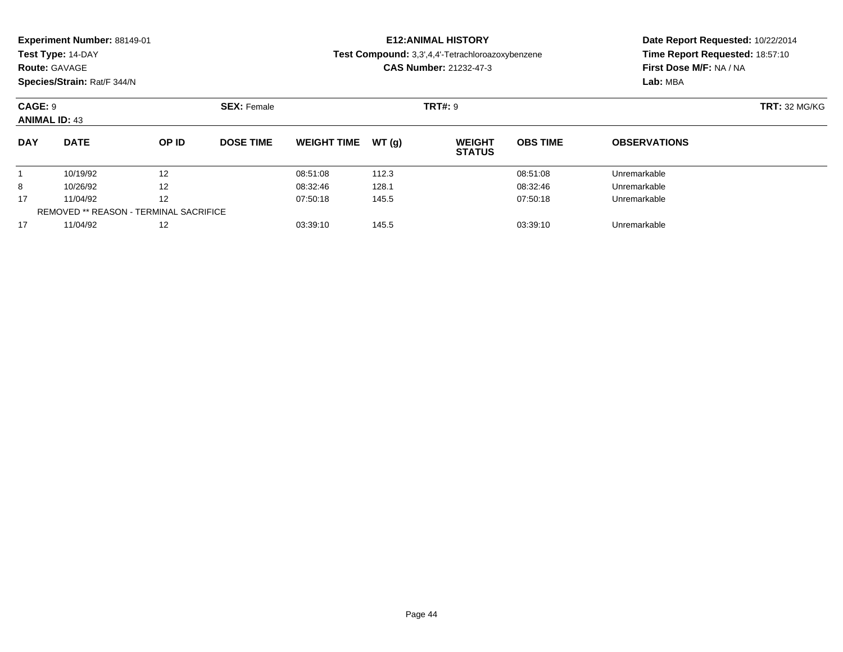| Experiment Number: 88149-01 |  |  |
|-----------------------------|--|--|
|-----------------------------|--|--|

**Route:** GAVAGE

**Species/Strain:** Rat/F 344/N

### **E12:ANIMAL HISTORY**

**Test Compound:** 3,3',4,4'-Tetrachloroazoxybenzene

**CAS Number:** 21232-47-3

| CAGE: 9<br><b>ANIMAL ID: 43</b> |                                        | <b>SEX: Female</b> |                  |                    |       | <b>TRT#: 9</b>                 |                 |                     |  |
|---------------------------------|----------------------------------------|--------------------|------------------|--------------------|-------|--------------------------------|-----------------|---------------------|--|
| <b>DAY</b>                      | <b>DATE</b>                            | OP ID              | <b>DOSE TIME</b> | <b>WEIGHT TIME</b> | WT(q) | <b>WEIGHT</b><br><b>STATUS</b> | <b>OBS TIME</b> | <b>OBSERVATIONS</b> |  |
|                                 | 10/19/92                               | 12                 |                  | 08:51:08           | 112.3 |                                | 08:51:08        | Unremarkable        |  |
| 8                               | 10/26/92                               | 12                 |                  | 08:32:46           | 128.1 |                                | 08:32:46        | Unremarkable        |  |
| 17                              | 11/04/92                               | 12                 |                  | 07:50:18           | 145.5 |                                | 07:50:18        | Unremarkable        |  |
|                                 | REMOVED ** REASON - TERMINAL SACRIFICE |                    |                  |                    |       |                                |                 |                     |  |
| 17                              | 11/04/92                               | 12                 |                  | 03:39:10           | 145.5 |                                | 03:39:10        | Unremarkable        |  |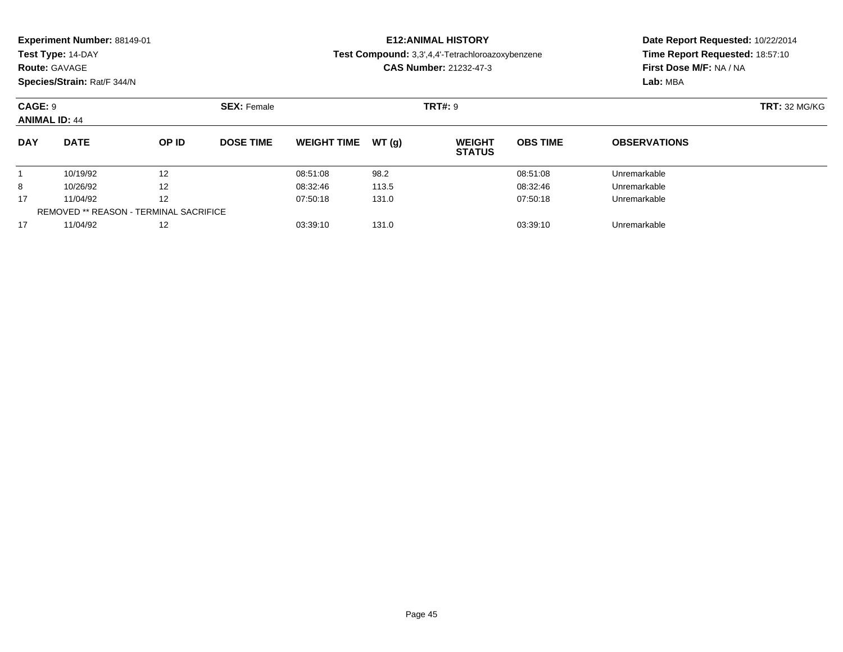| Experiment Number: 88149-01 |  |
|-----------------------------|--|
|-----------------------------|--|

### **Route:** GAVAGE

**Species/Strain:** Rat/F 344/N

### **E12:ANIMAL HISTORY**

**Test Compound:** 3,3',4,4'-Tetrachloroazoxybenzene

**CAS Number:** 21232-47-3

| CAGE: 9<br><b>ANIMAL ID: 44</b> |                                               | <b>SEX: Female</b> |                  |                    | <b>TRT#: 9</b> | <b>TRT: 32 MG/KG</b>           |                 |                     |  |
|---------------------------------|-----------------------------------------------|--------------------|------------------|--------------------|----------------|--------------------------------|-----------------|---------------------|--|
| <b>DAY</b>                      | <b>DATE</b>                                   | OP ID              | <b>DOSE TIME</b> | <b>WEIGHT TIME</b> | WT(q)          | <b>WEIGHT</b><br><b>STATUS</b> | <b>OBS TIME</b> | <b>OBSERVATIONS</b> |  |
|                                 | 10/19/92                                      | 12                 |                  | 08:51:08           | 98.2           |                                | 08:51:08        | Unremarkable        |  |
| 8                               | 10/26/92                                      | 12                 |                  | 08:32:46           | 113.5          |                                | 08:32:46        | Unremarkable        |  |
| 17                              | 11/04/92                                      | 12                 |                  | 07:50:18           | 131.0          |                                | 07:50:18        | Unremarkable        |  |
|                                 | <b>REMOVED ** REASON - TERMINAL SACRIFICE</b> |                    |                  |                    |                |                                |                 |                     |  |
| 17                              | 11/04/92                                      | 12                 |                  | 03:39:10           | 131.0          |                                | 03:39:10        | Unremarkable        |  |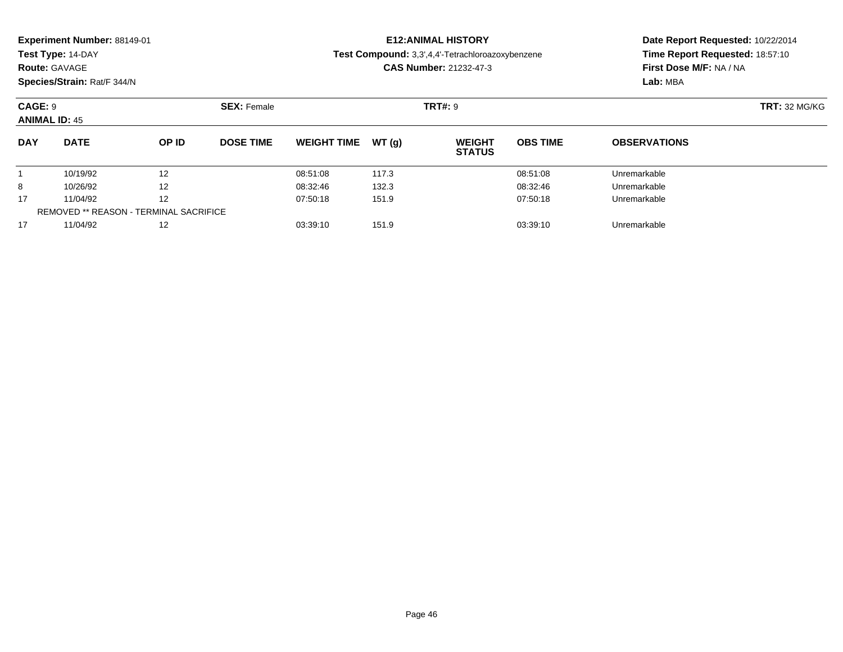|  | Experiment Number: 88149-01 |  |
|--|-----------------------------|--|
|--|-----------------------------|--|

**Route:** GAVAGE

**Species/Strain:** Rat/F 344/N

### **E12:ANIMAL HISTORY**

**Test Compound:** 3,3',4,4'-Tetrachloroazoxybenzene

**CAS Number:** 21232-47-3

| CAGE: 9<br><b>ANIMAL ID: 45</b> |                                               | <b>SEX: Female</b> |                  |                    | <b>TRT#: 9</b> | <b>TRT: 32 MG/KG</b>           |                 |                     |  |
|---------------------------------|-----------------------------------------------|--------------------|------------------|--------------------|----------------|--------------------------------|-----------------|---------------------|--|
| <b>DAY</b>                      | <b>DATE</b>                                   | OP ID              | <b>DOSE TIME</b> | <b>WEIGHT TIME</b> | WT (a)         | <b>WEIGHT</b><br><b>STATUS</b> | <b>OBS TIME</b> | <b>OBSERVATIONS</b> |  |
|                                 | 10/19/92                                      | 12                 |                  | 08:51:08           | 117.3          |                                | 08:51:08        | Unremarkable        |  |
| 8                               | 10/26/92                                      | 12                 |                  | 08:32:46           | 132.3          |                                | 08:32:46        | Unremarkable        |  |
| 17                              | 11/04/92                                      | 12                 |                  | 07:50:18           | 151.9          |                                | 07:50:18        | Unremarkable        |  |
|                                 | <b>REMOVED ** REASON - TERMINAL SACRIFICE</b> |                    |                  |                    |                |                                |                 |                     |  |
| 17                              | 11/04/92                                      | 12                 |                  | 03:39:10           | 151.9          |                                | 03:39:10        | Unremarkable        |  |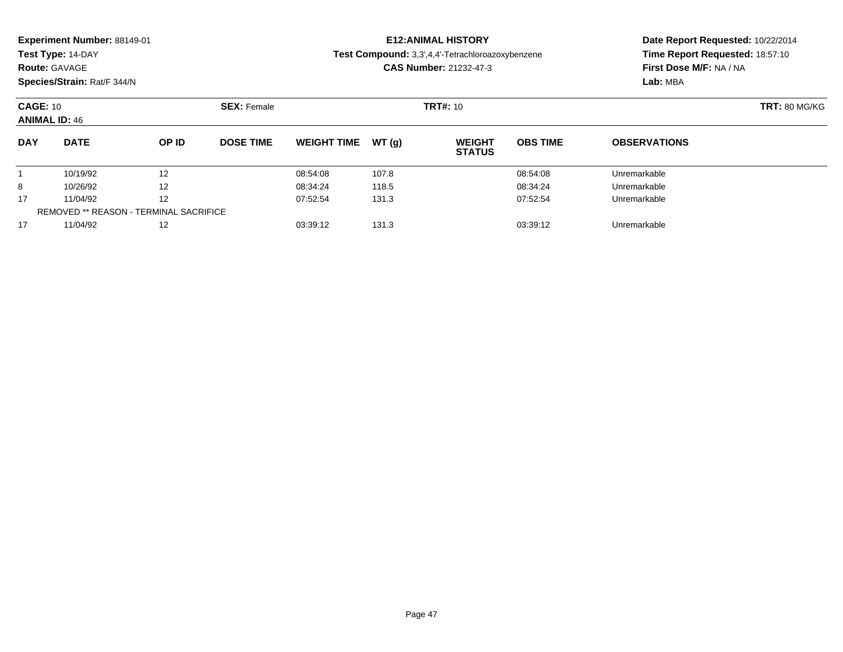| <b>Experiment Number: 88149-01</b> |                    | <b>E12:ANIMAL HISTORY</b>                        | Date Report Requested: 10/22/2014 |
|------------------------------------|--------------------|--------------------------------------------------|-----------------------------------|
| Test Type: 14-DAY                  |                    | Test Compound: 3,3',4,4'-Tetrachloroazoxybenzene | Time Report Requested: 18:57:10   |
| <b>Route: GAVAGE</b>               |                    | <b>CAS Number: 21232-47-3</b>                    | First Dose M/F: NA / NA           |
| Species/Strain: Rat/F 344/N        |                    |                                                  | Lab: MBA                          |
| <b>CAGE: 10</b>                    | <b>SEX: Female</b> | <b>TRT#: 10</b>                                  | <b>TRT: 80 MG/KG</b>              |

|            | <b>ANIMAL ID: 46</b>                          |       |                  |                    |        |                                |                 |                     |  |  |  |  |  |
|------------|-----------------------------------------------|-------|------------------|--------------------|--------|--------------------------------|-----------------|---------------------|--|--|--|--|--|
| <b>DAY</b> | <b>DATE</b>                                   | OP ID | <b>DOSE TIME</b> | <b>WEIGHT TIME</b> | WT (q) | <b>WEIGHT</b><br><b>STATUS</b> | <b>OBS TIME</b> | <b>OBSERVATIONS</b> |  |  |  |  |  |
|            | 10/19/92                                      | 12    |                  | 08:54:08           | 107.8  |                                | 08:54:08        | Unremarkable        |  |  |  |  |  |
| 8          | 10/26/92                                      | 12    |                  | 08:34:24           | 118.5  |                                | 08:34:24        | Unremarkable        |  |  |  |  |  |
| 17         | 11/04/92                                      | 12    |                  | 07:52:54           | 131.3  |                                | 07:52:54        | Unremarkable        |  |  |  |  |  |
|            | <b>REMOVED ** REASON - TERMINAL SACRIFICE</b> |       |                  |                    |        |                                |                 |                     |  |  |  |  |  |
| 17         | 11/04/92                                      | 12    |                  | 03:39:12           | 131.3  |                                | 03:39:12        | Unremarkable        |  |  |  |  |  |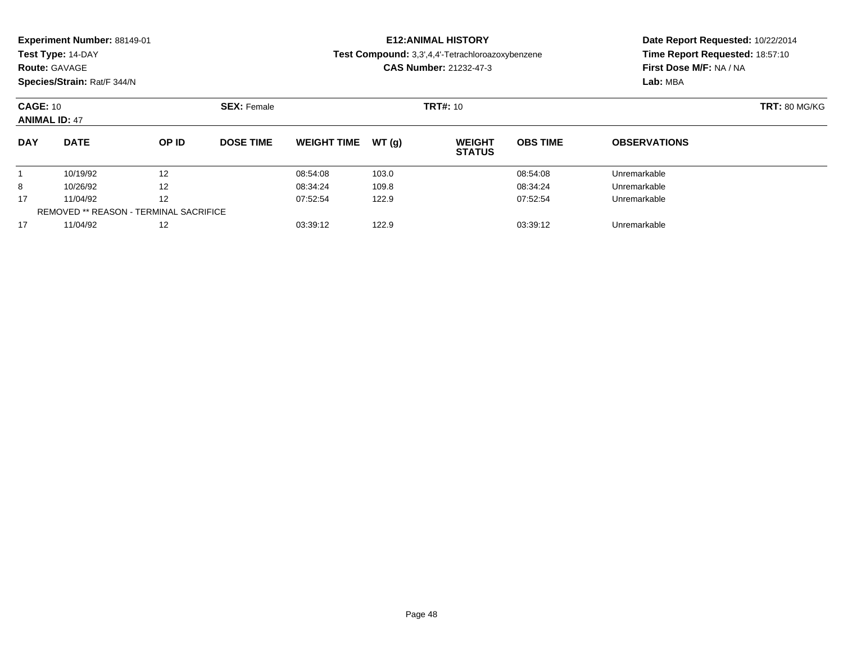| Experiment Number: 88149-01<br>Test Type: 14-DAY<br><b>Route: GAVAGE</b><br>Species/Strain: Rat/F 344/N |             |       |                    |                    |                 | <b>E12: ANIMAL HISTORY</b><br>Test Compound: 3,3',4,4'-Tetrachloroazoxybenzene<br><b>CAS Number: 21232-47-3</b> | Date Report Requested: 10/22/2014<br>Time Report Requested: 18:57:10<br>First Dose M/F: NA / NA<br>Lab: MBA |                     |  |
|---------------------------------------------------------------------------------------------------------|-------------|-------|--------------------|--------------------|-----------------|-----------------------------------------------------------------------------------------------------------------|-------------------------------------------------------------------------------------------------------------|---------------------|--|
| <b>CAGE: 10</b><br><b>ANIMAL ID: 47</b>                                                                 |             |       | <b>SEX: Female</b> |                    | <b>TRT#: 10</b> | <b>TRT: 80 MG/KG</b>                                                                                            |                                                                                                             |                     |  |
| <b>DAY</b>                                                                                              | <b>DATE</b> | OP ID | <b>DOSE TIME</b>   | <b>WEIGHT TIME</b> | WT(q)           | <b>WEIGHT</b><br><b>STATUS</b>                                                                                  | <b>OBS TIME</b>                                                                                             | <b>OBSERVATIONS</b> |  |
|                                                                                                         | 10/19/92    | 12    |                    | 08:54:08           | 103.0           |                                                                                                                 | 08:54:08                                                                                                    | Unremarkable        |  |
| 8                                                                                                       | 10/26/92    | 12    |                    | 08:34:24           | 109.8           |                                                                                                                 | 08:34:24                                                                                                    | Unremarkable        |  |
| 17                                                                                                      | 11/04/92    | 12    |                    | 07:52:54           | 122.9           |                                                                                                                 | 07:52:54                                                                                                    | Unremarkable        |  |
| <b>REMOVED ** REASON - TERMINAL SACRIFICE</b>                                                           |             |       |                    |                    |                 |                                                                                                                 |                                                                                                             |                     |  |

11/04/92 <sup>12</sup> 03:39:12 122.9 03:39:12 Unremarkable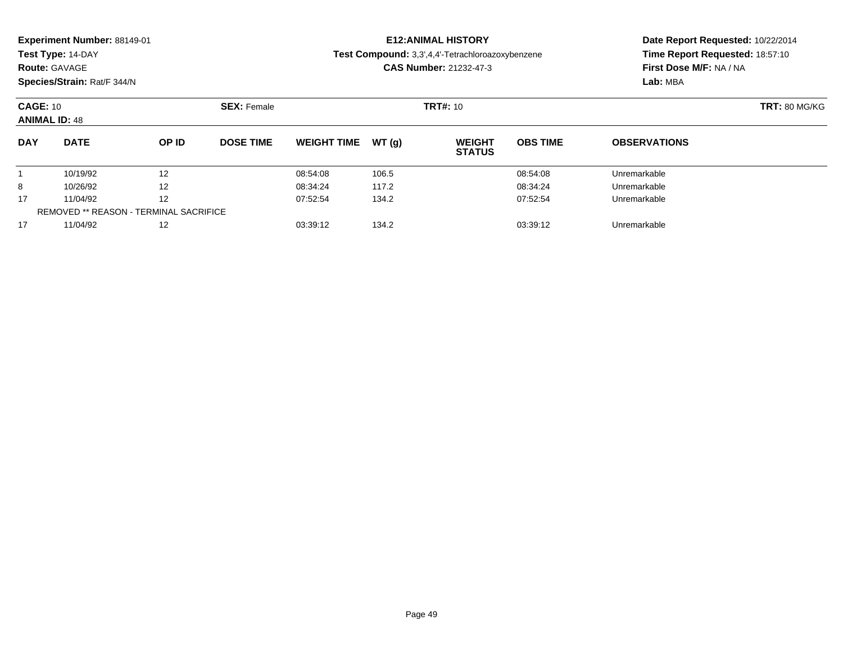|                                         | <b>Experiment Number: 88149-01</b><br>Test Type: 14-DAY<br><b>Route: GAVAGE</b> |                    |                  |                    |                 | <b>E12:ANIMAL HISTORY</b><br>Test Compound: 3,3',4,4'-Tetrachloroazoxybenzene<br><b>CAS Number: 21232-47-3</b> |                      | Date Report Requested: 10/22/2014<br>Time Report Requested: 18:57:10<br>First Dose M/F: NA / NA |  |  |
|-----------------------------------------|---------------------------------------------------------------------------------|--------------------|------------------|--------------------|-----------------|----------------------------------------------------------------------------------------------------------------|----------------------|-------------------------------------------------------------------------------------------------|--|--|
| Species/Strain: Rat/F 344/N             |                                                                                 |                    |                  |                    |                 |                                                                                                                | Lab: MBA             |                                                                                                 |  |  |
| <b>CAGE: 10</b><br><b>ANIMAL ID: 48</b> |                                                                                 | <b>SEX: Female</b> |                  |                    | <b>TRT#: 10</b> |                                                                                                                | <b>TRT: 80 MG/KG</b> |                                                                                                 |  |  |
| <b>DAY</b>                              | <b>DATE</b>                                                                     | OP ID              | <b>DOSE TIME</b> | <b>WEIGHT TIME</b> | WT (a)          | <b>WEIGHT</b><br><b>STATUS</b>                                                                                 | <b>OBS TIME</b>      | <b>OBSERVATIONS</b>                                                                             |  |  |
|                                         | 10/19/92                                                                        | 12                 |                  | 08:54:08           | 106.5           |                                                                                                                | 08:54:08             | Unremarkable                                                                                    |  |  |
| 8                                       | 10/26/92                                                                        | 12                 |                  | 08:34:24           | 117.2           |                                                                                                                | 08:34:24             | Unremarkable                                                                                    |  |  |

11/04/92 <sup>12</sup> 07:52:54 134.2 07:52:54 Unremarkable

11/04/92 <sup>12</sup> 03:39:12 134.2 03:39:12 Unremarkable

17

17

REMOVED \*\* REASON - TERMINAL SACRIFICE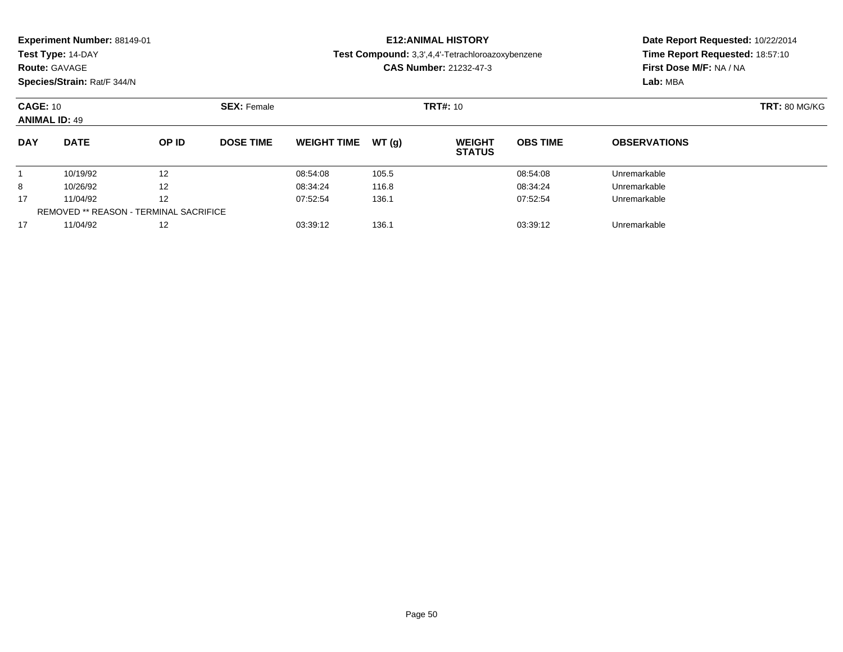|            | <b>Experiment Number: 88149-01</b> |       |                    |                    |                                                  | <b>E12:ANIMAL HISTORY</b>       | Date Report Requested: 10/22/2014 |                         |                      |  |
|------------|------------------------------------|-------|--------------------|--------------------|--------------------------------------------------|---------------------------------|-----------------------------------|-------------------------|----------------------|--|
|            | Test Type: 14-DAY                  |       |                    |                    | Test Compound: 3,3',4,4'-Tetrachloroazoxybenzene |                                 | Time Report Requested: 18:57:10   |                         |                      |  |
|            | <b>Route: GAVAGE</b>               |       |                    |                    |                                                  | <b>CAS Number: 21232-47-3</b>   |                                   | First Dose M/F: NA / NA |                      |  |
|            | Species/Strain: Rat/F 344/N        |       |                    |                    |                                                  |                                 |                                   | Lab: MBA                |                      |  |
|            | <b>CAGE: 10</b>                    |       | <b>SEX: Female</b> |                    |                                                  | <b>TRT#:</b> 10                 |                                   |                         | <b>TRT: 80 MG/KG</b> |  |
|            | <b>ANIMAL ID: 49</b>               |       |                    |                    |                                                  |                                 |                                   |                         |                      |  |
| <b>DAY</b> | <b>DATE</b>                        | OP ID | <b>DOSE TIME</b>   | <b>WEIGHT TIME</b> | WT(q)                                            | <b>WEIGHT</b><br><b>STATIIS</b> | <b>OBS TIME</b>                   | <b>OBSERVATIONS</b>     |                      |  |

**STATUS**11 10/19/92 12 12 08:54:08 105.5 105.5 08:54:08 08:54:08 105.5 8 10/26/92 <sup>12</sup> 08:34:24 116.8 08:34:24 Unremarkable 17 11/04/92 <sup>12</sup> 07:52:54 136.1 07:52:54 Unremarkable REMOVED \*\* REASON - TERMINAL SACRIFICE1711/04/92 <sup>12</sup> 03:39:12 136.1 03:39:12 Unremarkable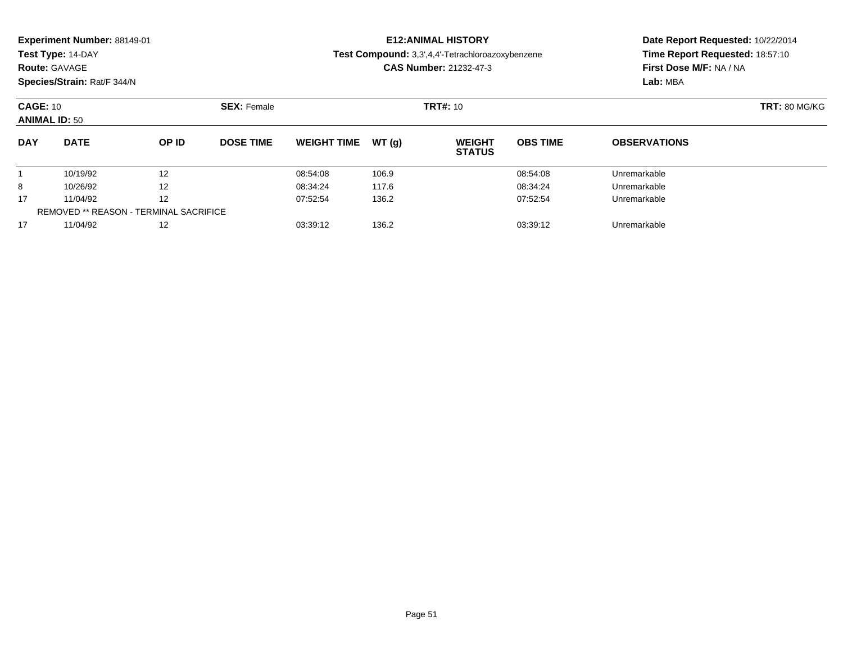| Experiment Number: 88149-01<br>Test Type: 14-DAY<br><b>Route: GAVAGE</b><br>Species/Strain: Rat/F 344/N |                      |                    |                  |                      |                 | <b>E12: ANIMAL HISTORY</b><br>Test Compound: 3,3',4,4'-Tetrachloroazoxybenzene<br><b>CAS Number: 21232-47-3</b> | Date Report Requested: 10/22/2014<br>Time Report Requested: 18:57:10<br>First Dose M/F: NA / NA<br>Lab: MBA |                              |  |
|---------------------------------------------------------------------------------------------------------|----------------------|--------------------|------------------|----------------------|-----------------|-----------------------------------------------------------------------------------------------------------------|-------------------------------------------------------------------------------------------------------------|------------------------------|--|
| <b>CAGE: 10</b><br><b>ANIMAL ID: 50</b>                                                                 |                      | <b>SEX: Female</b> |                  |                      | <b>TRT#: 10</b> |                                                                                                                 | <b>TRT: 80 MG/KG</b>                                                                                        |                              |  |
| <b>DAY</b>                                                                                              | <b>DATE</b>          | OP ID              | <b>DOSE TIME</b> | <b>WEIGHT TIME</b>   | WT(a)           | <b>WEIGHT</b><br><b>STATUS</b>                                                                                  | <b>OBS TIME</b>                                                                                             | <b>OBSERVATIONS</b>          |  |
| 8                                                                                                       | 10/19/92<br>10/26/92 | 12<br>12           |                  | 08:54:08<br>08:34:24 | 106.9<br>117.6  |                                                                                                                 | 08:54:08<br>08:34:24                                                                                        | Unremarkable<br>Unremarkable |  |

11/04/92 <sup>12</sup> 07:52:54 136.2 07:52:54 Unremarkable

11/04/92 <sup>12</sup> 03:39:12 136.2 03:39:12 Unremarkable

17

17

REMOVED \*\* REASON - TERMINAL SACRIFICE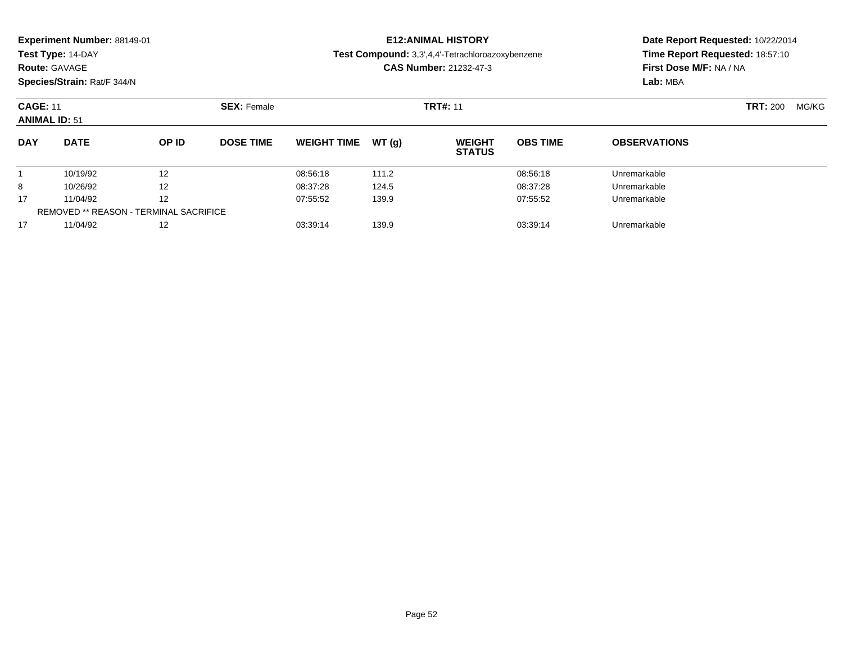|            | Experiment Number: 88149-01<br>Test Type: 14-DAY<br><b>Route: GAVAGE</b><br>Species/Strain: Rat/F 344/N |                                               |                    |                    |       | <b>E12: ANIMAL HISTORY</b><br>Test Compound: 3,3',4,4'-Tetrachloroazoxybenzene<br><b>CAS Number: 21232-47-3</b> | Date Report Requested: 10/22/2014<br>Time Report Requested: 18:57:10<br>First Dose M/F: NA / NA<br>Lab: MBA |                     |                 |       |
|------------|---------------------------------------------------------------------------------------------------------|-----------------------------------------------|--------------------|--------------------|-------|-----------------------------------------------------------------------------------------------------------------|-------------------------------------------------------------------------------------------------------------|---------------------|-----------------|-------|
|            | <b>CAGE: 11</b><br><b>ANIMAL ID: 51</b>                                                                 |                                               | <b>SEX: Female</b> | <b>TRT#: 11</b>    |       |                                                                                                                 |                                                                                                             |                     | <b>TRT: 200</b> | MG/KG |
| <b>DAY</b> | <b>DATE</b>                                                                                             | OP ID                                         | <b>DOSE TIME</b>   | <b>WEIGHT TIME</b> | WT(q) | <b>WEIGHT</b><br><b>STATUS</b>                                                                                  | <b>OBS TIME</b>                                                                                             | <b>OBSERVATIONS</b> |                 |       |
|            | 10/19/92                                                                                                | 12                                            |                    | 08:56:18           | 111.2 |                                                                                                                 | 08:56:18                                                                                                    | Unremarkable        |                 |       |
| 8          | 10/26/92                                                                                                | 12                                            |                    | 08:37:28           | 124.5 |                                                                                                                 | 08:37:28                                                                                                    | Unremarkable        |                 |       |
| 17         | 11/04/92                                                                                                | 12                                            |                    | 07:55:52           | 139.9 |                                                                                                                 | 07:55:52                                                                                                    | Unremarkable        |                 |       |
|            |                                                                                                         | <b>REMOVED ** REASON - TERMINAL SACRIFICE</b> |                    |                    |       |                                                                                                                 |                                                                                                             |                     |                 |       |
| 17         | 11/04/92                                                                                                | 12                                            |                    | 03:39:14           | 139.9 |                                                                                                                 | 03:39:14                                                                                                    | Unremarkable        |                 |       |

11/04/92 <sup>12</sup> 03:39:14 139.9 03:39:14 Unremarkable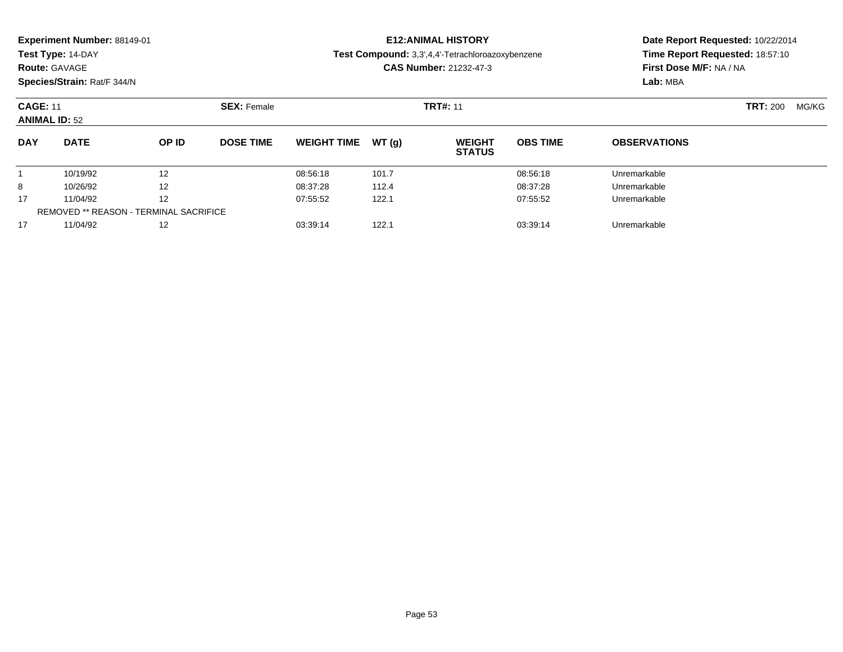| <b>Experiment Number: 88149-01</b><br>Test Type: 14-DAY<br><b>Route: GAVAGE</b><br>Species/Strain: Rat/F 344/N |             |                   |                    |                    |                 | <b>E12:ANIMAL HISTORY</b><br>Test Compound: 3,3',4,4'-Tetrachloroazoxybenzene<br><b>CAS Number: 21232-47-3</b> | Date Report Requested: 10/22/2014<br>Time Report Requested: 18:57:10<br>First Dose M/F: NA / NA<br>Lab: MBA |                     |  |
|----------------------------------------------------------------------------------------------------------------|-------------|-------------------|--------------------|--------------------|-----------------|----------------------------------------------------------------------------------------------------------------|-------------------------------------------------------------------------------------------------------------|---------------------|--|
| <b>CAGE: 11</b><br><b>ANIMAL ID: 52</b>                                                                        |             |                   | <b>SEX: Female</b> |                    | <b>TRT#: 11</b> |                                                                                                                | <b>TRT: 200</b><br>MG/KG                                                                                    |                     |  |
| <b>DAY</b>                                                                                                     | <b>DATE</b> | OP ID             | <b>DOSE TIME</b>   | <b>WEIGHT TIME</b> | WT(q)           | <b>WEIGHT</b><br><b>STATUS</b>                                                                                 | <b>OBS TIME</b>                                                                                             | <b>OBSERVATIONS</b> |  |
|                                                                                                                | 10/19/92    | 12                |                    | 08:56:18           | 101.7           |                                                                                                                | 08:56:18                                                                                                    | Unremarkable        |  |
| 8                                                                                                              | 10/26/92    | $12 \overline{ }$ |                    | 08:37:28           | 112.4           |                                                                                                                | 08:37:28                                                                                                    | Unremarkable        |  |
| 17                                                                                                             | 11/04/92    | 12                |                    | 07:55:52           | 122.1           |                                                                                                                | 07:55:52                                                                                                    | Unremarkable        |  |

11/04/92 <sup>12</sup> 03:39:14 122.1 03:39:14 Unremarkable

REMOVED \*\* REASON - TERMINAL SACRIFICE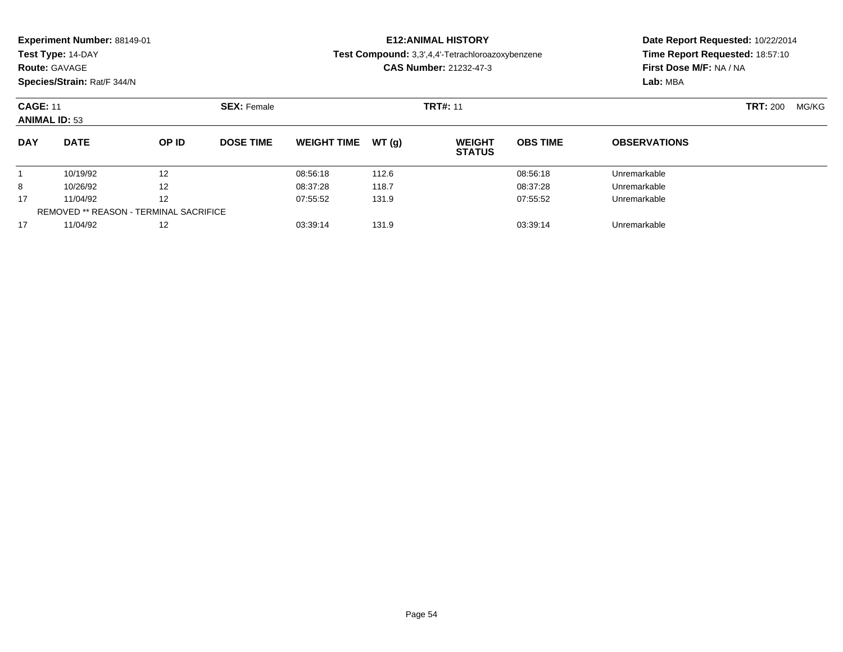| Experiment Number: 88149-01<br>Test Type: 14-DAY<br><b>Route: GAVAGE</b><br>Species/Strain: Rat/F 344/N |             |       |                    |                    | <b>E12: ANIMAL HISTORY</b><br>Test Compound: 3,3',4,4'-Tetrachloroazoxybenzene<br><b>CAS Number: 21232-47-3</b> | Date Report Requested: 10/22/2014<br>Time Report Requested: 18:57:10<br>First Dose M/F: NA / NA<br>Lab: MBA |                 |                     |                          |
|---------------------------------------------------------------------------------------------------------|-------------|-------|--------------------|--------------------|-----------------------------------------------------------------------------------------------------------------|-------------------------------------------------------------------------------------------------------------|-----------------|---------------------|--------------------------|
| <b>CAGE: 11</b><br><b>ANIMAL ID: 53</b>                                                                 |             |       | <b>SEX: Female</b> |                    |                                                                                                                 | <b>TRT#: 11</b>                                                                                             |                 |                     | <b>TRT:</b> 200<br>MG/KG |
| <b>DAY</b>                                                                                              | <b>DATE</b> | OP ID | <b>DOSE TIME</b>   | <b>WEIGHT TIME</b> | WT(q)                                                                                                           | <b>WEIGHT</b><br><b>STATUS</b>                                                                              | <b>OBS TIME</b> | <b>OBSERVATIONS</b> |                          |
|                                                                                                         | 10/19/92    | 12    |                    | 08:56:18           | 112.6                                                                                                           |                                                                                                             | 08:56:18        | Unremarkable        |                          |
| 8                                                                                                       | 10/26/92    | 12    |                    | 08:37:28           | 118.7                                                                                                           |                                                                                                             | 08:37:28        | Unremarkable        |                          |
| 17                                                                                                      | 11/04/92    | 12    |                    | 07:55:52           | 131.9                                                                                                           |                                                                                                             | 07:55:52        | Unremarkable        |                          |
| <b>REMOVED ** REASON - TERMINAL SACRIFICE</b>                                                           |             |       |                    |                    |                                                                                                                 |                                                                                                             |                 |                     |                          |

11/04/92 <sup>12</sup> 03:39:14 131.9 03:39:14 Unremarkable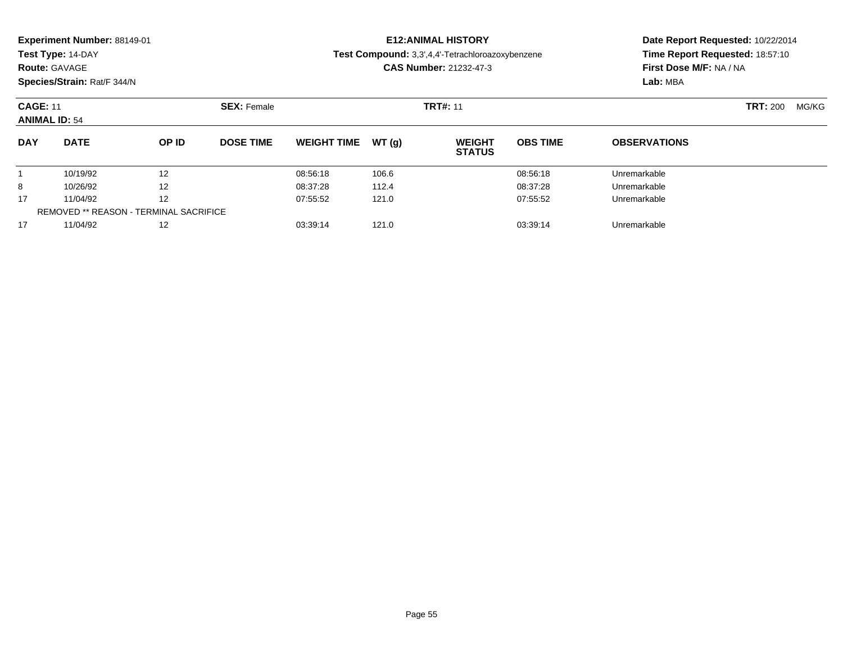| Experiment Number: 88149-01<br>Test Type: 14-DAY<br><b>Route: GAVAGE</b><br>Species/Strain: Rat/F 344/N |             |              |                    |                    |       | <b>E12: ANIMAL HISTORY</b><br><b>Test Compound:</b> 3,3',4,4'-Tetrachloroazoxybenzene<br><b>CAS Number: 21232-47-3</b> | Date Report Requested: 10/22/2014<br>Time Report Requested: 18:57:10<br>First Dose M/F: NA / NA<br>Lab: MBA |                          |  |
|---------------------------------------------------------------------------------------------------------|-------------|--------------|--------------------|--------------------|-------|------------------------------------------------------------------------------------------------------------------------|-------------------------------------------------------------------------------------------------------------|--------------------------|--|
| <b>CAGE: 11</b><br><b>ANIMAL ID: 54</b>                                                                 |             |              | <b>SEX: Female</b> |                    |       | <b>TRT#: 11</b>                                                                                                        |                                                                                                             | <b>TRT: 200</b><br>MG/KG |  |
| <b>DAY</b>                                                                                              | <b>DATE</b> | <b>OP ID</b> | <b>DOSE TIME</b>   | <b>WEIGHT TIME</b> | WT(q) | <b>WEIGHT</b><br><b>STATUS</b>                                                                                         | <b>OBS TIME</b>                                                                                             | <b>OBSERVATIONS</b>      |  |
|                                                                                                         | 10/19/92    | 12           |                    | 08:56:18           | 106.6 |                                                                                                                        | 08:56:18                                                                                                    | Unremarkable             |  |
| 8                                                                                                       | 10/26/92    | 12           |                    | 08:37:28           | 112.4 |                                                                                                                        | 08:37:28                                                                                                    | Unremarkable             |  |
| 17                                                                                                      | 11/04/92    | 12           |                    | 07:55:52           | 121.0 |                                                                                                                        | 07:55:52                                                                                                    | Unremarkable             |  |

11/04/92 <sup>12</sup> 03:39:14 121.0 03:39:14 Unremarkable

REMOVED \*\* REASON - TERMINAL SACRIFICE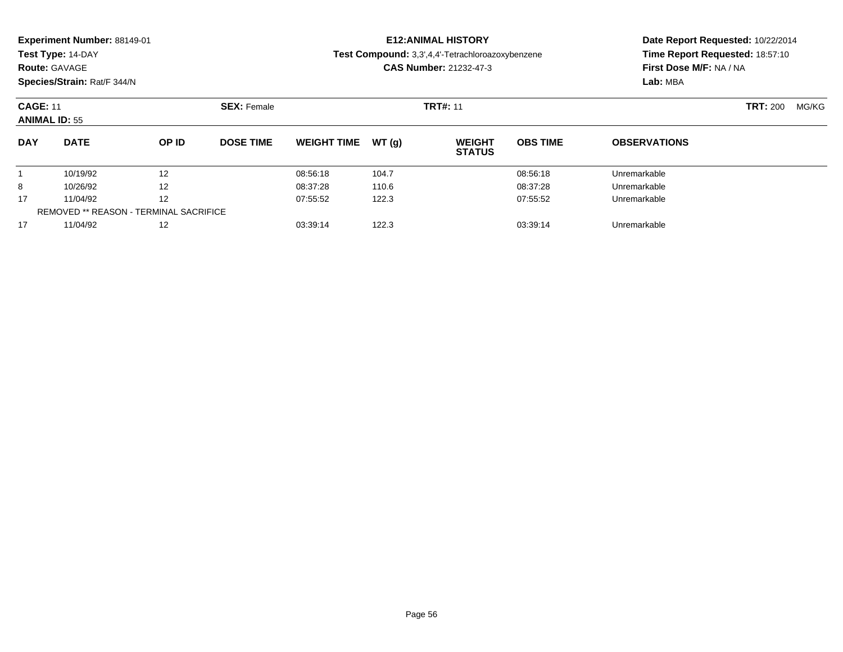| Experiment Number: 88149-01<br>Test Type: 14-DAY<br><b>Route: GAVAGE</b><br>Species/Strain: Rat/F 344/N |                                               |       |                    |                    |       | <b>E12: ANIMAL HISTORY</b><br>Test Compound: 3,3',4,4'-Tetrachloroazoxybenzene<br><b>CAS Number: 21232-47-3</b> | Date Report Requested: 10/22/2014<br>Time Report Requested: 18:57:10<br>First Dose M/F: NA / NA<br>Lab: MBA |                     |       |  |
|---------------------------------------------------------------------------------------------------------|-----------------------------------------------|-------|--------------------|--------------------|-------|-----------------------------------------------------------------------------------------------------------------|-------------------------------------------------------------------------------------------------------------|---------------------|-------|--|
| <b>CAGE: 11</b><br><b>ANIMAL ID: 55</b>                                                                 |                                               |       | <b>SEX: Female</b> |                    |       | <b>TRT#: 11</b>                                                                                                 |                                                                                                             | <b>TRT: 200</b>     | MG/KG |  |
| <b>DAY</b>                                                                                              | <b>DATE</b>                                   | OP ID | <b>DOSE TIME</b>   | <b>WEIGHT TIME</b> | WT(q) | <b>WEIGHT</b><br><b>STATUS</b>                                                                                  | <b>OBS TIME</b>                                                                                             | <b>OBSERVATIONS</b> |       |  |
|                                                                                                         | 10/19/92                                      | 12    |                    | 08:56:18           | 104.7 |                                                                                                                 | 08:56:18                                                                                                    | Unremarkable        |       |  |
| 8                                                                                                       | 10/26/92                                      | 12    |                    | 08:37:28           | 110.6 |                                                                                                                 | 08:37:28                                                                                                    | Unremarkable        |       |  |
| 17                                                                                                      | 11/04/92                                      | 12    |                    | 07:55:52           | 122.3 |                                                                                                                 | 07:55:52                                                                                                    | Unremarkable        |       |  |
|                                                                                                         | <b>REMOVED ** REASON - TERMINAL SACRIFICE</b> |       |                    |                    |       |                                                                                                                 |                                                                                                             |                     |       |  |

11/04/92 <sup>12</sup> 03:39:14 122.3 03:39:14 Unremarkable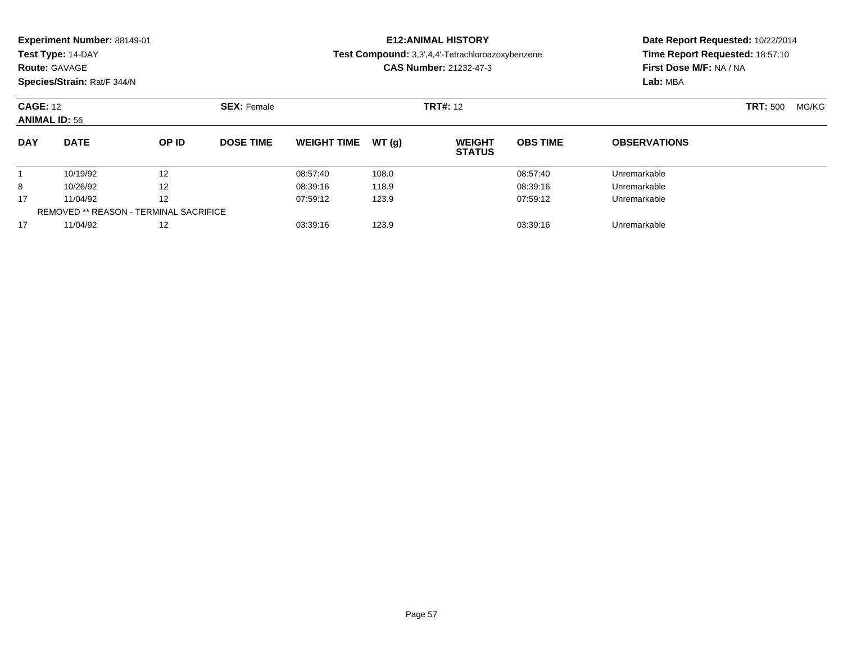| <b>Experiment Number: 88149-01</b><br>Test Type: 14-DAY<br><b>Route: GAVAGE</b><br>Species/Strain: Rat/F 344/N |                                        |                    |                  |                    |                 | <b>E12: ANIMAL HISTORY</b><br>Test Compound: 3,3',4,4'-Tetrachloroazoxybenzene<br><b>CAS Number: 21232-47-3</b> | Date Report Requested: 10/22/2014<br>Time Report Requested: 18:57:10<br>First Dose M/F: NA / NA<br>Lab: MBA |                     |  |
|----------------------------------------------------------------------------------------------------------------|----------------------------------------|--------------------|------------------|--------------------|-----------------|-----------------------------------------------------------------------------------------------------------------|-------------------------------------------------------------------------------------------------------------|---------------------|--|
| <b>CAGE: 12</b><br><b>ANIMAL ID: 56</b>                                                                        |                                        | <b>SEX: Female</b> |                  |                    | <b>TRT#:</b> 12 |                                                                                                                 | <b>TRT: 500</b><br>MG/KG                                                                                    |                     |  |
| <b>DAY</b>                                                                                                     | <b>DATE</b>                            | OP ID              | <b>DOSE TIME</b> | <b>WEIGHT TIME</b> | WT(q)           | <b>WEIGHT</b><br><b>STATUS</b>                                                                                  | <b>OBS TIME</b>                                                                                             | <b>OBSERVATIONS</b> |  |
|                                                                                                                | 10/19/92                               | 12                 |                  | 08:57:40           | 108.0           |                                                                                                                 | 08:57:40                                                                                                    | Unremarkable        |  |
| 8                                                                                                              | 10/26/92                               | 12                 |                  | 08:39:16           | 118.9           |                                                                                                                 | 08:39:16                                                                                                    | Unremarkable        |  |
| 17                                                                                                             | 11/04/92                               | 12                 |                  | 07:59:12           | 123.9           |                                                                                                                 | 07:59:12                                                                                                    | Unremarkable        |  |
|                                                                                                                | REMOVED ** REASON - TERMINAL SACRIFICE |                    |                  |                    |                 |                                                                                                                 |                                                                                                             |                     |  |

11/04/92 <sup>12</sup> 03:39:16 123.9 03:39:16 Unremarkable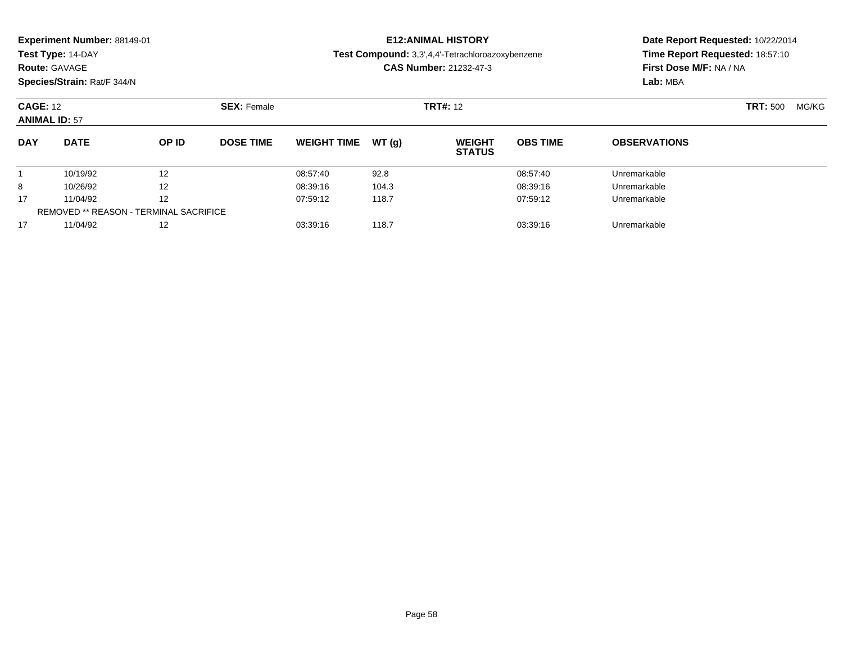| Experiment Number: 88149-01<br>Test Type: 14-DAY<br><b>Route: GAVAGE</b><br>Species/Strain: Rat/F 344/N |                                               |       |                    |                    |       | <b>E12: ANIMAL HISTORY</b><br>Test Compound: 3,3',4,4'-Tetrachloroazoxybenzene<br><b>CAS Number: 21232-47-3</b> | Date Report Requested: 10/22/2014<br>Time Report Requested: 18:57:10<br>First Dose M/F: NA / NA<br>Lab: MBA |                          |  |  |
|---------------------------------------------------------------------------------------------------------|-----------------------------------------------|-------|--------------------|--------------------|-------|-----------------------------------------------------------------------------------------------------------------|-------------------------------------------------------------------------------------------------------------|--------------------------|--|--|
| <b>CAGE: 12</b><br><b>ANIMAL ID: 57</b>                                                                 |                                               |       | <b>SEX: Female</b> |                    |       | <b>TRT#: 12</b>                                                                                                 |                                                                                                             | <b>TRT: 500</b><br>MG/KG |  |  |
| <b>DAY</b>                                                                                              | <b>DATE</b>                                   | OP ID | <b>DOSE TIME</b>   | <b>WEIGHT TIME</b> | WT(g) | <b>WEIGHT</b><br><b>STATUS</b>                                                                                  | <b>OBS TIME</b>                                                                                             | <b>OBSERVATIONS</b>      |  |  |
|                                                                                                         | 10/19/92                                      | 12    |                    | 08:57:40           | 92.8  |                                                                                                                 | 08:57:40                                                                                                    | Unremarkable             |  |  |
| 8                                                                                                       | 10/26/92                                      | 12    |                    | 08:39:16           | 104.3 |                                                                                                                 | 08:39:16                                                                                                    | Unremarkable             |  |  |
| 17                                                                                                      | 11/04/92                                      | 12    |                    | 07:59:12           | 118.7 |                                                                                                                 | 07:59:12                                                                                                    | Unremarkable             |  |  |
|                                                                                                         | <b>REMOVED ** REASON - TERMINAL SACRIFICE</b> |       |                    |                    |       |                                                                                                                 |                                                                                                             |                          |  |  |
| 17                                                                                                      | 11/04/92                                      | 12    |                    | 03:39:16           | 118.7 |                                                                                                                 | 03:39:16                                                                                                    | Unremarkable             |  |  |

11/04/92 <sup>12</sup> 03:39:16 118.7 03:39:16 Unremarkable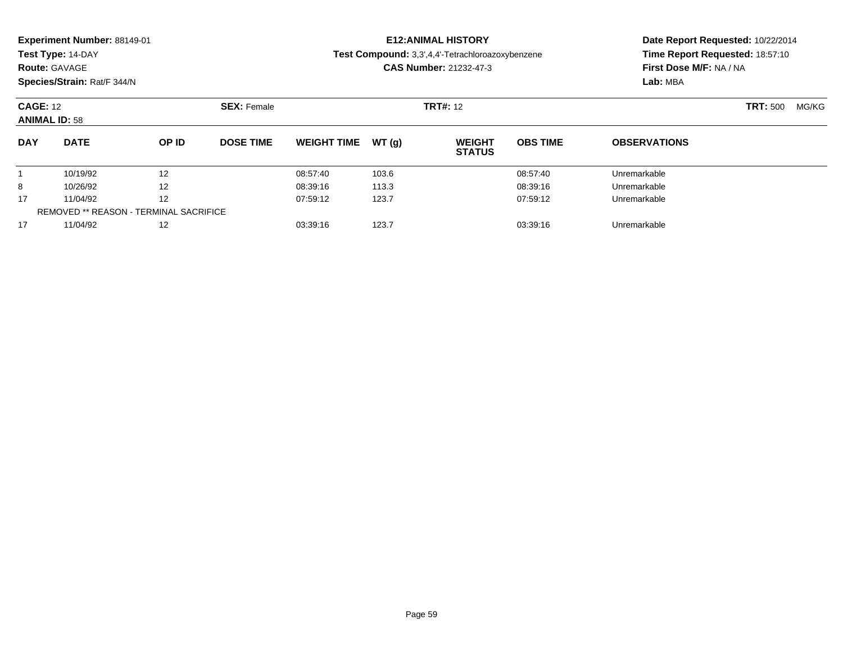| Experiment Number: 88149-01<br>Test Type: 14-DAY<br><b>Route: GAVAGE</b><br>Species/Strain: Rat/F 344/N |                                               |       |                    |                    |       | <b>E12: ANIMAL HISTORY</b><br>Test Compound: 3,3',4,4'-Tetrachloroazoxybenzene<br><b>CAS Number: 21232-47-3</b> | Date Report Requested: 10/22/2014<br>Time Report Requested: 18:57:10<br>First Dose M/F: NA / NA<br>Lab: MBA |                          |  |
|---------------------------------------------------------------------------------------------------------|-----------------------------------------------|-------|--------------------|--------------------|-------|-----------------------------------------------------------------------------------------------------------------|-------------------------------------------------------------------------------------------------------------|--------------------------|--|
| <b>CAGE: 12</b><br><b>ANIMAL ID: 58</b>                                                                 |                                               |       | <b>SEX: Female</b> |                    |       | <b>TRT#:</b> 12                                                                                                 |                                                                                                             | <b>TRT:</b> 500<br>MG/KG |  |
| <b>DAY</b>                                                                                              | <b>DATE</b>                                   | OP ID | <b>DOSE TIME</b>   | <b>WEIGHT TIME</b> | WT(q) | <b>WEIGHT</b><br><b>STATUS</b>                                                                                  | <b>OBS TIME</b>                                                                                             | <b>OBSERVATIONS</b>      |  |
|                                                                                                         | 10/19/92                                      | 12    |                    | 08:57:40           | 103.6 |                                                                                                                 | 08:57:40                                                                                                    | Unremarkable             |  |
| 8                                                                                                       | 10/26/92                                      | 12    |                    | 08:39:16           | 113.3 |                                                                                                                 | 08:39:16                                                                                                    | Unremarkable             |  |
| 17                                                                                                      | 11/04/92                                      | 12    |                    | 07:59:12           | 123.7 |                                                                                                                 | 07:59:12                                                                                                    | Unremarkable             |  |
|                                                                                                         | <b>REMOVED ** REASON - TERMINAL SACRIFICE</b> |       |                    |                    |       |                                                                                                                 |                                                                                                             |                          |  |

11/04/92 <sup>12</sup> 03:39:16 123.7 03:39:16 Unremarkable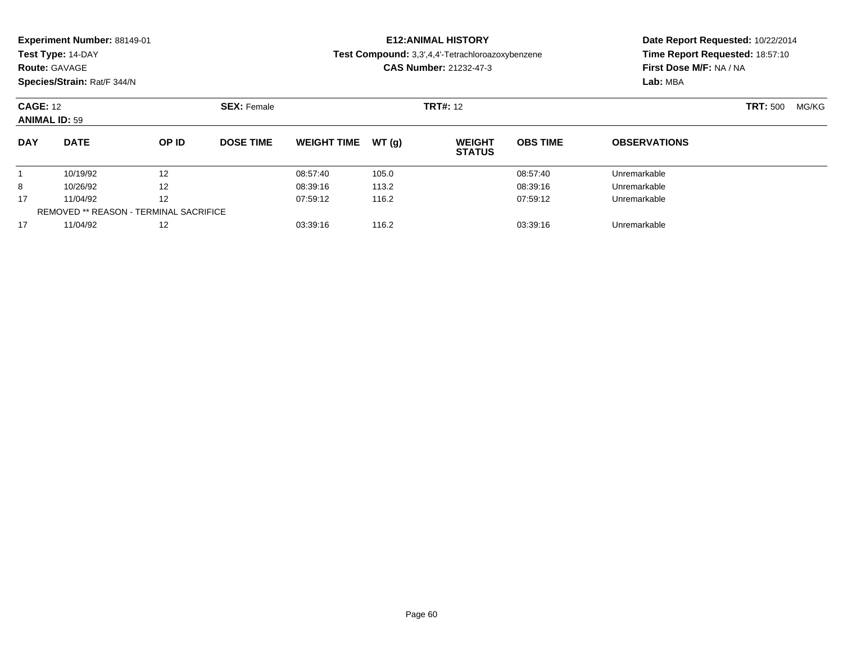| Experiment Number: 88149-01<br>Test Type: 14-DAY<br><b>Route: GAVAGE</b><br>Species/Strain: Rat/F 344/N |                                               |       |                    |                    |       | <b>E12: ANIMAL HISTORY</b><br>Test Compound: 3,3',4,4'-Tetrachloroazoxybenzene<br><b>CAS Number: 21232-47-3</b> | Date Report Requested: 10/22/2014<br>Time Report Requested: 18:57:10<br>First Dose M/F: NA / NA<br>Lab: MBA |                          |  |
|---------------------------------------------------------------------------------------------------------|-----------------------------------------------|-------|--------------------|--------------------|-------|-----------------------------------------------------------------------------------------------------------------|-------------------------------------------------------------------------------------------------------------|--------------------------|--|
| <b>CAGE: 12</b><br><b>ANIMAL ID: 59</b>                                                                 |                                               |       | <b>SEX: Female</b> |                    |       | <b>TRT#:</b> 12                                                                                                 |                                                                                                             | <b>TRT:</b> 500<br>MG/KG |  |
| <b>DAY</b>                                                                                              | <b>DATE</b>                                   | OP ID | <b>DOSE TIME</b>   | <b>WEIGHT TIME</b> | WT(q) | <b>WEIGHT</b><br><b>STATUS</b>                                                                                  | <b>OBS TIME</b>                                                                                             | <b>OBSERVATIONS</b>      |  |
|                                                                                                         | 10/19/92                                      | 12    |                    | 08:57:40           | 105.0 |                                                                                                                 | 08:57:40                                                                                                    | Unremarkable             |  |
| 8                                                                                                       | 10/26/92                                      | 12    |                    | 08:39:16           | 113.2 |                                                                                                                 | 08:39:16                                                                                                    | Unremarkable             |  |
| 17                                                                                                      | 11/04/92                                      | 12    |                    | 07:59:12           | 116.2 |                                                                                                                 | 07:59:12                                                                                                    | Unremarkable             |  |
|                                                                                                         | <b>REMOVED ** REASON - TERMINAL SACRIFICE</b> |       |                    |                    |       |                                                                                                                 |                                                                                                             |                          |  |

11/04/92 <sup>12</sup> 03:39:16 116.2 03:39:16 Unremarkable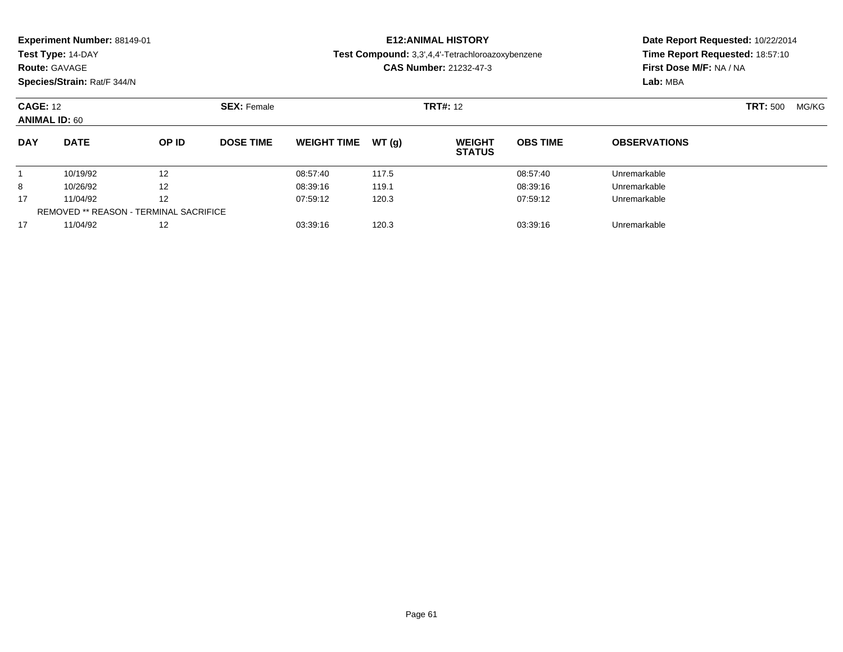| <b>Experiment Number: 88149-01</b><br>Test Type: 14-DAY<br><b>Route: GAVAGE</b><br>Species/Strain: Rat/F 344/N |                                               |                   |                    |                    |       | <b>E12: ANIMAL HISTORY</b><br>Test Compound: 3,3',4,4'-Tetrachloroazoxybenzene<br><b>CAS Number: 21232-47-3</b> | Date Report Requested: 10/22/2014<br>Time Report Requested: 18:57:10<br>First Dose M/F: NA / NA<br>Lab: MBA |                          |  |
|----------------------------------------------------------------------------------------------------------------|-----------------------------------------------|-------------------|--------------------|--------------------|-------|-----------------------------------------------------------------------------------------------------------------|-------------------------------------------------------------------------------------------------------------|--------------------------|--|
| <b>CAGE: 12</b><br><b>ANIMAL ID: 60</b>                                                                        |                                               |                   | <b>SEX: Female</b> |                    |       | <b>TRT#: 12</b>                                                                                                 |                                                                                                             | <b>TRT: 500</b><br>MG/KG |  |
| <b>DAY</b>                                                                                                     | <b>DATE</b>                                   | OP ID             | <b>DOSE TIME</b>   | <b>WEIGHT TIME</b> | WT(q) | <b>WEIGHT</b><br><b>STATUS</b>                                                                                  | <b>OBS TIME</b>                                                                                             | <b>OBSERVATIONS</b>      |  |
|                                                                                                                | 10/19/92                                      | 12                |                    | 08:57:40           | 117.5 |                                                                                                                 | 08:57:40                                                                                                    | Unremarkable             |  |
| 8                                                                                                              | 10/26/92                                      | 12                |                    | 08:39:16           | 119.1 |                                                                                                                 | 08:39:16                                                                                                    | Unremarkable             |  |
| 17                                                                                                             | 11/04/92                                      | 12                |                    | 07:59:12           | 120.3 |                                                                                                                 | 07:59:12                                                                                                    | Unremarkable             |  |
|                                                                                                                | <b>REMOVED ** REASON - TERMINAL SACRIFICE</b> |                   |                    |                    |       |                                                                                                                 |                                                                                                             |                          |  |
| 17                                                                                                             | 11/04/92                                      | $12 \overline{ }$ |                    | 03:39:16           | 120.3 |                                                                                                                 | 03:39:16                                                                                                    | Unremarkable             |  |

11/04/92 <sup>12</sup> 03:39:16 120.3 03:39:16 Unremarkable